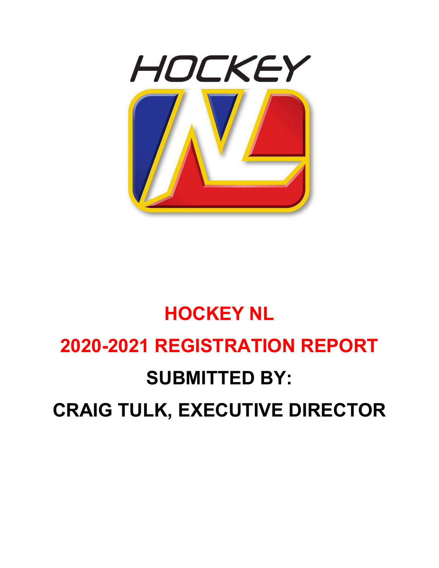

# **HOCKEY NL 2020-2021 REGISTRATION REPORT SUBMITTED BY: CRAIG TULK, EXECUTIVE DIRECTOR**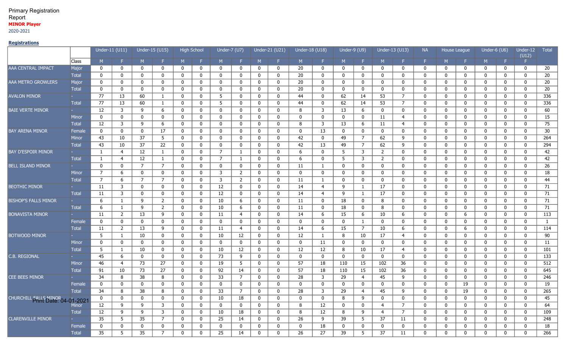## Primary Registration Report **MINOR Player**

2020-2021

## **Registrations**

|                                         |              | Under-11 (U11)  |                |                | Under-15 (U15) | <b>High School</b> |              | Under-7 (U7)    |                |             | Under-21 (U21) | Under-18 (U18) |                   | Under-9 (U9) |                | Under-13 (U13) |                | <b>NA</b>    |             | House League | Under-6 (U6) |              | Under-12<br>(U12) | <b>Total</b>     |
|-----------------------------------------|--------------|-----------------|----------------|----------------|----------------|--------------------|--------------|-----------------|----------------|-------------|----------------|----------------|-------------------|--------------|----------------|----------------|----------------|--------------|-------------|--------------|--------------|--------------|-------------------|------------------|
|                                         | Class        | M.              |                | M              | F.             | M                  | F.           | M               |                | M           |                | M.             |                   | M            | F.             | M.             |                | F.           | M           | F.           | M.           | Æ.           | F.                |                  |
| AAA CENTRAL IMPACT                      | Major        | 0               | 0              | $\mathbf 0$    | 0              | 0                  | 0            | 0               | $\mathbf{0}$   | 0           | 0              | 20             | 0                 | 0            | $\mathbf 0$    | 0              | 0              | 0            | 0           | $\mathbf 0$  | 0            | 0            | $\bf{0}$          | 20               |
|                                         | <b>Total</b> | $\mathbf 0$     | 0              | $\mathbf 0$    | $\mathbf 0$    | 0                  | $\mathbf{0}$ | $\mathbf 0$     | $\mathbf 0$    | $\mathbf 0$ | 0              | 20             | 0                 | 0            | $\mathbf 0$    | $\mathbf{0}$   | 0              | 0            | $\mathbf 0$ | $\mathbf 0$  | $\mathbf 0$  | $\mathbf{0}$ | $\mathbf{0}$      | $\overline{20}$  |
| AAA METRO GROWLERS                      | Major        | 0               | 0              | 0              | 0              | $\mathbf 0$        | $\mathbf 0$  | 0               | 0              | 0           | $\mathbf{0}$   | 20             | 0                 | 0            | $\mathbf 0$    | 0              | 0              | $\mathbf{0}$ | $\mathbf 0$ | $\mathbf 0$  | 0            | 0            | $\mathbf 0$       | 20               |
|                                         | <b>Total</b> | $\mathbf 0$     | $\mathbf 0$    | $\mathbf 0$    | $\mathbf 0$    | $\mathbf 0$        | $\mathbf{0}$ | 0               | $\mathbf 0$    | $\mathbf 0$ | $\mathbf{0}$   | 20             | $\mathbf 0$       | $\mathbf 0$  | $\mathbf 0$    | $\mathbf{0}$   | $\mathbf 0$    | $\mathbf 0$  | $\mathbf 0$ | $\mathbf 0$  | $\mathbf 0$  | $\mathbf 0$  | $\mathbf 0$       | 20               |
| <b>AVALON MINOR</b>                     |              | 77              | 13             | 60             | $\mathbf{1}$   | $\mathbf 0$        | $\mathbf 0$  | 5               | $\mathbf{0}$   | $\mathbf 0$ | $\mathbf{0}$   | 44             | 0                 | 62           | 14             | 53             | $\overline{7}$ | $\mathbf{0}$ | $\mathbf 0$ | $\mathbf 0$  | $\mathbf{0}$ | $\mathbf 0$  | $\bm{0}$          | 336              |
|                                         | <b>Total</b> | 77              | 13             | 60             | $\mathbf{1}$   | 0                  | $\mathbf 0$  | 5               | 0              | $\mathbf 0$ | 0              | 44             | 0                 | 62           | 14             | 53             | $\overline{7}$ | 0            | $\mathbf 0$ | $\mathbf 0$  | $\mathbf 0$  | 0            | $\mathbf 0$       | 336              |
| <b>BAIE VERTE MINOR</b>                 |              | 12              | 3              | 9              | 6              | 0                  | $\mathbf{0}$ | $\mathbf 0$     | $\mathbf 0$    | $\mathbf 0$ | 0              | 8              | 3                 | 13           | 6              | 0              | 0              | 0            | $\mathbf 0$ | $\mathbf 0$  | $\mathbf 0$  | 0            | $\bf{0}$          | 60               |
|                                         | <b>Minor</b> | $\mathbf 0$     | $\mathbf 0$    | $\mathbf 0$    | $\mathbf 0$    | $\mathbf 0$        | $\mathbf 0$  | 0               | $\mathbf 0$    | $\mathbf 0$ | $\mathbf 0$    | $\mathbf{0}$   | $\mathbf 0$       | 0            | $\mathbf 0$    | 11             | $\overline{4}$ | $\mathbf 0$  | $\mathbf 0$ | $\mathbf 0$  | $\mathbf 0$  | 0            | $\mathbf 0$       | 15               |
|                                         | <b>Total</b> | 12              | 3              | 9              | 6              | $\mathbf 0$        | $\mathbf 0$  | 0               | $\mathbf 0$    | $\mathbf 0$ | 0              | 8              | $\mathsf{3}$      | 13           | 6              | 11             | $\overline{4}$ | $\mathbf 0$  | $\mathbf 0$ | $\mathbf 0$  | $\mathbf 0$  | $\mathbf 0$  | $\mathbf 0$       | 75               |
| <b>BAY ARENA MINOR</b>                  | Female       | $\mathbf 0$     | $\mathbf 0$    | $\mathbf 0$    | 17             | $\mathbf 0$        | $\mathbf 0$  | $\mathbf 0$     | $\mathbf{0}$   | $\mathbf 0$ | $\mathbf{0}$   | $\mathbf{0}$   | 13                | $\mathbf 0$  | $\mathbf 0$    | $\mathbf 0$    | $\mathbf 0$    | $\mathbf{0}$ | $\mathbf 0$ | $\mathbf 0$  | $\mathbf{0}$ | $\mathbf 0$  | $\mathbf 0$       | 30               |
|                                         | Minor        | 43              | 10             | 37             | 5              | $\mathbf{0}$       | $\mathbf 0$  | 0               | $\mathbf{0}$   | $\mathbf 0$ | 0              | 42             | 0                 | 49           | $\overline{7}$ | 62             | 9              | $\Omega$     | 0           | $\mathbf 0$  | $\mathbf{0}$ | $\mathbf 0$  | $\mathbf 0$       | 264              |
|                                         | <b>Total</b> | 43              | 10             | 37             | 22             | 0                  | $\mathbf{0}$ | 0               | 0              | 0           | 0              | 42             | 13                | 49           | $\overline{7}$ | 62             | 9              | $\mathbf{0}$ | $\mathbf 0$ | $\mathbf 0$  | $\mathbf{0}$ | 0            | $\mathbf 0$       | 294              |
| <b>BAY D'ESPOIR MINOR</b>               |              | $\mathbf{1}$    | $\overline{4}$ | 12             | $\mathbf{1}$   | $\mathbf 0$        | 0            | $\overline{7}$  | $\mathbf{1}$   | $\mathbf 0$ | 0              | 6              | $\mathbf 0$       | 5            | $\mathbf{3}$   | $\overline{2}$ | $\mathbf 0$    | $\mathbf 0$  | $\mathbf 0$ | $\mathbf 0$  | $\mathbf 0$  | $\mathbf 0$  | $\mathbf 0$       | 42               |
|                                         | <b>Total</b> | $\mathbf{1}$    | $\overline{4}$ | 12             | $\mathbf{1}$   | $\mathbf 0$        | $\mathbf{0}$ | $\overline{7}$  | -1             | $\mathbf 0$ | 0              | 6              | 0                 | 5            | $\mathbf{3}$   | 2              | 0              | 0            | $\mathbf 0$ | 0            | $\mathbf 0$  | 0            | $\bf{0}$          | 42               |
| <b>BELL ISLAND MINOR</b>                |              | $\mathbf 0$     | 0              | $\overline{7}$ | $\overline{7}$ | $\mathbf 0$        | 0            | 0               | $\mathbf 0$    | $\mathbf 0$ | 0              | 11             | $\mathbf{1}$      | $\mathbf 0$  | $\mathbf 0$    | 0              | 0              | $\mathbf{0}$ | $\mathbf 0$ | $\mathbf 0$  | $\mathbf{0}$ | 0            | $\mathbf 0$       | 26               |
|                                         | Minor        | $\overline{7}$  | 6              | $\mathbf 0$    | 0              | 0                  | $\mathbf{0}$ | 3               | 2              | $\mathbf 0$ | 0              | $\mathbf{0}$   | 0                 | $\mathbf{0}$ | $\mathbf 0$    | 0              | 0              | 0            | $\mathbf 0$ | $\mathbf 0$  | $\mathbf{0}$ | 0            | $\mathbf 0$       | 18               |
|                                         | <b>Total</b> | $\overline{7}$  | 6              | $\overline{7}$ | $\overline{7}$ | $\mathbf 0$        | $\mathbf 0$  | $\overline{3}$  | 2              | $\mathbf 0$ | 0              | 11             | $\mathbf{1}$      | 0            | $\mathbf 0$    | $\mathbf{0}$   | 0              | 0            | $\mathbf 0$ | $\mathbf 0$  | $\mathbf 0$  | $\mathbf 0$  | $\mathbf 0$       | 44               |
| <b>BEOTHIC MINOR</b>                    |              | 11              | 3              | $\mathbf 0$    | $\mathbf{0}$   | $\mathbf 0$        | $\mathbf 0$  | 12              | $\mathbf 0$    | $\mathbf 0$ | $\mathbf{0}$   | 14             | $\overline{4}$    | 9            | $\mathbf{1}$   | 17             | $\mathbf 0$    | $\mathbf 0$  | $\mathbf 0$ | $\mathbf 0$  | $\mathbf 0$  | $\mathbf 0$  | $\bm{0}$          | $\overline{71}$  |
|                                         | <b>Total</b> | 11              | 3              | $\mathbf 0$    | $\mathbf 0$    | 0                  | 0            | 12              | $\mathbf 0$    | $\mathbf 0$ | $\mathbf 0$    | 14             | $\overline{4}$    | 9            | $\mathbf{1}$   | 17             | 0              | $\mathbf{0}$ | 0           | 0            | 0            | $\mathbf 0$  | $\bm{0}$          | 71               |
| <b>BISHOP'S FALLS MINOR</b>             |              | 6               | 1              | 9              | $\overline{2}$ | 0                  | 0            | 10              | 6              | $\mathbf 0$ | $\mathbf 0$    | 11             | 0                 | 18           | $\mathbf 0$    | 8              | $\mathbf 0$    | $\mathbf 0$  | 0           | 0            | $\mathbf 0$  | 0            | $\bm{0}$          | $\overline{71}$  |
|                                         | <b>Total</b> | 6               | 1              | 9              | 2              | 0                  | 0            | 10              | 6              | $\mathbf 0$ | 0              | 11             | 0                 | 18           | $\mathbf 0$    | 8              | 0              | 0            | $\mathbf 0$ | $\mathbf 0$  | 0            | 0            | $\bf{0}$          | 71               |
| <b>BONAVISTA MINOR</b>                  |              | 11              | 2              | 13             | 9              | $\mathbf 0$        | $\mathbf 0$  | 11              | $\overline{4}$ | $\mathbf 0$ | 0              | 14             | 6                 | 15           | 6              | 10             | 6              | 0            | $\mathbf 0$ | 6            | $\mathbf 0$  | 0            | $\bf{0}$          | 113              |
|                                         | Female       | $\mathbf 0$     | $\mathbf 0$    | $\mathbf 0$    | $\mathbf 0$    | $\mathbf 0$        | $\mathbf 0$  | $\mathbf 0$     | $\mathbf 0$    | $\mathbf 0$ | $\mathbf 0$    | $\mathbf 0$    | $\mathbf 0$       | $\mathbf 0$  | $\mathbf{1}$   | $\mathbf 0$    | $\mathbf 0$    | $\mathbf 0$  | $\mathbf 0$ | $\mathbf 0$  | $\mathbf 0$  | 0            | $\mathbf 0$       | $\mathbf{1}$     |
|                                         | <b>Total</b> | 11              | $\overline{2}$ | 13             | 9              | $\mathbf 0$        | $\mathbf 0$  | 11              | $\overline{4}$ | $\mathbf 0$ | $\mathbf 0$    | 14             | 6                 | 15           | $\overline{7}$ | 10             | 6              | $\mathbf{0}$ | $\mathbf 0$ | 6            | $\mathbf 0$  | $\mathbf 0$  | $\mathbf 0$       | $\overline{114}$ |
| <b>BOTWOOD MINOR</b>                    |              | 5               | $\mathbf{1}$   | 10             | $\mathbf 0$    | 0                  | 0            | 10              | 12             | $\mathbf 0$ | $\mathbf{0}$   | 12             | $\mathbf{1}$      | 8            | 10             | 17             | $\overline{4}$ | $\mathbf{0}$ | $\mathbf 0$ | 0            | $\mathbf{0}$ | 0            | $\mathbf 0$       | 90               |
|                                         | Minor        | 0               | $\mathbf 0$    | $\mathbf 0$    | 0              | 0                  | $\mathbf 0$  | 0               | 0              | $\mathbf 0$ | 0              | $\Omega$       | 11                | $\mathbf 0$  | $\mathbf 0$    | 0              | 0              | $\mathbf 0$  | $\mathbf 0$ | $\mathbf 0$  | $\mathbf 0$  | 0            | $\mathbf 0$       | 11               |
|                                         | <b>Total</b> | 5               | 1              | 10             | $\mathbf 0$    | 0                  | 0            | 10              | 12             | $\mathbf 0$ | 0              | 12             | 12                | 8            | 10             | 17             | $\overline{4}$ | 0            | $\mathbf 0$ | $\mathbf 0$  | $\mathbf 0$  | 0            | $\mathbf 0$       | 101              |
| C.B. REGIONAL                           |              | 45              | 6              | 0              | $\mathbf 0$    | $\mathbf 0$        | $\mathbf 0$  | $\overline{73}$ | 9              | $\mathbf 0$ | 0              | $\mathbf 0$    | $\mathbf 0$       | $\mathbf 0$  | $\mathbf 0$    | $\mathbf 0$    | $\mathbf 0$    | $\mathbf 0$  | $\mathbf 0$ | $\mathbf 0$  | 0            | 0            | $\mathbf 0$       | $\overline{133}$ |
|                                         | <b>Minor</b> | 46              | $\overline{4}$ | 73             | 27             | $\mathbf 0$        | $\mathbf{0}$ | 19              | 5              | $\mathbf 0$ | 0              | 57             | 18                | 110          | 15             | 102            | 36             | $\mathbf 0$  | $\mathbf 0$ | $\mathbf 0$  | $\mathbf 0$  | 0            | $\mathbf 0$       | $\overline{512}$ |
|                                         | <b>Total</b> | 91              | 10             | 73             | 27             | $\mathbf 0$        | $\mathbf 0$  | 92              | 14             | $\mathbf 0$ | $\mathbf{0}$   | 57             | 18                | 110          | 15             | 102            | 36             | 0            | 0           | 0            | $\mathbf{0}$ | $\mathbf{0}$ | $\mathbf 0$       | 645              |
| CEE BEES MINOR                          |              | 34              | 8              | 38             | 8              | 0                  | $\mathbf{0}$ | 33              | 7              | $\mathbf 0$ | 0              | 28             | 3                 | 29           | $\overline{4}$ | 45             | 9              | 0            | $\mathbf 0$ | $\mathbf 0$  | 0            | $\mathbf 0$  | $\mathbf 0$       | 246              |
|                                         | Female       | $\mathbf 0$     | 0              | $\mathbf 0$    | $\mathbf 0$    | 0                  | $\mathbf 0$  | $\mathbf 0$     | $\mathbf 0$    | $\mathbf 0$ | 0              | $\mathbf 0$    | $\mathbf 0$       | $\mathbf 0$  | $\mathbf 0$    | $\mathbf{0}$   | 0              | 0            | $\mathbf 0$ | 19           | $\mathbf 0$  | $\mathbf 0$  | $\mathbf 0$       | 19               |
|                                         | <b>Total</b> | 34              | 8              | 38             | 8              | 0                  | 0            | $\overline{33}$ | $\overline{7}$ | $\mathbf 0$ | 0              | 28             | $\overline{3}$    | 29           | $\overline{4}$ | 45             | 9              | $\mathbf 0$  | $\mathbf 0$ | 19           | 0            | 0            | $\mathbf 0$       | $\overline{265}$ |
| CHURCHILL <b>FAILS NINOR 04-01-2021</b> |              | $\mathbf 0$     | 0              | $\mathbf 0$    | $\mathbf 0$    | $\mathbf 0$        | $\mathbf 0$  | 10              | 18             | $\mathbf 0$ | 0              | 0              | 0                 | 8            | 9              | $\mathbf{0}$   | 0              | 0            | $\mathbf 0$ | $\mathbf 0$  | $\mathbf 0$  | 0            | $\mathbf 0$       | 45               |
|                                         | Minor        | $\overline{12}$ | 9              | 9              | 3              | $\mathbf 0$        | $\mathbf 0$  | $\mathbf 0$     | $\mathbf 0$    | $\mathbf 0$ | $\mathbf{0}$   | 8              | 12                | $\mathbf 0$  | $\mathbf 0$    | 4              | $\overline{7}$ | $\mathbf{0}$ | $\mathbf 0$ | 0            | $\mathbf{0}$ | $\mathbf 0$  | $\mathbf 0$       | 64               |
|                                         | <b>Total</b> | 12              | 9              | 9              | 3              | $\mathbf 0$        | $\mathbf 0$  | 10              | 18             | $\mathbf 0$ | $\mathbf{0}$   | 8              | $12 \overline{ }$ | 8            | 9              | 4              | $\overline{7}$ | $\Omega$     | $\mathbf 0$ | $\mathbf 0$  | 0            | $\mathbf 0$  | $\mathbf 0$       | 109              |
| <b>CLARENVILLE MINOR</b>                |              | $\overline{35}$ | 5              | 35             | $\overline{7}$ | $\mathbf 0$        | $\mathbf 0$  | 25              | 14             | $\mathbf 0$ | 0              | 26             | 9                 | 39           | 5              | 37             | 11             | $\mathbf 0$  | $\mathbf 0$ | $\mathbf 0$  | $\mathbf 0$  | $\mathbf{0}$ | $\mathbf 0$       | 248              |
|                                         | Female       | 0               | 0              | $\mathbf 0$    | $\mathbf{0}$   | $\Omega$           | 0            | 0               | 0              | $\mathbf 0$ | $\mathbf{0}$   | $\mathbf{0}$   | 18                | $\mathbf 0$  | $\mathbf 0$    | $\mathbf{0}$   | 0              | $\Omega$     | 0           | $\mathbf 0$  | $\Omega$     | 0            | 0                 | 18               |
|                                         | <b>Total</b> | 35              | 5              | 35             | $\overline{7}$ | 0                  | $\mathbf 0$  | 25              | 14             | $\Omega$    | $\Omega$       | 26             | 27                | 39           | 5              | 37             | 11             | $\Omega$     | $\mathbf 0$ | $\mathbf 0$  | $\Omega$     | $\Omega$     | $\mathbf 0$       | 266              |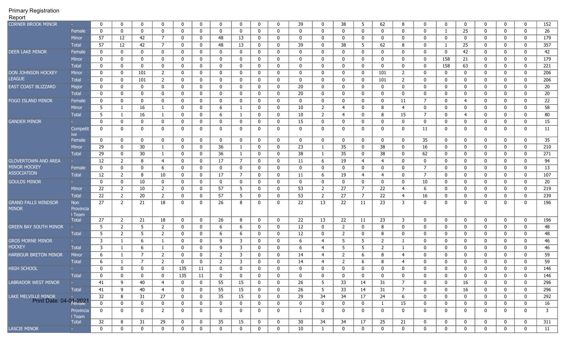| <b>CORNER BROOK MINOR</b>                     |                            | $\mathbf 0$  | 0                | 0           | 0              | $\mathbf{0}$ | $\mathbf 0$ | $\mathbf 0$    | $\mathbf 0$    | $\mathbf 0$  | 0            | 39           | 0            | 38             | 5              | 62             | 8              | 0              | $\mathbf{0}$ | $\mathbf 0$  | 0            | $\mathbf 0$    | $\mathbf 0$  | 152          |
|-----------------------------------------------|----------------------------|--------------|------------------|-------------|----------------|--------------|-------------|----------------|----------------|--------------|--------------|--------------|--------------|----------------|----------------|----------------|----------------|----------------|--------------|--------------|--------------|----------------|--------------|--------------|
|                                               | Female                     | $\mathbf{0}$ | $\mathbf 0$      | $\mathbf 0$ | 0              | 0            | $\mathbf 0$ | $\mathbf 0$    | 0              | $\mathbf 0$  | 0            | $\mathbf{0}$ | $\mathbf 0$  | $\Omega$       | 0              | $\mathbf{0}$   | 0              | 0              |              | 25           | $\mathbf{0}$ | $\mathbf 0$    | 0            | 26           |
|                                               | Minor                      | 57           | 12               | 42          | $7^{\circ}$    | 0            | $\mathbf 0$ | 48             | 13             | $\mathbf 0$  | 0            | $\mathbf{0}$ | 0            | 0              | $\mathbf 0$    | $\mathbf 0$    | 0              | 0              | $\Omega$     | $\mathbf 0$  | $\mathbf{0}$ | 0              | 0            | 179          |
|                                               | Total                      | 57           | 12               | 42          | 7              | 0            | $\mathbf 0$ | 48             | 13             | $\mathbf 0$  | 0            | 39           | 0            | 38             | 5              | 62             | 8              | 0              |              | 25           | 0            | 0              | $\mathbf{0}$ | 357          |
| <b>DEER LAKE MINOR</b>                        | Female                     | 0            | 0                | $\mathbf 0$ | 0              | $\mathbf{0}$ | $\mathbf 0$ | 0              | $\mathbf 0$    | $\mathbf 0$  | $\mathbf{0}$ | $\mathbf{0}$ | 0            | $\Omega$       | $\mathbf 0$    | $\mathbf{0}$   | 0              | $\mathbf{0}$   | $\Omega$     | 42           | 0            | 0              | $\mathbf{0}$ | 42           |
|                                               | Minor                      | $\mathbf 0$  | 0                | $\mathbf 0$ | $\mathbf{0}$   | $\mathbf{0}$ | $\mathbf 0$ | 0              | 0              | $\mathbf 0$  | $\mathbf{0}$ | $\mathbf{0}$ | 0            | $\Omega$       | $\mathbf 0$    | $\mathbf{0}$   | 0              | 0              | 158          | 21           | $\mathbf{0}$ | $\mathbf 0$    | $\mathbf 0$  | 179          |
|                                               | <b>Total</b>               | 0            | 0                | $\mathbf 0$ | $\mathbf{0}$   | 0            | $\mathbf 0$ | $\mathbf 0$    | 0              | $\mathbf 0$  | 0            | $\mathbf{0}$ | 0            | $\mathbf{0}$   | $\mathbf{0}$   | $\mathbf{0}$   | 0              | 0              | 158          | 63           | 0            | $\mathbf 0$    | 0            | 221          |
| DON JOHNSON HOCKEY                            | Minor                      | 0            | 0                | 101         | $\overline{2}$ | 0            | $\mathbf 0$ | $\mathbf 0$    | 0              | $\mathbf 0$  | 0            | 0            | $\mathbf 0$  | $\mathbf{0}$   | $\mathbf 0$    | 101            | $\overline{2}$ | 0              | 0            | $\mathbf 0$  | 0            | 0              | 0            | 206          |
| <b>LEAGUE</b>                                 | <b>Total</b>               | 0            | 0                | 101         | $\overline{2}$ | 0            | $\mathbf 0$ | 0              | 0              | $\mathbf 0$  | 0            | 0            | $\mathbf 0$  | $\mathbf{0}$   | $\mathbf 0$    | 101            | 2              | 0              | 0            | $\mathbf 0$  | 0            | 0              | 0            | 206          |
| EAST COAST BLIZZARD                           | Major                      | 0            | 0                | 0           | $\mathbf{0}$   | 0            | $\mathbf 0$ | $\mathbf 0$    | $\mathbf 0$    | $\mathbf 0$  | 0            | 20           | $\mathbf 0$  | 0              | $\mathbf 0$    | $\bf{0}$       | $\mathbf 0$    | 0              | 0            | $\mathbf{0}$ | $\mathbf{0}$ | $\mathbf 0$    | $\mathbf 0$  | 20           |
|                                               | Total                      | $\mathbf 0$  | $\mathbf 0$      | $\mathbf 0$ | 0              | 0            | $\mathbf 0$ | $\mathbf{0}$   | 0              | $\mathbf 0$  | 0            | 20           | $\mathbf 0$  | 0              | $\mathbf 0$    | $\mathbf 0$    | $\mathbf 0$    | 0              | 0            | $\mathbf 0$  | 0            | $\mathbf 0$    | $\mathbf 0$  | 20           |
| FOGO ISLAND MINOR                             | Female                     | 0            | 0                | 0           | 0              | 0            | $\mathbf 0$ | 0              | 0              | $\mathbf 0$  | 0            | 0            | $\mathbf 0$  | $\mathbf{0}$   | $\mathbf 0$    | $\bf{0}$       | 11             | $\overline{7}$ | 0            | 4            | 0            | $\mathbf 0$    | $\mathbf 0$  | 22           |
|                                               | <b>Minor</b>               | 5            | 1                | 16          | $\mathbf{1}$   | 0            | $\mathbf 0$ | 6              | -1             | $\mathbf 0$  | $\mathbf{0}$ | 10           | 2            | 4              | 0              | 8              | $\overline{4}$ | 0              | $\Omega$     | 0            | 0            | $\mathbf 0$    | 0            | 58           |
|                                               | Total                      | 5            | 1                | 16          | 1              | 0            | $\mathbf 0$ | 6              | $\mathbf{1}$   | $\mathbf 0$  | $\mathbf{0}$ | 10           | 2            | $\overline{4}$ | $\mathbf{0}$   | 8              | 15             | $\overline{7}$ | $\mathbf{0}$ | 4            | 0            | 0              | 0            | 80           |
| <b>GANDER MINOR</b>                           |                            | $\mathbf 0$  | 0                | 0           | 0              | 0            | $\mathbf 0$ | 0              | 0              | $\mathbf 0$  | 0            | 15           | $\mathbf{0}$ | 0              | 0              | 0              | 0              | 0              | 0            | 0            | 0            | 0              | 0            | 15           |
|                                               | Competit                   | 0            | 0                | $\mathbf 0$ | $\mathbf{0}$   | 0            | $\mathbf 0$ | $\mathbf 0$    | 0              | $\mathbf 0$  | $\mathbf 0$  | 0            | $\mathbf 0$  | 0              | $\mathbf 0$    | $\mathbf 0$    | $\mathbf 0$    | 11             | 0            | $\mathbf 0$  | $\mathbf 0$  | 0              | 0            | 11           |
|                                               | Female                     | $\mathbf 0$  | $\mathbf 0$      | $\mathbf 0$ | 0              | $\mathbf{0}$ | $\mathbf 0$ | $\mathbf{0}$   | 0              | $\mathbf 0$  | $\mathbf{0}$ | $\mathbf 0$  | 0            | $\mathbf{0}$   | $\mathbf 0$    | $\mathbf 0$    | 0              | 35             | $\mathbf{0}$ | $\mathbf{0}$ | 0            | $\mathbf 0$    | $\mathbf 0$  | 35           |
|                                               | Minor                      | 29           | 0                | 30          | 1              | 0            | $\mathbf 0$ | 36             | $\mathbf{1}$   | $\mathbf 0$  | $\mathbf{0}$ | 23           | 1            | 35             | 0              | 38             | 0              | 16             | 0            | 0            | 0            | 0              | 0            | 210          |
|                                               | <b>Total</b>               | 29           | 0                | 30          | 1              | 0            | $\mathbf 0$ | 36             | -1             | $\mathbf 0$  | 0            | 38           | 1            | 35             | 0              | 38             | 0              | 62             | 0            | $\mathbf 0$  | 0            | $\mathbf 0$    | 0            | 271          |
| <b>GLOVERTOWN AND AREA</b>                    |                            | 12           | $\overline{2}$   | 8           | 4              | 0            | $\mathbf 0$ | 17             | 7              | $\mathbf 0$  | $\mathbf 0$  | 11           | 6            | 19             | 4              | 4              | 0              | $\mathbf 0$    | 0            | $\mathbf 0$  | $\mathbf{0}$ | $\mathbf 0$    | 0            | 94           |
| <b>MINOR HOCKEY</b>                           | Female                     | 0            | 0                | $\mathbf 0$ | 6              | 0            | $\mathbf 0$ | $\mathbf 0$    | $\mathbf 0$    | $\mathbf 0$  | 0            | $\mathbf 0$  | $\mathbf 0$  | 0              | 0              | $\bf{0}$       | $\mathbf 0$    | $\overline{7}$ | 0            | $\mathbf{0}$ | $\mathbf{0}$ | $\bf{0}$       | $\mathbf 0$  | 13           |
| <b>ASSOCIATION</b>                            | <b>Total</b>               | 12           | $\overline{2}$   | 8           | 10             | 0            | $\mathbf 0$ | 17             | $\overline{7}$ | 0            | 0            | 11           | 6            | 19             | $\overline{4}$ | $\overline{4}$ | 0              | $\overline{7}$ | 0            | 0            | 0            | 0              | 0            | 107          |
| <b>GOULDS MINOR</b>                           |                            | $\mathbf 0$  | $\mathbf 0$      | 10          | 0              | 0            | $\mathbf 0$ | 0              | 0              | 0            | 0            | $\mathbf 0$  | $\mathbf 0$  | 0              | $\mathbf{0}$   | $\bf{0}$       | $\mathbf 0$    | 10             | 0            | $\mathbf{0}$ | 0            | $\mathbf 0$    | $\mathbf 0$  | 20           |
|                                               | Minor                      | 22           | 2                | 10          | $\overline{2}$ | 0            | $\mathbf 0$ | 57             | -5             | 0            | $\mathbf{0}$ | 53           | 2            | 27             | 7              | 22             | 4              | 6              | $\mathbf{0}$ | $\mathbf 0$  | 0            | $\mathbf 0$    | $\mathbf 0$  | 219          |
|                                               | Total                      | 22           | $\overline{2}$   | 20          | $\overline{2}$ | 0            | $\mathbf 0$ | 57             | -5             | 0            | 0            | 53           | 2            | 27             | 7              | 22             | 4              | 16             | 0            | 0            | 0            | 0              | 0            | 239          |
| <b>GRAND FALLS WINDSOR</b><br><b>MINOR</b>    | Non<br>Provincia<br>I Team | 27           | 2                | 21          | 18             | 0            | $\mathbf 0$ | 26             | 8              | $\mathbf{0}$ | 0            | 22           | 13           | 22             | 11             | 23             | 3              | 0              | $\Omega$     | 0            | 0            | 0              | 0            | 196          |
|                                               | <b>Total</b>               | 27           | $\overline{2}$   | 21          | 18             | 0            | $\mathbf 0$ | 26             | 8              | $\mathbf 0$  | 0            | 22           | 13           | 22             | 11             | 23             | 3              | 0              | 0            | $\mathbf 0$  | $\mathbf{0}$ | 0              | $\mathbf 0$  | 196          |
| <b>GREEN BAY SOUTH MINOR</b>                  |                            | 5            | $\overline{2}$   | 5           | $\overline{2}$ | 0            | $\mathbf 0$ | 6              | 6              | $\mathbf 0$  | $\mathbf 0$  | 12           | $\mathbf 0$  | 2              | $\mathbf 0$    | 8              | 0              | 0              | 0            | $\mathbf 0$  | 0            | 0              | $\mathbf 0$  | 48           |
|                                               | <b>Total</b>               | 5            | $\overline{2}$   | 5           | $\overline{2}$ | 0            | $\mathbf 0$ | 6              | 6              | $\mathbf 0$  | 0            | 12           | $\mathbf 0$  | 2              | 0              | 8              | 0              | 0              | 0            | $\mathbf 0$  | 0            | 0              | $\mathbf 0$  | 48           |
| <b>GROS MORNE MINOR</b>                       |                            | 3            | -1               | 6           | $\mathbf{1}$   | 0            | $\mathbf 0$ | 9              | 3              | $\mathbf 0$  | 0            | 6            | 4            | 5              | 5              | $\overline{2}$ | 1              | 0              | 0            | $\mathbf 0$  | $\mathbf{0}$ | 0              | 0            | 46           |
| <b>HOCKEY</b>                                 | <b>Total</b>               | 3            | 1                | 6           | $\mathbf{1}$   | 0            | $\mathbf 0$ | 9              | 3              | $\mathbf 0$  | 0            | 6            | 4            | -5             | 5              | 2              | 1              | 0              | 0            | $\mathbf 0$  | 0            | 0              | 0            | 46           |
| HARBOUR BRETON MINOR                          | Minor                      | 6            | -1               | 7           | $\overline{2}$ | 0            | $\mathbf 0$ | $\overline{2}$ | 3              | $\mathbf 0$  | 0            | 14           | 4            | -2             | 6              | 8              | 4              | 0              | $\Omega$     | 0            | 0            | 0              | $\mathbf{0}$ | 59           |
|                                               | <b>Total</b>               | 6            | -1               | 7           | $\overline{2}$ | $\mathbf{0}$ | $\mathbf 0$ | 2              | 3              | 0            | 0            | 14           | 4            | $\overline{2}$ | 6              | 8              | 4              | 0              | $\Omega$     | 0            | 0            | $\mathbf{0}$   | $\mathbf{0}$ | 59           |
| <b>HIGH SCHOOL</b>                            |                            | $\Omega$     | $\Omega$         | $\Omega$    | $\mathbf{0}$   | 135          | 11          | $\Omega$       | $\Omega$       | $\Omega$     | O            | $\Omega$     | $\Omega$     | $\Omega$       | 0              | 0              | 0              | 0              | $\Omega$     | $\mathbf{0}$ | $\Omega$     | <sup>0</sup>   | $\Omega$     | 146          |
|                                               | <b>Total</b>               | 0            | 0                | 0           | 0              | 135          | 11          | 0              | 0              | 0            | 0            | 0            | 0            | 0              | $\mathbf 0$    | 0              | 0              | 0              | 0            | 0            | 0            | 0              | 0            | 146          |
| <b>LABRADOR WEST MINOR</b>                    |                            | 41           | 9                | 40          | 4              | 0            | $\mathbf 0$ | 55             | 15             | $\mathbf 0$  | $\mathbf 0$  | 26           | 5            | 33             | 14             | 31             | 7              | $\mathbf 0$    | 0            | 16           | $\mathbf 0$  | $\mathbf 0$    | $\mathbf 0$  | 296          |
|                                               | Total                      | 41           | 9                | 40          | $\overline{4}$ | 0            | $\bf{0}$    | 55             | 15             | $\mathbf 0$  | 0            | 26           | 5            | 33             | 14             | 31             | $\overline{7}$ | 0              | 0            | 16           | 0            | $\bf{0}$       | $\bf{0}$     | 296          |
| LAKE MELVILLE MINOR<br>Print Date: 04-01-2021 |                            | 32           | 8                | 31          | 27             | 0            | $\mathbf 0$ | 35             | 15             | $\mathbf 0$  | $\mathbf 0$  | 29           | 34           | 34             | 17             | 24             | 6              | $\mathbf 0$    | 0            | $\mathbf 0$  | 0            | $\bf{0}$       | $\bf{0}$     | 292          |
|                                               |                            | $\mathbf 0$  | 0                | 0           | $\mathbf{0}$   | 0            | $\mathbf 0$ | $\bf{0}$       | $\mathbf 0$    | $\bf{0}$     | $\mathbf{0}$ | 0            | 0            | 0              | $\mathbf 0$    | $\mathbf{1}$   | 15             | $\mathbf{0}$   | 0            | $\mathbf 0$  | $\mathbf 0$  | $\mathbf 0$    | $\mathbf 0$  | 16           |
|                                               | Provincia<br>I Team        | 0            | $\mathbf 0$      | 0           | $\overline{2}$ | 0            | $\bf{0}$    | $\bf{0}$       | $\mathbf 0$    | $\mathbf 0$  | 0            | $\mathbf{1}$ | $\mathbf 0$  | 0              | 0              | $\mathbf{0}$   | 0              | 0              | 0            | 0            | $\mathbf 0$  | $\overline{0}$ | $\mathbf{0}$ | $\mathbf{3}$ |
|                                               | <b>Total</b>               | 32           | 8                | 31          | 29             | 0            | $\bf{0}$    | 35             | 15             | $\bf{0}$     | $\mathbf 0$  | 30           | 34           | 34             | 17             | 25             | 21             | $\mathbf 0$    | 0            | 0            | $\mathbf 0$  | $\mathbf{0}$   | 0            | 311          |
| <b>LASCIE MINOR</b>                           | <b>Service</b>             | $\mathbf 0$  | $\boldsymbol{0}$ | $\mathbf 0$ | $\mathbf{0}$   | 0            | $\bf{0}$    | $\mathbf 0$    | 0              | $\mathbf 0$  | 0            | 10           | $\mathbf{1}$ | 0              | $\mathbf 0$    | $\mathbf{0}$   | 0              | 0              | 0            | $\bf{0}$     | $\mathbf 0$  | $\mathbf{0}$   | $\mathbf 0$  | 11           |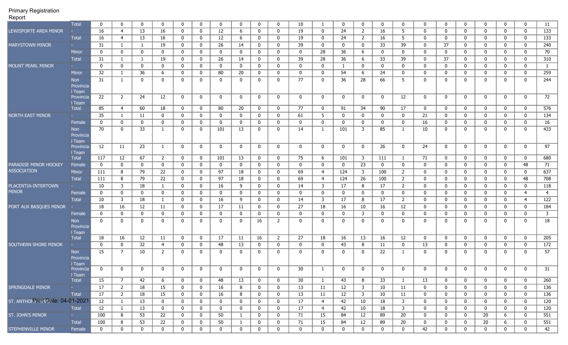| $\cdot \cdot \cdot$               |                        |              |                |              |                |              |                |              |              |              |                |              |                |              |                         |              |                |              |              |                |              |                  |                  |                 |
|-----------------------------------|------------------------|--------------|----------------|--------------|----------------|--------------|----------------|--------------|--------------|--------------|----------------|--------------|----------------|--------------|-------------------------|--------------|----------------|--------------|--------------|----------------|--------------|------------------|------------------|-----------------|
|                                   | <b>Total</b>           | 0            | 0              | $\mathbf 0$  | 0              | 0            | $\mathbf 0$    | 0            | 0            | $\mathbf 0$  | 0              | 10           | -1             | $\Omega$     | 0                       | 0            | 0              | 0            | $\mathbf 0$  | $\mathbf 0$    | 0            | 0                | 0                | 11              |
| LEWISPORTE AREA MINOR             |                        | 16           | $\overline{4}$ | 13           | 16             | $\mathbf 0$  | $\mathbf 0$    | 12           | 6            | $\mathbf 0$  | 0              | 19           | $\mathbf 0$    | 24           | $\overline{2}$          | 16           | 5              | 0            | $\mathbf 0$  | $\mathbf 0$    | 0            | 0                | $\mathbf 0$      | $\frac{133}{ }$ |
|                                   | <b>Total</b>           | 16           | 4              | 13           | 16             | $\mathbf 0$  | $\mathbf 0$    | 12           | 6            | $\mathbf 0$  | 0              | 19           | $\mathbf{0}$   | 24           | $\overline{2}$          | 16           | 5              | $\mathbf 0$  | $\mathbf 0$  | $\mathbf 0$    | 0            | 0                | 0                | 133             |
| <b>MARYSTOWN MINOR</b>            |                        | 31           | 1              | 1            | 19             | $\mathbf 0$  | $\mathbf 0$    | 26           | 14           | $\mathbf 0$  | 0              | 39           | $\mathbf 0$    | 0            | $\mathbf 0$             | 33           | 39             | $\bf{0}$     | 37           | $\mathbf 0$    | $\mathbf{0}$ | 0                | $\mathbf 0$      | 240             |
|                                   | Minor                  | 0            | $\mathbf 0$    | $\mathbf 0$  | 0              | $\mathbf 0$  | $\mathbf 0$    | $\mathbf 0$  | 0            | $\mathbf 0$  | $\mathbf 0$    | 0            | 28             | 36           | 6                       | 0            | 0              | $\bf{0}$     | $\mathbf 0$  | $\mathbf 0$    | 0            | 0                | $\mathbf 0$      | 70              |
|                                   | <b>Total</b>           | 31           | 1              | $\mathbf{1}$ | 19             | $\mathbf 0$  | $\mathbf 0$    | 26           | 14           | $\mathbf 0$  | 0              | 39           | 28             | 36           | 6                       | 33           | 39             | 0            | 37           | $\mathbf 0$    | $\mathbf{0}$ | 0                | $\mathbf 0$      | 310             |
| <b>MOUNT PEARL MINOR</b>          |                        | 0            | $\mathbf 0$    | $\bf{0}$     | 0              | $\mathbf 0$  | $\mathbf 0$    | 0            | 0            | $\mathbf 0$  | 0              | 0            | $\mathbf 0$    | -1           | $\mathbf 0$             | $\mathbf 0$  | 0              | 0            | $\mathbf 0$  | $\mathbf 0$    | 0            | 0                | 0                | -1              |
|                                   | Minor                  | 32           | 1              | 36           | 6              | 0            | $\mathbf 0$    | 80           | 20           | $\mathbf 0$  | 0              | $\mathbf{0}$ | 0              | 54           | 6                       | 24           | 0              | 0            | 0            | $\mathbf{0}$   | 0            | 0                | 0                | 259             |
|                                   | Non                    | 31           | 1              | $\mathbf 0$  | 0              | $\mathbf 0$  | $\mathbf 0$    | $\mathbf{0}$ | 0            | $\mathbf 0$  | $\mathbf 0$    | 77           | 0              | 36           | 28                      | 66           | 5              | $\mathbf 0$  | $\mathbf 0$  | 0              | 0            | $\mathbf 0$      | $\mathbf{0}$     | 244             |
|                                   | Provincia              |              |                |              |                |              |                |              |              |              |                |              |                |              |                         |              |                |              |              |                |              |                  |                  |                 |
|                                   | l Team                 |              |                |              |                |              |                |              |              |              |                |              |                |              |                         |              |                |              |              |                |              |                  |                  |                 |
|                                   | Provincia              | 22           | $\overline{2}$ | 24           | 12             | $\mathbf 0$  | $\mathbf 0$    | $\mathbf{0}$ | $\mathbf 0$  | $\mathbf{0}$ | $\mathbf{0}$   | $\mathbf 0$  | $\mathbf 0$    | 0            | $\mathbf 0$             | $\mathbf{0}$ | 12             | $\mathbf{0}$ | $\mathbf 0$  | $\mathbf 0$    | $\mathbf 0$  | $\mathbf 0$      | $\mathbf 0$      | 72              |
|                                   | l Team<br><b>Total</b> | 85           | $\overline{4}$ | 60           | 18             | $\mathbf 0$  | $\mathbf 0$    | 80           | 20           | $\mathbf 0$  | 0              | 77           | $\mathbf{0}$   | 91           | 34                      | 90           | 17             | $\mathbf 0$  | $\mathbf 0$  | $\mathbf 0$    | 0            | $\mathbf 0$      | 0                | 576             |
| <b>NORTH EAST MINOR</b>           |                        | 35           | -1             | 11           | $\mathbf 0$    | 0            | $\mathbf 0$    | $\mathbf 0$  | 0            | $\mathbf 0$  | $\mathbf 0$    | 61           | 5              | 0            | $\mathbf 0$             | $\mathbf 0$  | $\mathbf 0$    | 21           | $\mathbf 0$  | $\mathbf 0$    | $\mathbf{0}$ | 0                | 0                | 134             |
|                                   | Female                 | 0            | $\mathbf 0$    | $\bf{0}$     | $\mathbf 0$    | 0            | $\mathbf 0$    | $\mathbf 0$  | 0            | $\mathbf 0$  | $\mathbf 0$    | 0            | 0              | 0            | $\mathbf 0$             | $\mathbf 0$  | 0              | 16           | $\mathbf 0$  | $\mathbf 0$    | $\mathbf{0}$ | 0                | $\boldsymbol{0}$ | 16              |
|                                   | Non                    | 70           | 0              | 33           | 1              | 0            | $\mathbf{0}$   | 101          | 13           | $\mathbf 0$  | 0              | 14           | -1             | 101          | 3                       | 85           |                | 10           | 0            | $\mathbf{0}$   | 0            | $\mathbf{0}$     | 0                | 433             |
|                                   | Provincia              |              |                |              |                |              |                |              |              |              |                |              |                |              |                         |              |                |              |              |                |              |                  |                  |                 |
|                                   | I Team                 |              |                |              |                |              |                |              |              |              |                |              |                |              |                         |              |                |              |              |                |              |                  |                  |                 |
|                                   | Provincia              | 12           | 11             | 23           | $\mathbf{1}$   | $\mathbf 0$  | $\mathbf 0$    | $\mathbf{0}$ | $\mathbf 0$  | $\mathbf 0$  | $\mathbf{0}$   | $\mathbf 0$  | $\mathbf{0}$   | $\mathbf{0}$ | $\mathbf 0$             | 26           | $\mathbf{0}$   | 24           | $\mathbf 0$  | $\mathbf 0$    | $\mathbf 0$  | $\mathbf 0$      | $\mathbf 0$      | $\overline{97}$ |
|                                   | l Team<br><b>Total</b> | 117          | 12             | 67           | $2^{\circ}$    | $\mathbf 0$  | $\mathbf 0$    | 101          | 13           | $\mathbf 0$  | $\mathbf 0$    | 75           | 6              | 101          | $\overline{\mathbf{3}}$ | 111          | $\mathbf{1}$   | 71           | $\mathbf 0$  | $\mathbf 0$    | $\mathbf{0}$ | 0                | $\mathbf 0$      | 680             |
| PARADISE MINOR HOCKEY             | Female                 | 0            | $\mathbf 0$    | $\mathbf 0$  | $\mathbf 0$    | $\mathbf 0$  | $\mathbf 0$    | $\mathbf 0$  | 0            | $\mathbf{0}$ | $\mathbf 0$    | 0            | $\mathbf 0$    | 0            | 23                      | $\mathbf 0$  | $\mathbf 0$    | $\mathbf 0$  | $\mathbf 0$  | $\mathbf 0$    | 0            | 0                | 48               | 71              |
| <b>ASSOCIATION</b>                | Minor                  | 111          | 8              | 79           | 22             | 0            | $\bf{0}$       | 97           | 18           | $\bf{0}$     | $\mathbf 0$    | 69           | 4              | 124          | $\overline{\mathbf{3}}$ | 100          | $\overline{2}$ | $\bf{0}$     | $\mathbf 0$  | $\mathbf 0$    | $\mathbf{0}$ | 0                | 0                | 637             |
|                                   | <b>Total</b>           | 111          | 8              | 79           | 22             | $\mathbf 0$  | $\bf{0}$       | 97           | 18           | $\bf{0}$     | 0              | 69           | 4              | 124          | 26                      | 100          | $\overline{2}$ | 0            | $\mathbf 0$  | $\mathbf{0}$   | $\mathbf{0}$ | 0                | 48               | 708             |
| PLACENTIA-INTERTOWN               |                        | 10           | 3              | 18           | $\mathbf{1}$   | $\mathbf 0$  | $\mathbf 0$    | 16           | 9            | $\mathbf 0$  | 0              | 14           | 3              | 17           | 8                       | 17           | $\overline{2}$ | 0            | $\mathbf 0$  | $\mathbf 0$    | 0            | 0                | 0                | 118             |
| <b>MINOR</b>                      | Female                 | 0            | 0              | $\bf{0}$     | $\mathbf 0$    | 0            | $\mathbf 0$    | 0            | 0            | $\mathbf 0$  | 0              | 0            | $\mathbf{0}$   | $\Omega$     | $\mathbf 0$             | $\mathbf 0$  | 0              | 0            | $\mathbf 0$  | $\mathbf 0$    | 0            | 0                | $\overline{4}$   | 4               |
|                                   | <b>Total</b>           | 10           | 3              | 18           | $\mathbf{1}$   | 0            | $\mathbf 0$    | 16           | 9            | $\mathbf 0$  | 0              | 14           | 3              | 17           | 8                       | 17           | $\mathbf{2}$   | 0            | 0            | $\mathbf 0$    | 0            | 0                | $\overline{4}$   | 122             |
| PORT AUX BASQUES MINOR            |                        | 18           | 16             | 12           | 11             | 0            | $\mathbf 0$    | 17           | 11           | $\mathbf 0$  | 0              | 27           | 18             | 16           | 10                      | 16           | 12             | 0            | 0            | $\mathbf 0$    | 0            | 0                | 0                | 184             |
|                                   | Female                 | 0            | 0              | $\bf{0}$     | $\mathbf 0$    | $\mathbf 0$  | $\bf{0}$       | $\mathbf 0$  | 0            | $\mathbf 0$  | 0              | 0            | 0              | $\mathbf{0}$ | 3                       | 0            | 0              | 0            | 0            | $\mathbf 0$    | 0            | 0                | 0                | 3               |
|                                   | Non                    | $\mathbf{0}$ | $\mathbf{0}$   | $\mathbf 0$  | 0              | 0            | 0              | 0            | 0            | 16           | 2              | $\mathbf{0}$ | 0              | $\Omega$     | 0                       | $\mathbf{0}$ | 0              | 0            | 0            | 0              | 0            | $\mathbf{0}$     | 0                | 18              |
|                                   | Provincia              |              |                |              |                |              |                |              |              |              |                |              |                |              |                         |              |                |              |              |                |              |                  |                  |                 |
|                                   | I Team                 |              |                |              |                |              |                |              |              |              |                |              |                |              |                         |              |                |              |              |                |              |                  |                  |                 |
|                                   | <b>Total</b>           | 18           | 16             | 12           | 11             | $\mathbf 0$  | $\mathbf 0$    | 17           | 11           | 16           | $\overline{2}$ | 27           | 18             | 16           | 13                      | 16           | 12             | $\mathbf 0$  | $\mathbf 0$  | $\mathbf{0}$   | 0            | $\mathbf 0$      | $\mathbf 0$      | 205             |
| <b>SOUTHERN SHORE MINOR</b>       |                        | $\mathbf 0$  | $\mathbf 0$    | 32           | $\overline{4}$ | $\mathbf 0$  | $\mathbf 0$    | 48           | 13           | $\mathbf 0$  | 0              | 0            | $\mathbf{0}$   | 43           | 8                       | 11           | 0              | 13           | $\mathbf 0$  | $\mathbf 0$    | 0            | 0                | 0                | 172             |
|                                   | Non                    | 15           | $\overline{7}$ | 10           | $\mathbf{2}$   | $\mathbf 0$  | $\mathbf{0}$   | $\mathbf{0}$ | 0            | $\mathbf 0$  | 0              | $\mathbf{0}$ | 0              | $\Omega$     | 0                       | 22           | -1             | 0            | 0            | $\mathbf{0}$   | 0            | 0                | 0                | 57              |
|                                   | Provincia              |              |                |              |                |              |                |              |              |              |                |              |                |              |                         |              |                |              |              |                |              |                  |                  |                 |
|                                   | Team<br>Provincia      | $\Omega$     | $\mathbf{0}$   | 0            | $\mathbf{0}$   | 0            | $\mathbf{0}$   | $\Omega$     | $\mathbf{0}$ | 0            | $\Omega$       | 30           | $\mathbf{1}$   | $\Omega$     | 0                       | $\Omega$     | $\Omega$       | 0            | $\mathbf{0}$ | $\mathbf{0}$   | 0            | $\mathbf{0}$     | 0                | 31              |
|                                   | I Team                 |              |                |              |                |              |                |              |              |              |                |              |                |              |                         |              |                |              |              |                |              |                  |                  |                 |
|                                   | Total                  | 15           | $\overline{7}$ | 42           | 6              | $\bf{0}$     | $\mathbf{0}$   | 48           | 13           | $\mathbf{0}$ | $\mathbf{0}$   | 30           | $\mathbf{1}$   | 43           | 8                       | 33           | $\mathbf{1}$   | 13           | $\bf{0}$     | $\mathbf{0}$   | $\mathbf 0$  | $\mathbf 0$      | $\bf{0}$         | 260             |
| SPRINGDALE MINOR                  | <b>Harry</b>           | 17           | $\overline{2}$ | 18           | 15             | $\bf{0}$     | $\mathbf{0}$   | 16           | 8            | $\mathbf{0}$ | $\mathbf{0}$   | 13           | 11             | 12           | $\overline{\mathbf{3}}$ | 10           | 11             | $\mathbf 0$  | $\mathbf{0}$ | $\mathbf{0}$   | $\mathbf 0$  | $\boldsymbol{0}$ | $\bf{0}$         | 136             |
|                                   | Total                  | 17           | $\overline{2}$ | 18           | 15             | $\bf{0}$     | $\mathbf{0}$   | 16           | 8            | $\bf{0}$     | $\mathbf{0}$   | 13           | 11             | 12           | $\overline{\mathbf{3}}$ | 10           | 11             | $\mathbf 0$  | 0            | $\overline{0}$ | 0            | 0                | $\bf{0}$         | 136             |
| ST. ANTHON Print Date: 04-01-2021 |                        | 12           | $\mathbf{1}$   | 13           | $\mathbf{0}$   | $\bf{0}$     | $\overline{0}$ | $\mathbf{0}$ | $\mathbf 0$  | $\bf{0}$     | $\mathbf{0}$   | 17           | $\overline{4}$ | 42           | 10                      | 18           | $\overline{3}$ | $\mathbf 0$  | $\bf{0}$     | $\overline{0}$ | $\mathbf{0}$ | $\mathbf 0$      | $\bf{0}$         | 120             |
|                                   | Total                  | 12           | $\mathbf{1}$   | 13           | $\mathbf 0$    | $\mathbf 0$  | $\mathbf{0}$   | $\mathbf{0}$ | $\mathbf 0$  | $\mathbf{0}$ | $\mathbf{0}$   | 17           | $\overline{4}$ | 42           | 10                      | 18           | $\overline{3}$ | $\mathbf 0$  | $\mathbf{0}$ | $\mathbf{0}$   | $\mathbf 0$  | 0                | $\mathbf 0$      | 120             |
| ST. JOHN'S MINOR                  | <b>Participants</b>    | 100          | 8              | 53           | 22             | $\bf{0}$     | $\mathbf{0}$   | 50           | 1            | $\mathbf{0}$ | $\mathbf{0}$   | 71           | 15             | 84           | 12                      | 89           | 20             | $\mathbf{0}$ | $\bf{0}$     | $\mathbf{0}$   | 20           | 6                | $\overline{0}$   | 551             |
|                                   | Total                  | 100          | 8              | 53           | 22             | $\mathbf{0}$ | $\mathbf{0}$   | 50           | $\mathbf{1}$ | $\mathbf{0}$ | $\mathbf{0}$   | 71           | 15             | 84           | 12                      | 89           | 20             | $\mathbf{0}$ | $\mathbf 0$  | $\mathbf{0}$   | 20           | 6                | $\overline{0}$   | 551             |
| STEPHENVILLE MINOR                | Female                 | $\mathbf{0}$ | $\mathbf 0$    | $\bf{0}$     | $\mathbf{0}$   | $\bf{0}$     | $\mathbf{0}$   | $\mathbf{0}$ | $\mathbf 0$  | $\mathbf{0}$ | $\mathbf{0}$   | $\mathbf{0}$ | $\mathbf{0}$   | 0            | $\mathbf{0}$            | $\mathbf{0}$ | $\mathbf{0}$   | 42           | $\mathbf 0$  | $\mathbf{0}$   | $\mathbf 0$  | $\mathbf 0$      | $\mathbf 0$      | 42              |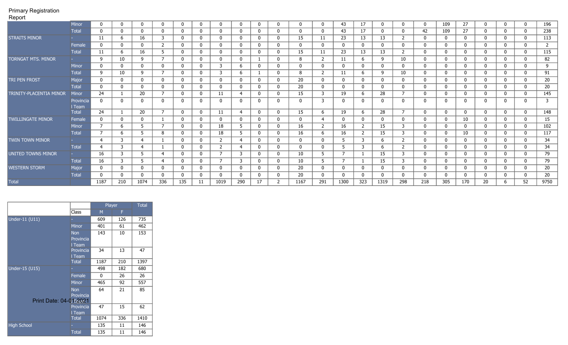| $\cdots$                  |              |                |     |                |                          |              |              |                |                |              |             |      |                |              |                |          |                          |                |              |              |              |              |      |
|---------------------------|--------------|----------------|-----|----------------|--------------------------|--------------|--------------|----------------|----------------|--------------|-------------|------|----------------|--------------|----------------|----------|--------------------------|----------------|--------------|--------------|--------------|--------------|------|
|                           | <b>Minor</b> | $\Omega$       | 0   | $\mathbf 0$    | 0                        | 0            | $\mathbf 0$  |                |                | $\mathbf 0$  |             | 0    | $\mathbf{0}$   | 43           | 17             | 0        |                          | 0              | 109          | 27           | $\mathbf 0$  | 0            | 196  |
|                           | <b>Total</b> | $\Omega$       | 0   | 0              | 0                        | $\Omega$     | $\mathbf 0$  |                |                | $\Omega$     |             |      | $\mathbf{0}$   | 43           | 17             | 0        |                          | 42             | 109          | 27           | 0            | $\mathbf{0}$ | 238  |
| <b>STRAITS MINOR</b>      |              | 11             | 6   | 16             | 3                        | 0            | $\bf{0}$     | 0              | 0              | $\mathbf 0$  | $\mathbf 0$ | 15   | 11             | 23           | 13             | 13       | $\overline{2}$           | 0              | 0            | $\mathbf 0$  | $\mathbf 0$  | 0            | 113  |
|                           | Female       | $\Omega$       | 0   | 0              | 2                        | 0            | $\mathbf 0$  |                |                | $\mathbf{0}$ |             |      | $\mathbf{0}$   | 0            | 0              | 0        |                          | 0              | 0            | 0            | 0            | 0            | 2    |
|                           | <b>Total</b> | 11             | 6   | 16             | 5                        | 0            | $\bf{0}$     |                |                | $\mathbf 0$  | 0           | 15   | 11             | 23           | 13             | 13       | $\overline{2}$           | 0              | 0            | $\mathbf 0$  | 0            | 0            | 115  |
| <b>TORNGAT MTS. MINOR</b> |              | 9              | 10  | 9              | $\overline{ }$           | 0            | $\mathbf 0$  | $\Omega$       | $\mathbf{0}$   |              | 0           | 8    | $\overline{2}$ | -11          | 6              | 9        | 10                       | 0              | $\mathbf{0}$ | $\mathbf 0$  | $\mathbf{0}$ | $\mathbf{0}$ | 82   |
|                           | Minor        | 0              | 0   | $\mathbf 0$    | $\mathbf 0$              | $\mathbf{0}$ | $\mathbf{0}$ | 3              | 6              | $\mathbf{0}$ | $\mathbf 0$ | 0    | $\mathbf 0$    | $\mathbf{0}$ | $\mathbf 0$    | 0        |                          | $\mathbf{0}$   | 0            | $\mathbf 0$  | $\mathbf 0$  | $\mathbf{0}$ | 9    |
|                           | <b>Total</b> | 9              | 10  | 9              | $\overline{ }$           | 0            | $\bf{0}$     | 3              | 6              |              |             | 8    | 2              | 11           | 6              | 9        | 10                       | 0              | $\mathbf{0}$ | $\mathbf 0$  | $\mathbf{0}$ | 0            | 91   |
| <b>TRI PEN FROST</b>      | Major        | $\mathbf{0}$   | 0   | 0              | 0                        | $\Omega$     | $\mathbf{0}$ |                |                | $\Omega$     | 0           | 20   | $\mathbf{0}$   | $\Omega$     | 0              | $\Omega$ |                          | $\Omega$       | $\Omega$     | $\mathbf 0$  | $\mathbf 0$  | $\Omega$     | 20   |
|                           | <b>Total</b> | 0              | 0   | $\bf{0}$       | 0                        | 0            | $\mathbf 0$  | <sup>n</sup>   | $\Omega$       | $\mathbf 0$  | 0           | 20   | $\mathbf{0}$   | 0            | 0              | 0        | 0                        | 0              | 0            | $\mathbf 0$  | $\mathbf 0$  | 0            | 20   |
| TRINITY-PLACENTIA MINOR   | <b>Minor</b> | 24             |     | 20             | $\overline{7}$           | 0            | $\mathbf 0$  | 11             | -4             | $\mathbf{0}$ |             | 15   | 3              | 19           | 6              | 28       | 7                        | 0              | 0            | 0            | $\mathbf{0}$ | 0            | 145  |
|                           | Provincia    | 0              | 0   | 0              | 0                        | 0            | $\mathbf{0}$ |                |                | $\mathbf{0}$ |             | 0    | 3              | 0            | 0              | 0        |                          | 0              | 0            | 0            | $\mathbf{0}$ |              | 3    |
|                           | Team         |                |     |                | $\overline{ }$           |              |              |                |                |              |             |      |                |              |                |          | $\overline{\phantom{a}}$ |                |              |              |              |              |      |
|                           | <b>Total</b> | 24             |     | 20             |                          | $\mathbf 0$  | $\bf{0}$     | 11             | $\overline{4}$ | $\mathbf 0$  | 0           | 15   | 6              | 19           | 6              | 28       |                          | $\mathbf 0$    | 0            | $\mathbf 0$  | $\mathbf 0$  | 0            | 148  |
| <b>TWILLINGATE MINOR</b>  | Female       | 0              | 0   | 0              |                          | 0            | $\mathbf{0}$ |                |                | $\mathbf{0}$ | 0           |      | 4              |              | 0              | 0        |                          | 0              | 0            | 10           | 0            | 0            | 15   |
|                           | Minor        | $\overline{7}$ | 6   | 5              | $\overline{\phantom{a}}$ | 0            | $\bf{0}$     | 18             | -5             | $\mathbf{0}$ |             | 16   | $\overline{2}$ | 16           | $\overline{2}$ | 15       | 3                        | 0              | 0            | $\mathbf 0$  | 0            | $\mathbf{0}$ | 102  |
|                           | <b>Total</b> | $\overline{7}$ | 6   | 5              | 8                        | $\mathbf{0}$ | $\bf{0}$     | 18             | .5             | $\mathbf{0}$ | 0           | 16   | 6              | 16           | $\overline{2}$ | 15       | 3                        | $\mathbf{0}$   | 0            | 10           | $\mathbf 0$  | 0            | 117  |
| TWIN TOWN MINOR           |              | $\overline{4}$ | 3   | 4              |                          | 0            | $\bf{0}$     |                | 4              | $\mathbf 0$  |             | 0    | $\mathbf{0}$   |              | 3              | 6        | 2                        | 0              | 0            | $\mathbf 0$  | $\mathbf{0}$ | 0            | 34   |
|                           | Total        | $\overline{4}$ | 3   | $\overline{4}$ |                          | $\mathbf{0}$ | $\mathbf{0}$ | C.             | -4             | $\mathbf{0}$ | 0           | 0    | $\mathbf{0}$   |              | 3              | 6        | $\overline{2}$           | $\overline{0}$ | $\mathbf{0}$ | $\mathbf 0$  | $\mathbf{0}$ | 0            | 34   |
| UNITED TOWNS MINOR        |              | 16             | 3   | 5              | 4                        | $\Omega$     | $\mathbf{0}$ | $\overline{7}$ | 3              | $\mathbf{0}$ | 0           | 10   | 5              |              |                | 15       | 3                        | $\mathbf{0}$   | 0            | $\mathbf 0$  | $\mathbf{0}$ | 0            | 79   |
|                           | <b>Total</b> | 16             | 3   | 5              | 4                        | 0            | $\mathbf 0$  | $\overline{ }$ | 3              | $\mathbf{0}$ | 0           | 10   | 5              |              |                | 15       | 3                        | $\overline{0}$ | $\mathbf{0}$ | $\mathbf 0$  | $\mathbf{0}$ | $\mathbf{0}$ | 79   |
| <b>WESTERN STORM</b>      | Major        | 0              | 0   | 0              | 0                        | $\Omega$     | $\bf{0}$     | <sup>n</sup>   |                | $\mathbf{0}$ | 0           | 20   | $\mathbf 0$    | 0            | 0              | 0        |                          | 0              | 0            | $\mathbf{0}$ | $\mathbf{0}$ | $\Omega$     | 20   |
|                           | <b>Total</b> | $\Omega$       | 0   | 0              | 0                        | $\Omega$     | $\mathbf 0$  |                |                | $\Omega$     |             | 20   | $\mathbf{0}$   | $\Omega$     | $\mathbf{0}$   | $\Omega$ |                          | $\Omega$       | $\Omega$     | 0            | $\Omega$     |              | 20   |
| <b>Total</b>              |              | 1187           | 210 | 1074           | 336                      | 135          | 11           | 1019           | 290            | 17           | 2           | 1167 | 291            | 1300         | 323            | 1319     | 298                      | 218            | 305          | 170          | 20           | 52           | 9750 |

|                        |                        | Player |     | <b>Total</b> |
|------------------------|------------------------|--------|-----|--------------|
|                        | Class                  | M      | F   |              |
| Under-11 (U11)         |                        | 609    | 126 | 735          |
|                        | <b>Minor</b>           | 401    | 61  | 462          |
|                        | <b>Non</b>             | 143    | 10  | 153          |
|                        | Provincia              |        |     |              |
|                        | I Team                 |        |     |              |
|                        | Provincia              | 34     | 13  | 47           |
|                        | I Team<br><b>Total</b> | 1187   | 210 | 1397         |
|                        |                        |        |     |              |
| Under-15 (U15)         |                        | 498    | 182 | 680          |
|                        | Female                 | 0      | 26  | 26           |
|                        | <b>Minor</b>           | 465    | 92  | 557          |
|                        | <b>Non</b>             | 64     | 21  | 85           |
| Print Date: 04-01-2021 | Provincia              |        |     |              |
|                        | Provincia              | 47     | 15  | 62           |
|                        | l Team                 |        |     |              |
|                        | <b>Total</b>           | 1074   | 336 | 1410         |
| <b>High School</b>     |                        | 135    | 11  | 146          |
|                        | <b>Total</b>           | 135    | 11  | 146          |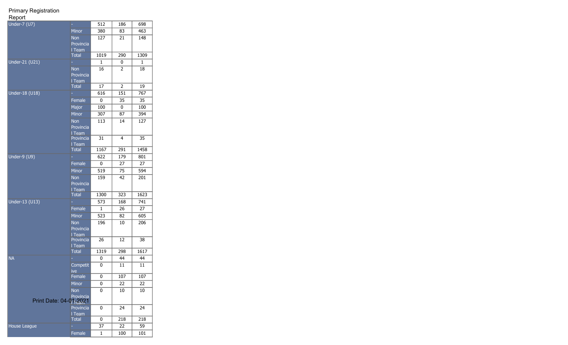| Under-7 (U7)           |                         | 512          | 186            | 698  |
|------------------------|-------------------------|--------------|----------------|------|
|                        | <b>Minor</b>            | 380          | 83             | 463  |
|                        | <b>Non</b><br>Provincia | 127          | 21             | 148  |
|                        | I Team                  |              |                |      |
|                        | <b>Total</b>            | 1019         | 290            | 1309 |
| Under-21 (U21)         |                         | $\mathbf{1}$ | 0              | 1    |
|                        | <b>Non</b><br>Provincia | 16           | 2              | 18   |
|                        | I Team<br><b>Total</b>  | 17           | $\overline{2}$ | 19   |
| Under-18 (U18)         |                         | 616          | 151            | 767  |
|                        | Female                  | 0            | 35             | 35   |
|                        | Major                   | 100          | 0              | 100  |
|                        | <b>Minor</b>            | 307          | 87             | 394  |
|                        | <b>Non</b>              | 113          | 14             | 127  |
|                        | Provincia<br>I Team     |              |                |      |
|                        | Provincia<br>I Team     | 31           | 4              | 35   |
|                        | <b>Total</b>            | 1167         | 291            | 1458 |
| $Under-9 (U9)$         |                         | 622          | 179            | 801  |
|                        | Female                  | 0            | 27             | 27   |
|                        | <b>Minor</b>            | 519          | 75             | 594  |
|                        | <b>Non</b>              | 159          | 42             | 201  |
|                        | Provincia<br>I Team     |              |                |      |
|                        | <b>Total</b>            | 1300         | 323            | 1623 |
| Under-13 (U13)         |                         | 573          | 168            | 741  |
|                        | Female                  | 1            | 26             | 27   |
|                        | <b>Minor</b>            | 523          | 82             | 605  |
|                        | Non<br>Provincia        | 196          | 10             | 206  |
|                        | I Team<br>Provincia     | 26           | 12             | 38   |
|                        | I Team                  |              |                |      |
|                        | <b>Total</b>            | 1319         | 298            | 1617 |
| <b>NA</b>              |                         | 0            | 44             | 44   |
|                        | Competit<br>ive         | 0            | 11             | 11   |
|                        | Female                  | 0            | 107            | 107  |
|                        | <b>Minor</b>            | 0            | 22             | 22   |
|                        | <b>Non</b><br>Provincia | 0            | 10             | 10   |
| Print Date: 04-01-2021 |                         |              |                |      |
|                        | Provincia<br>I Team     | 0            | 24             | 24   |
|                        | <b>Total</b>            | 0            | 218            | 218  |
| House League           |                         | 37           | 22             | 59   |
|                        | Female                  | 1            | 100            | 101  |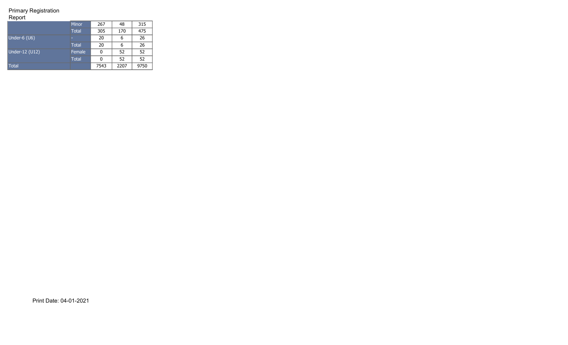#### Report

|                   | Minor        | 267  | 48   | 315  |
|-------------------|--------------|------|------|------|
|                   | <b>Total</b> | 305  | 170  | 475  |
| Under-6 (U6)      | ۰            | 20   | 6    | 26   |
|                   | <b>Total</b> | 20   | 6    | 26   |
| Under- $12$ (U12) | Female       | 0    | 52   | 52   |
|                   | <b>Total</b> | 0    | 52   | 52   |
| Total             |              | 7543 | 2207 | 9750 |

Print Date: 04-01-2021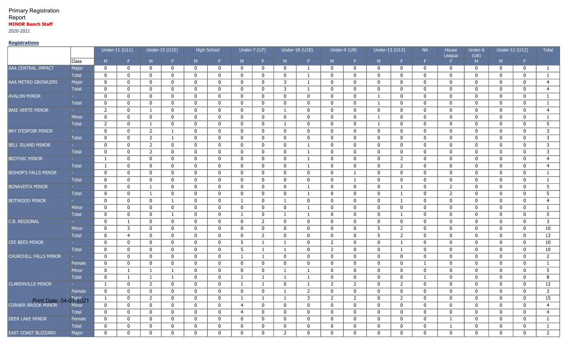## Primary Registration Report **MINOR Bench Staff** 2020-2021

## **Registrations**

|                                      |                |                | Under-11 (U11)   |                | Under-15 (U15) |              | <b>High School</b> |                | Under-7 (U7)   |                | Under-18 (U18) |                | Under-9 (U9)   | Under-13 (U13) |                | <b>NA</b>      | House<br>League | Under-6<br>(U6) | Under-12 (U12) |                | Total                   |
|--------------------------------------|----------------|----------------|------------------|----------------|----------------|--------------|--------------------|----------------|----------------|----------------|----------------|----------------|----------------|----------------|----------------|----------------|-----------------|-----------------|----------------|----------------|-------------------------|
|                                      | Class          | M              | F.               | M              | F.             | M            | F.                 | M              | F.             | M              | F.             | M.             | F.             | M              | F.             | F.             | Е.              | M               | M              | F.             |                         |
| AAA_CENTRAL IMPACT                   | Major          | $\mathbf 0$    | $\mathbf 0$      | $\mathbf 0$    | 0              | 0            | $\mathbf 0$        | 0              | $\mathbf 0$    | 0              | -1             | 0              | $\mathbf 0$    | 0              | $\mathbf 0$    | 0              | 0               | 0               | $\mathbf{0}$   | $\mathbf 0$    | $\mathbf{1}$            |
|                                      | <b>Total</b>   | $\mathbf 0$    | $\mathbf 0$      | 0              | $\mathbf 0$    | $\mathbf{0}$ | $\mathbf 0$        | $\mathbf{0}$   | $\mathbf 0$    | $\mathbf 0$    | 1              | $\mathbf 0$    | $\mathbf 0$    | $\mathbf{0}$   | $\mathbf 0$    | $\mathbf 0$    | $\mathbf 0$     | $\mathbf 0$     | $\mathbf 0$    | $\mathbf 0$    | $\mathbf{1}$            |
| AAA METRO GROWLERS                   | Major          | $\mathbf 0$    | $\mathbf 0$      | 0              | $\mathbf 0$    | $\mathbf{0}$ | $\mathbf 0$        | $\mathbf 0$    | $\mathbf 0$    | 3              | 1              | $\mathbf 0$    | $\mathbf 0$    | $\mathbf 0$    | 0              | 0              | $\mathbf 0$     | $\mathbf{0}$    | $\mathbf 0$    | $\mathbf 0$    | $\overline{4}$          |
|                                      | <b>Total</b>   | $\mathbf 0$    | $\mathbf 0$      | $\mathbf 0$    | $\mathbf 0$    | $\mathbf{0}$ | $\mathbf 0$        | $\mathbf{0}$   | $\mathbf 0$    | 3              | $\mathbf{1}$   | $\mathbf 0$    | $\mathbf 0$    | $\mathbf 0$    | $\mathbf 0$    | $\mathbf 0$    | $\mathbf 0$     | $\mathbf 0$     | $\mathbf 0$    | $\mathbf 0$    | $\overline{4}$          |
| <b>AVALON MINOR</b>                  |                | $\mathbf 0$    | $\pmb{0}$        | $\mathbf 0$    | $\mathbf 0$    | $\Omega$     | $\mathbf 0$        | $\Omega$       | $\mathbf 0$    | $\mathbf{0}$   | $\mathbf 0$    | $\mathbf 0$    | $\mathbf 0$    | $\mathbf{1}$   | $\mathbf 0$    | $\mathbf 0$    | $\mathbf 0$     | $\Omega$        | $\mathbf{0}$   | $\mathbf 0$    | $\mathbf{1}$            |
|                                      | <b>Total</b>   | $\mathbf 0$    | $\mathbf 0$      | 0              | $\mathbf 0$    | $\Omega$     | $\mathbf 0$        | 0              | 0              | $\mathbf 0$    | $\mathbf 0$    | 0              | 0              | $\mathbf{1}$   | $\mathbf 0$    | $\mathbf 0$    | 0               | $\mathbf 0$     | $\mathbf 0$    | 0              | $\mathbf{1}$            |
| <b>BAIE VERTE MINOR</b>              |                | $\overline{2}$ | 0                | -1             | $\mathbf 0$    | $\mathbf{0}$ | $\mathbf 0$        | 0              | 0              | -1             | 0              | 0              | $\mathbf 0$    | 0              | $\mathbf 0$    | 0              | 0               | 0               | $\mathbf 0$    | 0              | $\overline{4}$          |
|                                      | <b>Minor</b>   | $\mathbf 0$    | $\boldsymbol{0}$ | $\mathbf 0$    | $\mathbf 0$    | $\mathbf{0}$ | $\mathbf 0$        | $\mathbf 0$    | $\mathbf 0$    | $\mathbf 0$    | 0              | $\pmb{0}$      | $\mathbf 0$    | $\mathbf{1}$   | 0              | 0              | $\mathbf 0$     | $\mathbf{0}$    | $\mathbf 0$    | $\mathbf 0$    | $\mathbf{1}$            |
|                                      | <b>Total</b>   | $\overline{2}$ | $\mathbf 0$      | -1             | $\mathbf 0$    | $\mathbf{0}$ | $\mathbf 0$        | $\mathbf{0}$   | $\mathbf 0$    | 1              | 0              | $\mathbf 0$    | $\mathbf 0$    | $\mathbf{1}$   | $\mathbf 0$    | 0              | 0               | $\mathbf 0$     | $\mathbf 0$    | $\mathbf 0$    | 5                       |
| <b>BAY D'ESPOIR MINOR</b>            |                | $\mathbf 0$    | $\mathbf 0$      | $\overline{2}$ | $\mathbf{1}$   | $\mathbf{0}$ | $\mathbf 0$        | $\mathbf{0}$   | $\mathbf 0$    | $\mathbf 0$    | $\mathbf 0$    | $\mathbf 0$    | $\mathbf 0$    | $\mathbf 0$    | $\mathbf 0$    | $\mathbf 0$    | $\mathbf 0$     | $\mathbf{0}$    | $\mathbf 0$    | $\mathbf 0$    | 3                       |
|                                      | Total          | $\mathbf 0$    | $\mathbf 0$      | $\overline{2}$ | 1              | $\Omega$     | $\overline{0}$     | $\mathbf{0}$   | $\mathbf 0$    | $\mathbf{0}$   | $\mathbf 0$    | $\Omega$       | 0              | $\mathbf 0$    | $\mathbf 0$    | $\mathbf 0$    | $\mathbf 0$     | $\mathbf{0}$    | $\mathbf{0}$   | $\mathbf 0$    | $\overline{3}$          |
| <b>BELL ISLAND MINOR</b>             |                | $\mathbf{0}$   | $\mathbf 0$      | $\overline{2}$ | $\mathbf{0}$   | $\Omega$     | $\mathbf 0$        | $\mathbf{0}$   | $\mathbf 0$    | $\mathbf{0}$   | 1              | $\mathbf 0$    | $\Omega$       | $\mathbf 0$    | $\mathbf{0}$   | 0              | $\mathbf{0}$    | $\mathbf{0}$    | $\mathbf{0}$   | $\mathbf{0}$   | $\overline{\mathbf{3}}$ |
|                                      | <b>Total</b>   | $\mathbf 0$    | $\pmb{0}$        | $\overline{2}$ | $\mathbf 0$    | $\mathbf 0$  | $\mathbf 0$        | $\mathbf 0$    | $\mathbf 0$    | $\mathbf 0$    | $\mathbf{1}$   | $\mathbf 0$    | $\mathbf 0$    | $\mathbf 0$    | $\mathbf 0$    | $\mathbf 0$    | $\mathbf 0$     | $\Omega$        | $\mathbf 0$    | $\mathbf 0$    | $\overline{\mathbf{3}}$ |
| <b>BEOTHIC MINOR</b>                 |                | $\mathbf{1}$   | $\pmb{0}$        | $\mathbf 0$    | $\mathbf 0$    | $\mathbf 0$  | $\mathbf 0$        | $\mathbf{0}$   | $\mathbf 0$    | $\mathbf 0$    | $\mathbf{1}$   | $\mathbf 0$    | 0              | $\mathbf 0$    | 2              | $\mathbf 0$    | $\mathbf 0$     | $\mathbf 0$     | $\mathbf{0}$   | $\mathbf 0$    | $\overline{4}$          |
|                                      | <b>Total</b>   | 1              | $\overline{0}$   | $\mathbf 0$    | $\mathbf 0$    | $\mathbf{0}$ | $\mathbf 0$        | $\mathbf{0}$   | $\mathbf 0$    | $\mathbf 0$    | $\mathbf{1}$   | 0              | 0              | $\mathbf 0$    | $\overline{2}$ | $\mathbf 0$    | 0               | $\mathbf{0}$    | $\mathbf 0$    | $\mathbf 0$    | $\overline{4}$          |
| <b>BISHOP'S FALLS MINOR</b>          |                | $\mathbf 0$    | $\mathbf 0$      | 0              | $\mathbf 0$    | $\mathbf{0}$ | $\mathbf 0$        | 0              | $\mathbf 0$    | $\mathbf 0$    | $\mathbf 0$    | 0              | $\mathbf{1}$   | $\mathbf 0$    | $\mathbf 0$    | $\mathbf 0$    | $\mathbf 0$     | $\mathbf 0$     | $\mathbf{0}$   | $\mathbf 0$    | 1                       |
|                                      | <b>Total</b>   | $\mathbf 0$    | $\mathbf 0$      | $\mathbf 0$    | $\mathbf 0$    | $\mathbf{0}$ | $\mathbf 0$        | 0              | $\mathbf 0$    | $\mathbf 0$    | $\mathbf 0$    | $\mathbf 0$    | $\mathbf{1}$   | $\mathbf 0$    | $\mathbf 0$    | $\mathbf 0$    | $\mathbf 0$     | $\mathbf 0$     | $\mathbf 0$    | $\mathbf 0$    | $\mathbf{1}$            |
| <b>BONAVISTA MINOR</b>               | <b>Service</b> | $\mathbf 0$    | $\pmb{0}$        | -1             | $\mathbf 0$    | $\Omega$     | $\mathbf 0$        | $\mathbf 0$    | $\mathbf 0$    | $\mathbf{0}$   | 1              | $\mathbf 0$    | $\mathbf 0$    | $\mathbf 0$    | -1             | $\mathbf 0$    | $\overline{2}$  | $\Omega$        | $\mathbf 0$    | $\mathbf 0$    | $\overline{5}$          |
|                                      | <b>Total</b>   | $\mathbf 0$    | $\pmb{0}$        | $\mathbf{1}$   | $\mathbf 0$    | $\mathbf{0}$ | $\mathbf 0$        | $\mathbf{0}$   | $\mathbf{0}$   | $\mathbf{0}$   | 1              | $\mathbf 0$    | 0              | $\mathbf 0$    | $\mathbf{1}$   | $\mathbf 0$    | $\overline{2}$  | $\mathbf 0$     | $\mathbf 0$    | $\mathbf 0$    | 5                       |
| <b>BOTWOOD MINOR</b>                 |                | $\mathbf 0$    | $\mathbf 0$      | $\mathbf 0$    | $\mathbf{1}$   | $\Omega$     | $\mathbf 0$        | $\mathbf{1}$   | $\mathbf 0$    | $\mathbf{1}$   | $\mathbf 0$    | $\mathbf 0$    | $\mathbf 0$    | $\mathbf 0$    | $\mathbf{1}$   | $\mathbf 0$    | $\mathbf 0$     | $\Omega$        | $\mathbf 0$    | $\mathbf 0$    | $\overline{4}$          |
|                                      | Minor          | $\mathbf 0$    | $\mathbf 0$      | 0              | $\mathbf 0$    | $\mathbf{0}$ | $\mathbf 0$        | 0              | $\mathbf 0$    | 0              | 1              | 0              | 0              | 0              | $\mathbf 0$    | $\mathbf 0$    | $\mathbf 0$     | $\mathbf 0$     | $\mathbf{0}$   | 0              | $\mathbf{1}$            |
|                                      | <b>Total</b>   | $\mathbf 0$    | $\mathbf 0$      | $\mathbf 0$    | $\mathbf{1}$   | $\mathbf{0}$ | $\mathbf 0$        | -1             | $\mathbf 0$    | -1             | -1             | $\mathbf 0$    | $\mathbf 0$    | $\mathbf 0$    | $\mathbf{1}$   | $\mathbf 0$    | $\mathbf 0$     | $\mathbf 0$     | $\mathbf 0$    | $\mathbf 0$    | $\overline{5}$          |
| C.B. REGIONAL                        |                | $\mathbf 0$    | $\mathbf{1}$     | $\mathbf 0$    | $\mathbf 0$    | $\mathbf{0}$ | $\mathbf 0$        | $\mathbf 0$    | $\overline{2}$ | $\mathbf 0$    | $\mathbf 0$    | $\mathbf 0$    | $\mathbf 0$    | $\mathbf 0$    | $\mathbf 0$    | $\mathbf 0$    | $\mathbf 0$     | $\mathbf{0}$    | $\mathbf 0$    | $\mathbf 0$    |                         |
|                                      | <b>Minor</b>   | $\mathbf 0$    | $\overline{3}$   | $\mathbf 0$    | $\mathbf 0$    | $\mathbf{0}$ | $\mathbf{0}$       | $\mathbf{0}$   | $\mathbf 0$    | $\mathbf{0}$   | $\mathbf{0}$   | $\mathbf 0$    | $\mathbf 0$    | 5 <sup>5</sup> | $\overline{2}$ | $\mathbf 0$    | $\mathbf 0$     | $\mathbf 0$     | $\mathbf 0$    | $\mathbf 0$    | 10                      |
|                                      | <b>Total</b>   | $\mathbf 0$    | $\overline{4}$   | $\mathbf 0$    | $\mathbf 0$    | $\Omega$     | $\mathbf 0$        | $\Omega$       | $\overline{2}$ | $\mathbf{0}$   | $\mathbf 0$    | 0              | 0              | 5 <sub>5</sub> | $\overline{2}$ | $\mathbf 0$    | $\mathbf 0$     | $\Omega$        | $\mathbf{0}$   | $\mathbf 0$    | $\overline{13}$         |
| CEE BEES MINOR                       |                | $\mathbf 0$    | $\mathbf 0$      | 0              | $\mathbf 0$    | $\Omega$     | $\mathbf 0$        | 5              | 1              | 1              | $\mathbf 0$    | $2^{\circ}$    | 0              | $\mathbf 0$    | $\mathbf{1}$   | $\mathbf 0$    | 0               | $\mathbf 0$     | $\mathbf 0$    | $\mathbf 0$    | 10                      |
|                                      | <b>Total</b>   | $\mathbf 0$    | $\mathbf 0$      | 0              | $\mathbf 0$    | 0            | $\mathbf 0$        | $\overline{5}$ | 1              | -1             | $\mathbf 0$    | $\overline{2}$ | 0              | $\mathbf 0$    | $\mathbf{1}$   | $\mathbf 0$    | $\mathbf 0$     | $\mathbf 0$     | $\mathbf{0}$   | $\mathbf 0$    | 10                      |
| <b>CHURCHILL FALLS MINOR</b>         |                | $\mathbf 0$    | $\boldsymbol{0}$ | $\mathbf 0$    | $\mathbf 0$    | $\mathbf 0$  | $\mathbf 0$        | 1              | $\mathbf{1}$   | $\mathbf 0$    | 0              | $\overline{0}$ | $\mathbf 0$    | $\mathbf 0$    | $\mathbf 0$    | 0              | $\mathbf 0$     | $\mathbf{0}$    | $\mathbf 0$    | $\mathbf 0$    | $\overline{2}$          |
|                                      | Female         | $\mathbf 0$    | $\mathbf 0$      | $\mathbf 0$    | $\mathbf{0}$   | $\mathbf 0$  | $\mathbf 0$        | $\mathbf{0}$   | $\mathbf 0$    | $\mathbf 0$    | $\mathbf{0}$   | $\mathbf 0$    | $\mathbf 0$    | $\mathbf 0$    | $\mathbf 0$    | $\mathbf{1}$   | $\mathbf 0$     | $\mathbf 0$     | $\mathbf 0$    | $\mathbf 0$    | $\mathbf{1}$            |
|                                      | <b>Minor</b>   | $\mathbf 0$    | $\mathbf{1}$     | -1             | $\mathbf{1}$   | $\mathbf{0}$ | $\mathbf 0$        | $\Omega$       | $\mathbf 0$    | -1             | $\mathbf{1}$   | $\mathbf 0$    | $\mathbf 0$    | $\mathbf 0$    | $\mathbf 0$    | $\mathbf 0$    | $\mathbf 0$     | $\mathbf{0}$    | $\mathbf 0$    | $\mathbf 0$    | 5                       |
|                                      | <b>Total</b>   | $\mathbf 0$    | $\mathbf{1}$     | -1             | 1              | $\Omega$     | $\mathbf 0$        | 1              | 1              | 1              | 1              | $\mathbf 0$    | 0              | $\mathbf 0$    | $\mathbf 0$    | $\mathbf{1}$   | $\mathbf 0$     | $\mathbf{0}$    | $\mathbf{0}$   | $\mathbf 0$    | 8                       |
| <b>CLARENVILLE MINOR</b>             |                | $\mathbf{1}$   | $\overline{0}$   | $\overline{2}$ | $\overline{0}$ | $\mathbf 0$  | $\overline{0}$     | -1             | $\mathbf{1}$   | $\mathbf 0$    | <sup>1</sup>   | $\overline{2}$ | $\overline{2}$ | $\mathbf 0$    | $\overline{2}$ | $\overline{0}$ | $\overline{0}$  | $\mathbf 0$     | $\mathbf 0$    | $\mathbf 0$    | 12                      |
|                                      | Female         | 0              | $\mathbf 0$      | $\mathbf 0$    | $\mathbf 0$    | $\mathbf 0$  | $\mathbf 0$        | $\mathbf 0$    | $\mathbf 0$    | <sup>1</sup>   | $\overline{2}$ | $\overline{0}$ | $\mathbf 0$    | $\mathbf 0$    | $\mathbf 0$    | $\mathbf 0$    | $\mathbf 0$     | $\mathbf 0$     | $\mathbf 0$    | $\overline{0}$ |                         |
| Print Date: 04-0 <sup>105</sup> 3021 |                | $\mathbf{1}$   | $\mathbf 0$      | $\overline{2}$ | $\mathbf 0$    | $\mathbf 0$  | $\mathbf 0$        | 1              | $\mathbf{1}$   | $\mathbf{1}$   | $\overline{3}$ | $\overline{2}$ | $2^{\circ}$    | $\mathbf 0$    | $\overline{2}$ | 0              | $\mathbf 0$     | $\mathbf 0$     | $\mathbf 0$    | $\mathbf 0$    | 15                      |
|                                      |                | $\mathbf 0$    | $\mathbf 0$      | $\mathbf 0$    | $\mathbf 0$    | $\mathbf{0}$ | $\overline{0}$     | $\overline{4}$ | $\mathbf 0$    | $\mathbf 0$    | $\mathbf 0$    | $\mathbf 0$    | $\mathbf 0$    | $\mathbf 0$    | $\mathbf 0$    | $\mathbf 0$    | $\mathbf 0$     | $\mathbf{0}$    | $\mathbf 0$    | $\mathbf 0$    | $\overline{4}$          |
|                                      | <b>Total</b>   | $\mathbf 0$    | $\mathbf 0$      | $\mathbf 0$    | $\mathbf 0$    | $\Omega$     | $\overline{0}$     | $\overline{4}$ | $\mathbf{0}$   | $\mathbf{0}$   | $\mathbf 0$    | $\mathbf 0$    | 0              | $\mathbf 0$    | $\mathbf 0$    | $\mathbf 0$    | $\mathbf 0$     | $\mathbf 0$     | $\mathbf 0$    | $\mathbf 0$    | $\overline{4}$          |
| <b>DEER LAKE MINOR</b>               | Female         | $\mathbf 0$    | $\mathbf{0}$     | $\mathbf 0$    | $\mathbf 0$    | $\mathbf{0}$ | $\mathbf{0}$       | $\mathbf{0}$   | $\mathbf 0$    | $\mathbf{0}$   | $\mathbf 0$    | $\mathbf{0}$   | $\mathbf 0$    | $\mathbf 0$    | $\mathbf{0}$   | $\mathbf 0$    | $\mathbf{1}$    | $\mathbf 0$     | $\mathbf 0$    | $\mathbf 0$    | $\mathbf{1}$            |
|                                      | <b>Total</b>   | $\mathbf 0$    | $\mathbf 0$      | $\Omega$       | $\mathbf 0$    | $\Omega$     | $\mathbf 0$        | $\mathbf{0}$   | $\mathbf{0}$   | $\mathbf{0}$   | $\mathbf 0$    | $\mathbf 0$    | 0              | 0              | $\mathbf{0}$   | $\mathbf 0$    | $\mathbf{1}$    | $\Omega$        | $\mathbf{0}$   | $\mathbf{0}$   | $\mathbf{1}$            |
| <b>EAST COAST BLIZZARD</b>           | Major          | $\mathbf 0$    | $\mathbf 0$      | $\mathbf 0$    | $\Omega$       | $\Omega$     | $\mathbf 0$        | $\Omega$       | $\Omega$       | $\overline{2}$ | $\Omega$       | $\Omega$       | $\Omega$       | $\mathbf 0$    | $\Omega$       | $\Omega$       | $\mathbf 0$     | $\Omega$        | $\Omega$       | $\mathbf 0$    | $2^{\circ}$             |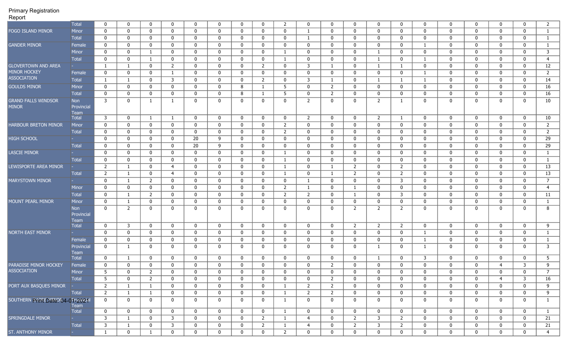|                                                    | <b>Total</b>                            | $\mathbf{0}$                       | $\mathbf 0$                | $\mathbf 0$                | $\mathbf{0}$                | $\mathbf 0$                | $\mathbf 0$             | $\mathbf 0$      | $\mathbf 0$                | 2              | $\mathbf 0$                | $\mathbf 0$                | $\mathbf{0}$                | $\mathbf 0$                 | $\mathbf{0}$               | $\mathbf 0$                | $\mathbf 0$                | $\mathbf 0$                | $\mathbf 0$                | $\mathbf{0}$                | $\overline{2}$               |
|----------------------------------------------------|-----------------------------------------|------------------------------------|----------------------------|----------------------------|-----------------------------|----------------------------|-------------------------|------------------|----------------------------|----------------|----------------------------|----------------------------|-----------------------------|-----------------------------|----------------------------|----------------------------|----------------------------|----------------------------|----------------------------|-----------------------------|------------------------------|
| FOGO ISLAND MINOR                                  | <b>Minor</b>                            | $\mathbf 0$                        | $\mathbf 0$                | $\mathbf 0$                | $\mathbf 0$                 | $\mathbf 0$                | $\mathbf 0$             | $\mathbf 0$      | $\mathbf 0$                | $\mathbf 0$    | 1                          | $\mathbf 0$                | $\mathbf{0}$                | $\mathbf 0$                 | $\mathbf{0}$               | $\mathbf 0$                | $\mathbf 0$                | $\mathbf 0$                | $\mathbf 0$                | 0                           | $\mathbf{1}$                 |
|                                                    | <b>Total</b>                            | $\mathbf 0$                        | $\mathbf 0$                | $\mathbf 0$                | $\mathbf 0$                 | $\mathbf 0$                | $\mathbf 0$             | $\mathbf 0$      | $\mathbf 0$                | $\mathbf 0$    | 1                          | $\mathbf 0$                | $\mathbf{0}$                | $\mathbf 0$                 | $\mathbf{0}$               | $\mathbf 0$                | $\mathbf{0}$               | 0                          | $\mathbf 0$                | 0                           | $\mathbf{1}$                 |
| <b>GANDER MINOR</b>                                | Female                                  | $\mathbf 0$                        | $\mathbf 0$                | $\mathbf 0$                | $\mathbf 0$                 | $\mathbf 0$                | $\mathbf 0$             | 0                | 0                          | $\mathbf{0}$   | $\mathbf 0$                | $\mathbf{0}$               | $\mathbf{0}$                | $\mathbf 0$                 | $\mathbf 0$                | 1                          | $\mathbf{0}$               | $\mathbf{0}$               | $\mathbf 0$                | $\mathbf{0}$                | 1                            |
|                                                    | <b>Minor</b>                            | $\mathbf 0$                        | $\mathbf 0$                | 1                          | $\mathbf 0$                 | $\mathbf 0$                | $\mathbf 0$             | $\mathbf 0$      | $\mathbf 0$                | $\mathbf{1}$   | $\mathbf 0$                | $\mathbf{0}$               | $\mathbf{0}$                | $\mathbf{1}$                | $\mathbf 0$                | $\mathbf 0$                | $\mathbf{0}$               | $\mathbf{0}$               | $\mathbf 0$                | $\mathbf{0}$                | 3                            |
|                                                    | <b>Total</b>                            | $\mathbf 0$                        | $\mathbf 0$                | $\mathbf{1}$               | $\mathbf 0$                 | $\mathbf 0$                | $\mathbf 0$             | $\mathbf 0$      | $\mathbf 0$                | $\mathbf{1}$   | $\mathbf 0$                | $\mathbf 0$                | $\mathbf{0}$                | $\mathbf{1}$                | $\mathbf{0}$               | $\mathbf{1}$               | $\mathbf 0$                | $\mathbf{0}$               | $\mathbf 0$                | 0                           | $\overline{4}$               |
| <b>GLOVERTOWN AND AREA</b>                         |                                         | 1                                  | 1                          | $\mathbf 0$                | $2^{\circ}$                 | $\mathbf 0$                | $\mathbf 0$             | $\mathbf 0$      | $\overline{2}$             | $\mathbf 0$    | 3                          | -1                         | $\mathbf{0}$                | $\mathbf{1}$                | $\mathbf{1}$               | $\mathbf 0$                | $\mathbf 0$                | $\mathbf{0}$               | $\mathbf 0$                | 0                           | 12                           |
| <b>MINOR HOCKEY</b>                                | Female                                  | $\bf{0}$                           | $\mathbf 0$                | $\mathbf 0$                | $\mathbf{1}$                | $\mathbf 0$                | $\mathbf 0$             | $\mathbf 0$      | $\mathbf 0$                | $\mathbf 0$    | $\mathbf 0$                | $\mathbf 0$                | $\mathbf{0}$                | $\mathbf 0$                 | $\mathbf{0}$               | $\mathbf{1}$               | $\mathbf 0$                | 0                          | $\mathbf 0$                | 0                           | $\overline{2}$               |
| <b>ASSOCIATION</b>                                 | <b>Total</b>                            | $\mathbf{1}$                       | $\mathbf{1}$               | $\mathbf 0$                | $\mathbf{3}$                | $\mathbf 0$                | $\mathbf 0$             | $\mathbf 0$      | $\overline{2}$             | $\mathbf 0$    | 3                          | -1                         | $\mathbf{0}$                | $\mathbf{1}$                | $\mathbf{1}$               | $\mathbf{1}$               | $\mathbf 0$                | $\mathbf 0$                | $\mathbf 0$                | $\mathbf 0$                 | 14                           |
| <b>GOULDS MINOR</b>                                | Minor                                   | $\mathbf 0$                        | $\mathbf 0$                | $\mathbf 0$                | $\mathbf 0$                 | $\mathbf 0$                | $\mathbf 0$             | 8                | $\mathbf{1}$               | 5              | $\mathbf 0$                | 2                          | $\mathbf{0}$                | $\mathbf 0$                 | $\mathbf 0$                | $\mathbf 0$                | $\mathbf 0$                | $\mathbf 0$                | $\mathbf 0$                | $\mathbf 0$                 | 16                           |
|                                                    | <b>Total</b>                            | $\mathbf 0$                        | $\mathbf 0$                | $\mathbf 0$                | $\mathbf 0$                 | $\mathbf 0$                | $\mathbf 0$             | 8                | $\mathbf{1}$               | 5              | $\mathbf 0$                | 2                          | $\mathbf 0$                 | $\mathbf 0$                 | $\mathbf 0$                | $\mathbf 0$                | $\mathbf 0$                | 0                          | $\mathbf 0$                | 0                           | 16                           |
| <b>GRAND FALLS WINDSOR</b>                         | Non                                     | 3                                  | $\mathbf 0$                | $\mathbf{1}$               | $\mathbf{1}$                | $\mathbf 0$                | 0                       | $\mathbf 0$      | $\mathbf 0$                | $\mathbf{0}$   | $\overline{2}$             | $\mathbf 0$                | $\mathbf 0$                 | $\overline{2}$              | $\mathbf{1}$               | $\mathbf 0$                | $\mathbf 0$                | 0                          | $\mathbf 0$                | $\Omega$                    | 10                           |
| <b>MINOR</b>                                       | Provincial<br>Team                      |                                    |                            |                            |                             |                            |                         |                  |                            |                |                            |                            |                             |                             |                            |                            |                            |                            |                            |                             |                              |
|                                                    | <b>Total</b>                            | 3                                  | $\mathbf 0$                | 1                          | $\mathbf{1}$                | $\mathbf 0$                | $\mathbf 0$             | $\mathbf 0$      | $\mathbf 0$                | $\mathbf{0}$   | $\overline{2}$             | $\mathbf{0}$               | $\mathbf{0}$                | $\overline{2}$              | $\mathbf{1}$               | $\mathbf 0$                | $\mathbf 0$                | $\mathbf{0}$               | $\mathbf 0$                | $\mathbf{0}$                | 10                           |
| <b>HARBOUR BRETON MINOR</b>                        | Minor                                   | $\mathbf 0$                        | $\mathbf 0$                | $\mathbf 0$                | $\mathbf{0}$                | $\mathbf 0$                | $\mathbf 0$             | $\mathbf 0$      | $\mathbf 0$                | 2              | $\mathbf 0$                | $\mathbf 0$                | $\mathbf 0$                 | $\mathbf 0$                 | $\mathbf{0}$               | $\mathbf 0$                | $\mathbf{0}$               | $\mathbf{0}$               | $\mathbf 0$                | $\mathbf{0}$                | $\overline{2}$               |
|                                                    | <b>Total</b>                            | $\mathbf 0$                        | $\mathbf 0$                | $\mathbf 0$                | $\mathbf 0$                 | $\mathbf 0$                | $\mathbf 0$             | $\mathbf 0$      | $\mathbf 0$                | $\overline{2}$ | $\mathbf 0$                | $\mathbf 0$                | $\mathbf{0}$                | $\mathbf 0$                 | $\mathbf 0$                | $\mathbf 0$                | $\mathbf 0$                | $\mathbf 0$                | $\mathbf 0$                | 0                           | $\overline{2}$               |
| <b>HIGH SCHOOL</b>                                 |                                         | $\mathbf 0$                        | $\mathbf 0$                | $\mathbf 0$                | $\mathbf{0}$                | 20                         | 9                       | $\mathbf 0$      | $\mathbf 0$                | $\mathbf{0}$   | $\mathbf 0$                | $\mathbf 0$                | $\mathbf{0}$                | $\mathbf{0}$                | $\mathbf{0}$               | $\mathbf 0$                | $\mathbf 0$                | $\mathbf{0}$               | $\mathbf 0$                | $\mathbf 0$                 | 29                           |
|                                                    | <b>Total</b>                            | $\mathbf{0}$                       | $\mathbf 0$                | $\mathbf 0$                | $\mathbf{0}$                | 20                         | 9                       | $\mathbf 0$      | $\mathbf 0$                | $\mathbf{0}$   | $\mathbf 0$                | $\mathbf 0$                | $\mathbf{0}$                | $\mathbf 0$                 | $\mathbf{0}$               | $\mathbf 0$                | $\mathbf 0$                | $\mathbf{0}$               | $\mathbf 0$                | $\mathbf 0$                 | 29                           |
| <b>LASCIE MINOR</b>                                |                                         | $\mathbf 0$                        | $\bf{0}$                   | $\mathbf 0$                | $\mathbf 0$                 | $\mathbf 0$                | $\mathbf 0$             | $\mathbf 0$      | $\mathbf 0$                | 1              | $\mathbf 0$                | $\mathbf 0$                | $\mathbf{0}$                | $\mathbf 0$                 | $\mathbf 0$                | $\mathbf 0$                | $\mathbf 0$                | $\mathbf 0$                | $\mathbf 0$                | $\mathbf 0$                 | $\mathbf{1}$                 |
|                                                    | <b>Total</b>                            | $\mathbf 0$                        | $\bf{0}$                   | $\mathbf 0$                | $\mathbf 0$                 | $\mathbf 0$                | $\mathbf 0$             | $\mathbf 0$      | $\mathbf 0$                | 1              | $\mathbf 0$                | $\mathbf 0$                | $\mathbf 0$                 | $\mathbf 0$                 | $\mathbf 0$                | $\mathbf 0$                | $\mathbf 0$                | 0                          | $\mathbf 0$                | 0                           | $\mathbf{1}$                 |
| LEWISPORTE AREA MINOR                              |                                         | $\overline{2}$                     | $\mathbf{1}$               | $\mathbf 0$                | $\overline{4}$              | $\mathbf 0$                | $\mathbf 0$             | $\mathbf 0$      | $\mathbf 0$                | -1             | $\mathbf 0$                | -1                         | $\overline{2}$              | $\mathbf 0$                 | $\overline{2}$             | $\mathbf 0$                | $\mathbf{0}$               | $\mathbf{0}$               | $\mathbf 0$                | $\mathbf{0}$                | 13                           |
|                                                    | <b>Total</b>                            | $\overline{2}$                     | 1                          | $\mathbf 0$                | $\overline{4}$              | $\mathbf 0$                | $\mathbf 0$             | $\mathbf{0}$     | $\mathbf 0$                | -1             | $\mathbf 0$                | - 1                        | $\overline{2}$              | $\mathbf 0$                 | 2                          | $\mathbf 0$                | $\mathbf{0}$               | $\mathbf{0}$               | $\mathbf 0$                | $\mathbf{0}$                | 13                           |
| <b>MARYSTOWN MINOR</b>                             |                                         | $\mathbf 0$                        | $\mathbf{1}$               | $\overline{2}$             | $\mathbf 0$                 | $\mathbf 0$                | $\mathbf 0$             | $\mathbf 0$      | $\mathbf 0$                | $\mathbf 0$    | $\mathbf{1}$               | $\mathbf 0$                | $\mathbf{0}$                | $\mathbf 0$                 | $\overline{3}$             | $\mathbf 0$                | $\mathbf{0}$               | $\mathbf{0}$               | $\mathbf 0$                | $\mathbf{0}$                | $\overline{7}$               |
|                                                    | Minor                                   | $\bf{0}$                           | $\mathbf 0$                | $\mathbf 0$                | $\mathbf 0$                 | $\mathbf 0$                | $\mathbf 0$             | $\mathbf 0$      | $\mathbf 0$                | $\overline{2}$ | $\mathbf{1}$               | $\mathbf 0$                | $\mathbf{1}$                | $\mathbf 0$                 | $\mathbf{0}$               | $\mathbf 0$                | $\mathbf{0}$               | $\mathbf{0}$               | $\mathbf 0$                | 0                           | $\overline{4}$               |
|                                                    | <b>Total</b>                            | $\bf{0}$                           | $\mathbf{1}$               | $\overline{2}$             | $\mathbf 0$                 | $\mathbf 0$                | $\mathbf 0$             | $\mathbf 0$      | $\mathbf 0$                | $\overline{2}$ | $\overline{2}$             | $\mathbf 0$                | $\mathbf{1}$                | $\mathbf 0$                 | $\mathbf{3}$               | $\mathbf 0$                | $\mathbf 0$                | 0                          | $\mathbf 0$                | $\mathbf 0$                 | 11                           |
| MOUNT PEARL MINOR                                  | Minor                                   | $\mathbf{0}$                       | $\mathbf{1}$               | $\mathbf 0$                | $\mathbf{0}$                | $\mathbf 0$                | $\mathbf 0$             | $\mathbf 0$      | $\mathbf 0$                | $\mathbf 0$    | $\mathbf 0$                | $\mathbf 0$                | $\mathbf 0$                 | $\mathbf 0$                 | $\mathbf{0}$               | $\mathbf 0$                | $\mathbf 0$                | $\mathbf{0}$               | $\mathbf 0$                | 0                           | $\mathbf{1}$                 |
|                                                    | <b>Non</b><br>Provincial<br><b>Team</b> | $\mathbf 0$                        | 2                          | $\mathbf 0$                | $\mathbf 0$                 | $\mathbf 0$                | 0                       | $\mathbf 0$      | $\mathbf 0$                | $\mathbf 0$    | $\mathbf 0$                | $\mathbf{0}$               | $\overline{2}$              | $\overline{2}$              | 2                          | $\mathbf 0$                | $\mathbf 0$                | $\mathbf{0}$               | $\mathbf 0$                | $\mathbf{0}$                | 8                            |
|                                                    | <b>Total</b>                            | $\mathbf 0$                        | $\overline{3}$             | $\mathbf 0$                | $\mathbf 0$                 | $\mathbf 0$                | $\mathbf 0$             | $\mathbf 0$      | $\mathbf 0$                | $\mathbf 0$    | $\mathbf 0$                | $\mathbf 0$                | $\overline{2}$              | $\overline{2}$              | $\overline{2}$             | $\mathbf 0$                | $\mathbf 0$                | $\mathbf 0$                | $\mathbf 0$                | $\mathbf 0$                 | 9                            |
| <b>NORTH EAST MINOR</b>                            |                                         | $\mathbf{0}$                       | $\mathbf 0$                | $\mathbf 0$                | $\mathbf{0}$                | $\mathbf 0$                | $\mathbf 0$             | $\mathbf 0$      | $\mathbf 0$                | $\mathbf 0$    | $\mathbf 0$                | $\mathbf{0}$               | $\mathbf{0}$                | $\mathbf 0$                 | $\mathbf 0$                | -1                         | $\mathbf{0}$               | $\mathbf{0}$               | $\mathbf 0$                | $\mathbf{0}$                | 1                            |
|                                                    | Female                                  | $\mathbf 0$                        | $\mathbf 0$                | $\mathbf 0$                | $\mathbf 0$                 | $\mathbf 0$                | $\mathbf 0$             | $\mathbf 0$      | $\mathbf 0$                | 0              | $\mathbf 0$                | $\mathbf{0}$               | $\mathbf{0}$                | 0                           | $\mathbf 0$                | 1                          | $\mathbf{0}$               | $\mathbf{0}$               | $\mathbf 0$                | $\Omega$                    | $\mathbf{1}$                 |
|                                                    | Provincial<br>Team                      | $\bf{0}$                           | 1                          | $\mathbf 0$                | $\mathbf 0$                 | $\mathbf 0$                | $\mathbf 0$             | $\mathbf 0$      | $\mathbf{0}$               | $\mathbf 0$    | $\mathbf 0$                | $\mathbf 0$                | $\mathbf 0$                 | $\mathbf{1}$                | $\mathbf{0}$               | $\mathbf{1}$               | $\mathbf 0$                | 0                          | $\mathbf 0$                | 0                           | 3                            |
|                                                    | <b>Total</b>                            | $\mathbf 0$                        | 1                          | 0                          | $\mathbf 0$                 | $\mathbf 0$                | $\mathbf 0$             | 0                | $\mathbf 0$                | 0              | $\mathbf 0$                | $\mathbf{0}$               | $\mathbf{0}$                | $\mathbf{1}$                | $\mathbf{0}$               | 3                          | $\mathbf{0}$               | $\mathbf{0}$               | $\mathbf 0$                | $\mathbf{0}$                | 5                            |
| <b>PARADISE MINOR HOCKEY</b><br><b>ASSOCIATION</b> | Female                                  | $\mathbf{0}$                       | $\mathbf 0$                | $\mathbf 0$                | $\mathbf 0$                 | 0                          | 0                       | $\mathbf 0$      | 0                          | $\mathbf{0}$   | 0                          | 2                          | $\mathbf{0}$                | $\mathbf 0$                 | $\mathbf 0$                | 0                          | $\mathbf 0$                | $\mathbf{0}$               | $\overline{4}$             | 3                           | 9                            |
|                                                    | Minor                                   | 5                                  | $\mathbf 0$                | $\overline{z}$             | $\mathbf 0$                 | 0                          | $\mathbf 0$             | $\Omega$         | $\mathbf 0$                | 0              | $\mathbf 0$                | 0                          | 0                           | $\mathbf 0$                 | $\Omega$                   | 0                          | $\mathbf 0$                | 0                          | $\mathbf 0$                | $\mathbf 0$                 | $\overline{7}$               |
|                                                    | Total                                   | 5 <sub>5</sub>                     | $\mathbf 0$                | $\overline{2}$             | $\mathbf 0$                 | $\mathbf 0$                | $\mathbf 0$             | 0                | $\mathbf 0$                | $\mathbf 0$    | $\mathbf 0$                | $\mathbf{2}$               | $\mathbf{0}$                | $\mathbf 0$                 | $\mathbf 0$                | $\mathbf 0$                | $\mathbf 0$                | $\mathbf 0$                | $\overline{4}$             | 3                           | 16                           |
| PORT AUX BASQUES MINOR  -                          |                                         | $\overline{2}$                     | $\mathbf{1}$               | $\mathbf{1}$               | $\mathbf{0}$                | $\mathbf 0$                | $\mathbf 0$             | 0                | $\mathbf 0$                | $\mathbf{1}$   | 2                          | $\mathbf{2}$               | $\mathbf{0}$                | $\mathbf 0$                 | $\mathbf 0$                | $\mathbf 0$                | $\mathbf 0$                | $\mathbf 0$                | $\mathbf 0$                | $\mathbf 0$                 | 9                            |
|                                                    | Total                                   | $\overline{2}$                     | $\mathbf{1}$               | $\mathbf{1}$               | $\mathbf 0$                 | $\mathbf 0$                | $\mathbf 0$             | 0                | $\mathbf 0$                | $\mathbf{1}$   | $\overline{2}$             | $\overline{2}$             | $\mathbf{0}$                | $\mathbf 0$                 | $\mathbf 0$                | $\mathbf 0$                | $\mathbf 0$                | $\mathbf 0$                | $\mathbf 0$                | $\mathbf 0$                 | 9                            |
| SOUTHERN PHORED AND ROA-0 PEOPLE AL                | Team<br>Total                           | $\mathbf{0}$<br>$\mathbf 0$        | $\mathbf 0$<br>$\mathbf 0$ | $\mathbf 0$<br>$\mathbf 0$ | $\mathbf 0$<br>$\mathbf{0}$ | $\mathbf 0$<br>$\mathbf 0$ | $\mathbf 0$<br>$\bf{0}$ | 0<br>$\mathbf 0$ | $\mathbf 0$<br>$\mathbf 0$ | $\mathbf{1}$   | $\mathbf 0$<br>$\mathbf 0$ | $\mathbf 0$<br>$\mathbf 0$ | $\mathbf 0$<br>$\mathbf{0}$ | $\mathbf 0$<br>$\mathbf{0}$ | $\mathbf 0$<br>$\mathbf 0$ | $\mathbf 0$<br>$\mathbf 0$ | $\mathbf 0$<br>$\mathbf 0$ | $\mathbf 0$<br>$\mathbf 0$ | $\mathbf 0$<br>$\mathbf 0$ | $\mathbf 0$<br>$\mathbf{0}$ | $\mathbf{1}$<br>$\mathbf{1}$ |
|                                                    | <b>Service</b>                          | $\overline{\mathbf{3}}$            |                            | $\mathbf 0$                | $\mathbf{3}$                |                            |                         |                  |                            | $\mathbf{1}$   |                            |                            |                             | 3                           | $\overline{2}$             |                            | $\mathbf 0$                |                            |                            |                             |                              |
| SPRINGDALE MINOR                                   | Total                                   | $\overline{\overline{\mathbf{3}}}$ | $\mathbf{1}$               |                            |                             | $\mathbf 0$                | $\mathbf 0$             | 0                | $\overline{2}$             | 1              | $\overline{4}$             | $\mathbf 0$                | $2^{\circ}$<br>$2^{\circ}$  | $\overline{3}$              |                            | $\mathbf 0$                |                            | $\mathbf 0$                | $\mathbf 0$                | $\mathbf 0$                 | 21                           |
|                                                    |                                         |                                    | $\mathbf{1}$               | $\mathbf 0$                | $\overline{3}$              | $\mathbf{0}$               | $\mathbf 0$             | $\mathbf 0$      | $2^{\circ}$                | $\mathbf{1}$   | $\overline{4}$             | $\mathbf 0$                |                             |                             | $\overline{2}$             | $\mathbf 0$                | $\bf{0}$                   | $\mathbf{0}$               | $\mathbf 0$                | $\mathbf 0$                 | 21                           |
| ST. ANTHONY MINOR                                  | <b>State</b>                            | $\mathbf{1}$                       | $\mathbf 0$                | $\mathbf{1}$               | $\mathbf 0$                 | $\mathbf{0}$               | $\mathbf 0$             | 0                | $\mathbf 0$                | $\overline{2}$ | $\mathbf 0$                | $\bf{0}$                   | $\mathbf{0}$                | $\mathbf 0$                 | $\mathbf{0}$               | $\mathbf 0$                | $\bf{0}$                   | $\mathbf 0$                | $\mathbf 0$                | $\mathbf{0}$                | 4 <sup>1</sup>               |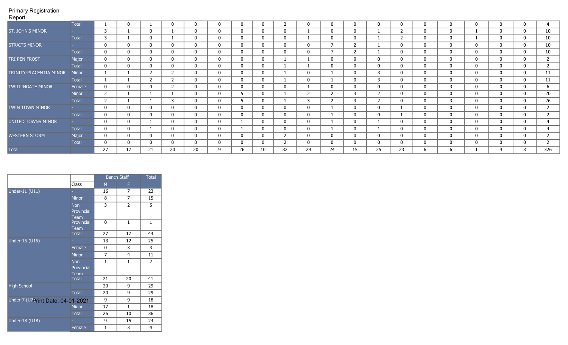| $\sim$ pont               |              |              |              |                |                |             |              |              |             |                |              |              |              |                |              |              |              |              |              |              |     |
|---------------------------|--------------|--------------|--------------|----------------|----------------|-------------|--------------|--------------|-------------|----------------|--------------|--------------|--------------|----------------|--------------|--------------|--------------|--------------|--------------|--------------|-----|
|                           | <b>Total</b> |              | 0            |                | 0              | 0           | 0            |              | 0           |                |              |              |              | $\Omega$       | 0            | 0            |              |              |              |              |     |
| ST. JOHN'S MINOR          |              | 3            |              | $\mathbf 0$    |                | 0           | 0            | 0            | 0           | 0              |              | 0            | 0            |                | $\mathbf{2}$ | 0            | 0            |              | U            |              | 10  |
|                           | Total        | 3            |              | $\mathbf 0$    |                | 0           | 0            | 0            | 0           | 0              |              | $\mathbf{0}$ | 0            |                | $\mathbf{2}$ | 0            | 0            |              | 0            |              | 10  |
| <b>STRAITS MINOR</b>      |              | $\mathbf 0$  | 0            | $\mathbf 0$    | 0              | 0           | 0            | 0            | 0           | 0              | $\mathbf{0}$ |              |              |                | $\mathbf 0$  | 0            | 0            | 0            | 0            | 0            | 10  |
|                           | Total        | $\mathbf 0$  | $\mathbf 0$  | $\mathbf{0}$   | $\mathbf{0}$   | $\mathbf 0$ | $\mathbf 0$  | $\mathbf{0}$ | 0           | 0              | $\mathbf{0}$ |              |              |                | 0            | 0            | 0            | $\mathbf{0}$ | 0            |              | 10  |
| TRI PEN FROST             | Major        | $\mathbf 0$  | $\mathbf 0$  | $\mathbf{0}$   | $\mathbf{0}$   | $\mathbf 0$ | 0            | $\mathbf{0}$ | 0           |                |              | 0            | 0            | $\mathbf{0}$   | $\mathbf 0$  | $\mathbf{0}$ | $\mathbf{0}$ | $\mathbf{0}$ | $\mathbf{0}$ |              |     |
|                           | <b>Total</b> | $\mathbf 0$  | $\mathbf 0$  | $\mathbf{0}$   | $\mathbf 0$    | $\mathbf 0$ | $\mathbf{0}$ | 0            | 0           |                |              | 0            | $\mathbf{0}$ | $\mathbf{0}$   | $\mathbf 0$  | 0            | 0            | $\mathbf{0}$ |              | 0            |     |
| TRINITY-PLACENTIA MINOR   | <b>Minor</b> |              |              | $\overline{2}$ | $\mathbf{2}$   | $\mathbf 0$ | 0            | $\mathbf{0}$ | $\mathbf 0$ |                | $\Omega$     |              | 0            | $\overline{3}$ | $\mathbf{0}$ | $\mathbf 0$  | $\mathbf 0$  | $\mathbf{0}$ | $\mathbf 0$  | $\mathbf{0}$ | 11  |
|                           | Total        |              |              | $\overline{2}$ | $\mathbf{2}$   | $\mathbf 0$ | 0            | $\Omega$     | 0           |                | $\Omega$     |              | 0            | 3              | 0            | 0            | 0            | $\mathbf{0}$ | $\mathbf{0}$ |              | 11  |
| <b>TWILLINGATE MINOR</b>  | Female       | $\mathbf 0$  | $\mathbf 0$  | $\mathbf{0}$   | $\overline{2}$ | $\mathbf 0$ | 0            | 0            | 0           | 0              |              | $\mathbf{0}$ | 0            | 0              | 0            | 0            | 3            | $\mathbf{0}$ |              |              | h   |
|                           | Minor        | 2            |              |                |                | $\mathbf 0$ | 0            |              | 0           |                | -2           |              |              | $\overline{2}$ | 0            | 0            | $\mathbf{0}$ | $\mathbf{0}$ |              |              | 20  |
|                           | Total        | 2            |              |                | 3              | $\mathbf 0$ | 0            |              | 0           |                | 3            |              | 3            | $\overline{2}$ | 0            | 0            | 3            | $\mathbf{0}$ |              |              | 26  |
| TWIN TOWN MINOR           |              | $\mathbf 0$  | $\mathbf{0}$ | $\mathbf{0}$   | $\mathbf{0}$   | $\mathbf 0$ | 0            | 0            | 0           | $\Omega$       | $\Omega$     |              | $\Omega$     | $\mathbf{0}$   |              | 0            | $\mathbf{0}$ | $\mathbf{0}$ |              |              |     |
|                           | Total        | $\mathbf{0}$ | $\mathbf 0$  | $\mathbf{0}$   | $\mathbf{0}$   | $\mathbf 0$ | 0            | $\Omega$     | 0           | $\Omega$       | $\Omega$     |              | 0            | $\mathbf{0}$   |              | $\mathbf{0}$ | $\mathbf{0}$ | $\Omega$     | $\mathbf{0}$ |              |     |
| <b>UNITED TOWNS MINOR</b> |              | $\bf{0}$     | $\mathbf 0$  |                | $\mathbf 0$    | $\mathbf 0$ | 0            |              | 0           | 0              | $\mathbf{0}$ |              | 0            |                | 0            | 0            | $\mathbf 0$  | $\mathbf{0}$ | 0            |              |     |
|                           | Total        | $\mathbf 0$  | $\mathbf{0}$ |                | $\mathbf 0$    | $\mathbf 0$ | $\mathbf 0$  |              | 0           | 0              | $\Omega$     |              | 0            |                | 0            | 0            | 0            | $\mathbf{0}$ | $\mathbf{0}$ |              |     |
| <b>WESTERN STORM</b>      | Major        | $\mathbf 0$  | $\mathbf 0$  | $\mathbf{0}$   | $\mathbf 0$    | $\mathbf 0$ | $\mathbf{0}$ | $\mathbf{0}$ | 0           | $\overline{2}$ | $\mathbf{0}$ | $\mathbf{0}$ | $\mathbf{0}$ | 0              | $\mathbf 0$  | 0            | 0            | $\mathbf{0}$ | 0            |              |     |
|                           | Total        | $\mathbf 0$  | $\mathbf 0$  | $\mathbf{0}$   | $\mathbf{0}$   | $\mathbf 0$ | 0            | $\mathbf{0}$ | 0           |                | $\mathbf{0}$ | $\mathbf{0}$ | 0            | $\mathbf{0}$   | $\mathbf{0}$ | 0            | 0            | $\mathbf{0}$ |              |              |     |
| <b>Total</b>              |              | 27           | 17           | 21             | 20             | 20          | q            | 26           | 10          | 32             | 29           | 24           | 15           | 25             | 23           | 6            | b            |              |              |              | 326 |

|                                   |                                         |                | <b>Bench Staff</b> | <b>Total</b>   |
|-----------------------------------|-----------------------------------------|----------------|--------------------|----------------|
|                                   | Class                                   | M              | F                  |                |
| Under-11 (U11)                    |                                         | 16             | 7                  | 23             |
|                                   | Minor                                   | 8              | $\overline{7}$     | 15             |
|                                   | <b>Non</b><br>Provincial<br>Team        | 3              | $\overline{2}$     | 5              |
|                                   | Provincial<br>Team                      | 0              | $\mathbf{1}$       | $\mathbf{1}$   |
|                                   | <b>Total</b>                            | 27             | 17                 | 44             |
| Under-15 (U15)                    |                                         | 13             | 12                 | 25             |
|                                   | Female                                  | 0              | 3                  | 3              |
|                                   | <b>Minor</b>                            | $\overline{7}$ | 4                  | 11             |
|                                   | <b>Non</b><br>Provincial<br><b>Team</b> | $\mathbf{1}$   | $\mathbf{1}$       | $\overline{2}$ |
|                                   | <b>Total</b>                            | 21             | 20                 | 41             |
| <b>High School</b>                |                                         | 20             | 9                  | 29             |
|                                   | <b>Total</b>                            | 20             | 9                  | 29             |
| Under-7 (U7Print Date: 04-01-2021 |                                         | 9              | 9                  | 18             |
|                                   | <b>Minor</b>                            | 17             | $\mathbf{1}$       | 18             |
|                                   | <b>Total</b>                            | 26             | 10                 | 36             |
| Under-18 (U18)                    |                                         | 9              | 15                 | 24             |
|                                   | Female                                  | $\mathbf{1}$   | 3                  | $\overline{4}$ |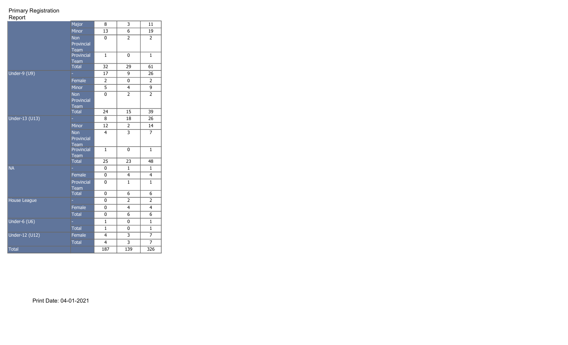|                | Major                     | 8               | 3                         | 11               |
|----------------|---------------------------|-----------------|---------------------------|------------------|
|                | Minor                     | 13              | $\overline{6}$            | 19               |
|                | <b>Non</b>                | 0               | $\overline{2}$            | $\overline{2}$   |
|                | Provincial                |                 |                           |                  |
|                | Team                      | $\mathbf{1}$    |                           | $\mathbf{1}$     |
|                | Provincial<br><b>Team</b> |                 | 0                         |                  |
|                | <b>Total</b>              | $\overline{32}$ | 29                        | $\overline{61}$  |
| Under-9 (U9)   |                           | 17              | 9                         | 26               |
|                | Female                    | $\overline{2}$  | 0                         | $\overline{2}$   |
|                | <b>Minor</b>              | $\overline{5}$  | $\overline{4}$            | 9                |
|                | <b>Non</b>                | 0               | $\overline{2}$            | $\overline{2}$   |
|                | Provincial                |                 |                           |                  |
|                | <b>Team</b>               |                 |                           |                  |
|                | <b>Total</b>              | 24              | 15                        | 39               |
| Under-13 (U13) |                           | 8               | 18                        | 26               |
|                | <b>Minor</b>              | 12              | $\overline{2}$            | 14               |
|                | <b>Non</b>                | 4               | $\overline{\overline{3}}$ | $\overline{7}$   |
|                | Provincial                |                 |                           |                  |
|                | Team                      |                 |                           |                  |
|                | Provincial                | $\mathbf{1}$    | 0                         | $\mathbf{1}$     |
|                | Team<br><b>Total</b>      | 25              | 23                        | 48               |
| <b>NA</b>      |                           | 0               | $\mathbf{1}$              | $\mathbf{1}$     |
|                | Female                    | 0               | 4                         | 4                |
|                | Provincial                | 0               | $\mathbf{1}$              | $\mathbf 1$      |
|                | Team                      |                 |                           |                  |
|                | <b>Total</b>              | 0               | 6                         | 6                |
| House League   |                           | 0               | $\overline{2}$            | $\overline{2}$   |
|                | Female                    | 0               | $\overline{4}$            | $\overline{4}$   |
|                | <b>Total</b>              | 0               | 6                         | 6                |
| Under-6 (U6)   |                           | $\mathbf{1}$    | 0                         | $\mathbf{1}$     |
|                | <b>Total</b>              | $\mathbf{1}$    | 0                         | $\mathbf 1$      |
| Under-12 (U12) | Female                    | 4               | 3                         | 7                |
|                | <b>Total</b>              | 4               | 3                         | $\overline{7}$   |
| <b>Total</b>   |                           | 187             | 139                       | $\overline{326}$ |
|                |                           |                 |                           |                  |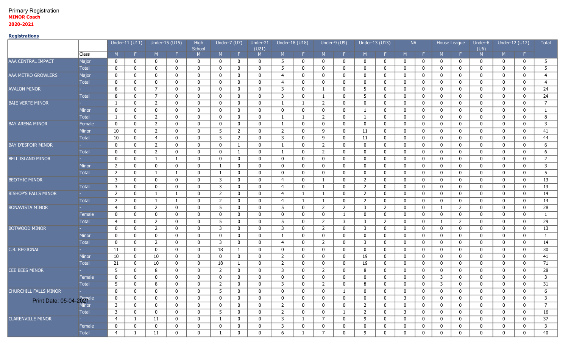#### Primary Registration **MINOR Coach 2020-2021**

## **Registrations**

| F.<br>F.<br>F.<br>M<br>M<br>-F.<br>-F.<br>M<br>M<br>F.<br>Class<br>M<br>M<br>M<br>Æ.<br>M<br>F.<br>M<br>F.<br>M<br>M<br>M<br>Major<br>5<br>$\mathbf 0$<br>$\mathbf 0$<br>0<br>5<br>$\mathbf 0$<br>0<br>0<br>$\mathbf 0$<br>$\bf{0}$<br>0<br>$\mathbf{0}$<br>$\mathbf 0$<br>$\mathbf 0$<br>0<br>$\mathbf 0$<br>0<br>0<br>0<br>0<br>0<br>0<br>$\overline{5}$<br>5<br><b>Total</b><br>$\mathbf{0}$<br>0<br>$\mathbf 0$<br>$\bf{0}$<br>$\mathbf 0$<br>$\mathbf 0$<br>$\bf{0}$<br>0<br>$\mathbf 0$<br>0<br>$\mathbf 0$<br>$\mathbf 0$<br>$\mathbf 0$<br>$\mathbf 0$<br>$\mathbf 0$<br>$\mathbf 0$<br>$\mathbf 0$<br>$\mathbf 0$<br>0<br>0<br>Major<br>$\mathbf 0$<br>0<br>$\mathbf 0$<br>$\overline{4}$<br>0<br>$\mathbf 0$<br>$\mathbf{0}$<br>0<br>$\mathbf{0}$<br>$\mathbf 0$<br>$\overline{4}$<br>$\bf{0}$<br>$\mathbf 0$<br>0<br>$\mathbf 0$<br>$\bf{0}$<br>$\mathbf 0$<br>0<br>$\mathbf{0}$<br>$\mathbf 0$<br>$\mathbf{0}$<br>$\mathbf 0$<br><b>Total</b><br>$\overline{4}$<br>$\mathbf 0$<br>$\mathbf 0$<br>$\mathbf 0$<br>0<br>$\mathbf 0$<br>$\mathbf 0$<br>0<br>$\overline{4}$<br>$\mathbf 0$<br>$\mathbf 0$<br>$\mathbf 0$<br>$\mathbf 0$<br>$\bf{0}$<br>$\mathbf 0$<br>0<br>0<br>$\mathbf{0}$<br>$\mathbf 0$<br>0<br>$\mathbf 0$<br>$\mathbf 0$<br>24<br>7<br>8<br>0<br>$\mathbf 0$<br>$\mathbf 0$<br>0<br>3<br>$\mathbf 0$<br>5<br>$\bf{0}$<br>0<br>$\mathbf{0}$<br>$\mathbf 0$<br>$\mathbf 0$<br>0<br>$\mathbf 0$<br>$\mathbf 0$<br>$\mathbf 0$<br>0<br>0<br>$\mathbf{1}$<br><b>Total</b><br>24<br>8<br>7<br>$\mathbf 0$<br>$\mathbf 0$<br>0<br>3<br>$\bf{0}$<br>0<br>0<br>$\mathbf{0}$<br>0<br>0<br>$\mathbf 0$<br>0<br>5<br>$\mathbf 0$<br>$\mathbf 0$<br>$\mathbf 0$<br>0<br>0<br>$\mathbf{1}$<br>$\overline{7}$<br>$\overline{2}$<br>$\mathbf{1}$<br>0<br>$\mathbf 0$<br>$\mathbf 0$<br>$\mathbf 0$<br>$\mathbf 0$<br>0<br>$\mathbf{1}$<br>$\overline{2}$<br>$\mathbf{0}$<br>$\mathbf 0$<br>$\mathbf 0$<br>0<br>$\mathbf 0$<br>$\bf{0}$<br>0<br>0<br>$\mathbf 0$<br>$\mathbf 0$<br>1<br>$\mathbf 0$<br>$\mathbf 0$<br>0<br>0<br>$\mathbf 0$<br>0<br>$\mathbf 0$<br>Minor<br>0<br>0<br>0<br>$\mathbf 0$<br>0<br>0<br>0<br>$\mathbf 0$<br>0<br>$\mathbf 0$<br>0<br>0<br>$\mathbf 0$<br>$\mathbf{1}$<br>1<br>$\overline{2}$<br>8<br>0<br>0<br>$\overline{2}$<br>$\mathbf 0$<br>$\mathbf 0$<br><b>Total</b><br>$\mathbf{1}$<br>$\mathbf 0$<br>$\mathbf 0$<br>$\mathbf{0}$<br>$\mathbf 0$<br>$\mathbf{1}$<br>0<br>$\mathbf 0$<br>0<br>0<br>0<br>0<br>1<br>1<br>$\mathbf 0$<br><b>BAY ARENA MINOR</b><br>$\overline{2}$<br>3<br>Female<br>$\mathbf 0$<br>0<br>$\mathbf 0$<br>$\mathbf 0$<br>$\mathbf 0$<br>$\mathbf 0$<br>$\mathbf 0$<br>$\mathbf{0}$<br>$\mathbf 0$<br>$\mathbf 0$<br>$\mathbf 0$<br>$\mathbf{0}$<br>$\mathbf 0$<br>$\mathbf 0$<br>$\mathbf{0}$<br>$\mathbf 0$<br>$\bf{0}$<br>0<br>$\mathbf 0$<br>1<br>$\overline{2}$<br>$5\overline{)}$<br>$\overline{2}$<br>9<br>41<br>Minor<br>10<br>$\mathbf 0$<br>$\mathbf 0$<br>$\mathbf{0}$<br>$\mathbf 0$<br>2<br>$\mathbf 0$<br>11<br>$\mathbf 0$<br>$\mathbf{0}$<br>$\mathbf 0$<br>$\bf{0}$<br>0<br>$\mathbf{0}$<br>0<br>$\mathbf 0$<br>0<br>5 <sub>5</sub><br>44<br><b>Total</b><br>10<br>$\overline{4}$<br>$\overline{2}$<br>0<br>3<br>$\mathbf 0$<br>9<br>11<br>$\mathbf 0$<br>$\mathbf 0$<br>$\mathbf 0$<br>$\mathbf 0$<br>$\mathbf 0$<br>$\mathbf{0}$<br>$\mathbf 0$<br>$\mathbf 0$<br>$\mathbf{0}$<br>$\mathbf 0$<br>$\mathbf 0$<br>0<br>$\overline{2}$<br>$\mathbf 0$<br>$\mathbf 0$<br>$\overline{2}$<br>$\mathbf 0$<br>6<br>$\mathbf 0$<br>$\mathbf 0$<br>$\mathbf 0$<br>$\mathbf{0}$<br>0<br>0<br>0<br>$\mathbf 0$<br>0<br>$\mathbf 0$<br>$\bf{0}$<br>0<br>0<br>$\mathbf{1}$<br>1<br>0<br>$\overline{2}$<br>6<br><b>Total</b><br>$\mathbf 0$<br>$\mathbf 0$<br>$\overline{2}$<br>$\mathbf 0$<br>0<br>0<br>0<br>0<br>$\mathbf{1}$<br>$\mathbf 0$<br>$\mathbf 0$<br>$\mathbf 0$<br>$\mathbf 0$<br>$\mathbf{0}$<br>$\mathbf 0$<br>$\mathbf 0$<br>$\mathbf 0$<br>$\mathbf{0}$<br>0<br>1<br><b>BELL ISLAND MINOR</b><br>$\overline{2}$<br>0<br>0<br>$\mathbf 0$<br>$\mathbf 0$<br>$\mathbf 0$<br>$\mathbf 0$<br>0<br>$\mathbf 0$<br>$\mathbf 0$<br>$\bf{0}$<br>$\mathbf 0$<br>0<br>$\mathbf 0$<br>0<br>1<br>0<br>0<br>0<br>$\mathbf 0$<br>0<br>1<br>3<br>$\overline{2}$<br>$\mathbf 0$<br>$\mathbf 0$<br>0<br>Minor<br>0<br>0<br>0<br>0<br>0<br>0<br>0<br>0<br>$\mathbf 0$<br>$\mathbf 0$<br>0<br>$\mathbf 0$<br>$\bf{0}$<br>$\mathbf 0$<br>0<br>$\mathbf 0$<br>1<br>5<br>$\overline{2}$<br>$\mathbf 0$<br>0<br>$\mathbf 0$<br>$\mathbf 0$<br>$\mathbf 0$<br>$\mathbf 0$<br><b>Total</b><br>0<br>$\mathbf{1}$<br>0<br>0<br>0<br>0<br>$\mathbf 0$<br>0<br>$\bf{0}$<br>$\mathbf 0$<br>0<br>$\mathbf{1}$<br>-1<br>$\mathbf 0$<br>13<br>3<br>$\mathbf 0$<br>3<br>$\boldsymbol{0}$<br>0<br>$\mathbf 0$<br>$\overline{2}$<br>$\mathbf 0$<br>$\mathbf 0$<br>$\mathbf 0$<br><b>BEOTHIC MINOR</b><br>$\mathbf 0$<br>0<br>0<br>$\bf{0}$<br>$\mathbf 0$<br>0<br>0<br>$\overline{4}$<br>$\mathbf 0$<br>$\mathbf 0$<br>1<br>$\mathbf{3}$<br><b>Total</b><br>3<br>$\mathbf{0}$<br>$\mathbf 0$<br>0<br>$\bf{0}$<br>2<br>$\mathbf 0$<br>0<br>$\mathbf 0$<br>13<br>$\mathbf 0$<br>0<br>$\mathbf 0$<br>$\overline{4}$<br>$\mathbf 0$<br>$\mathbf 0$<br>$\mathbf 0$<br>$\bf{0}$<br>0<br>0<br>1<br><b>BISHOP'S FALLS MINOR</b><br>$\overline{2}$<br>$\boldsymbol{0}$<br>0<br>$\overline{2}$<br>$\mathbf 0$<br>14<br>$\overline{2}$<br>$\mathbf 0$<br>$\mathbf{1}$<br>$\mathbf{0}$<br>$\overline{4}$<br>$\mathbf{1}$<br>0<br>$\mathbf 0$<br>$\mathbf{0}$<br>$\bf{0}$<br>$\mathbf 0$<br>0<br>$\mathbf 0$<br>$\mathbf{1}$<br>1<br>$\mathbf 0$<br><b>Total</b><br>$\overline{2}$<br>14<br>$\overline{2}$<br>0<br>$\mathbf{1}$<br>$\mathbf 0$<br>0<br>$\overline{4}$<br>$\mathbf{1}$<br>$\overline{2}$<br>$\mathbf 0$<br>$\bf{0}$<br>0<br>0<br>$\mathbf{0}$<br>$\mathbf 0$<br>0<br>$\mathbf 0$<br>$\mathbf 0$<br>0<br>1<br>1<br>$\overline{2}$<br>28<br><b>BONAVISTA MINOR</b><br>5<br>$\mathbf 0$<br>0<br>5<br>$\mathbf{0}$<br>$2^{\circ}$<br>$\overline{2}$<br>3<br>$\overline{2}$<br>$\overline{2}$<br>0<br>$\mathbf{0}$<br>4<br>0<br>$\mathbf 0$<br>$\mathbf 0$<br>$\mathbf 0$<br>$\mathbf 0$<br>0<br>$\mathbf{1}$<br>Female<br>0<br>0<br>$\mathbf{0}$<br>$\mathbf 0$<br>$\mathbf 0$<br>0<br>$\bf{0}$<br>0<br>$\mathbf 0$<br>$\mathbf 0$<br>$\bf{0}$<br>0<br>0<br>$\mathbf 0$<br>0<br>0<br>0<br>$\mathbf 0$<br>$\mathbf 0$<br>0<br>$\mathbf{1}$<br>-1<br>29<br>$\overline{2}$<br>5<br>$\mathbf 0$<br>$\overline{2}$<br>3<br>$\mathbf 0$<br>$\mathbf 0$<br><b>Total</b><br>$\overline{4}$<br>0<br>$\mathbf 0$<br>0<br>5<br>$\mathbf 0$<br>0<br>3<br>2<br>0<br>$\mathbf 0$<br>$\overline{2}$<br>0<br>1<br>13<br><b>BOTWOOD MINOR</b><br>$\overline{2}$<br>0<br>3<br>$\mathbf 0$<br>$\overline{2}$<br>$\mathbf 0$<br>0<br>0<br>$\mathbf 0$<br>3<br>$\mathbf 0$<br>3<br>$\mathbf 0$<br>0<br>0<br>0<br>$\mathbf 0$<br>$\mathbf 0$<br>0<br>$\mathbf 0$<br>$\mathbf 0$<br>0<br>$\mathbf 0$<br>$\mathbf 0$<br>$\mathbf 0$<br>Minor<br>$\mathbf 0$<br>$\mathbf 0$<br>$\mathbf{0}$<br>$\mathbf 0$<br>$\mathbf 0$<br>$\mathbf 0$<br>$\mathbf 0$<br>0<br>$\mathbf 0$<br>0<br>$\bf{0}$<br>0<br>$\mathbf{1}$<br>$\mathbf 0$<br>1<br>$\mathbf 0$<br>$\mathbf 0$<br>0<br><b>Total</b><br>14<br>$\mathbf 0$<br>$\overline{2}$<br>3<br>$\mathbf 0$<br>0<br>$\mathbf 0$<br>$\overline{2}$<br>3<br>$\bf{0}$<br>0<br>$\mathbf 0$<br>$\mathbf 0$<br>$\mathbf 0$<br>$\mathbf 0$<br>4<br>$\mathbf 0$<br>$\mathbf 0$<br>$\mathbf 0$<br>$\mathbf 0$<br>0<br>0<br>C.B. REGIONAL<br>18<br>$\mathbf 0$<br>30<br>11<br>$\mathbf 0$<br>$\mathbf{0}$<br>$\mathbf 0$<br>$\mathbf{0}$<br>$\mathbf{1}$<br>0<br>$\mathbf 0$<br>$\mathbf 0$<br>$\mathbf 0$<br>$\mathbf 0$<br>0<br>$\mathbf 0$<br>$\mathbf{0}$<br>$\mathbf 0$<br>$\mathbf 0$<br>$\mathbf 0$<br>$\mathbf 0$<br>$\mathbf 0$<br>10<br>10<br>$\mathbf 0$<br>2<br>$\mathbf 0$<br>41<br>Minor<br>$\mathbf 0$<br>0<br>$\mathbf 0$<br>$\mathbf 0$<br>0<br>$\mathbf 0$<br>0<br>19<br>$\mathbf 0$<br>0<br>$\mathbf 0$<br>$\bf{0}$<br>0<br>0<br>0<br>$\mathbf 0$<br>71<br><b>Total</b><br>21<br>10<br>18<br>0<br>$\overline{2}$<br>$\mathbf 0$<br>19<br>$\mathbf 0$<br>$\mathbf 0$<br>$\mathbf 0$<br>$\mathbf 0$<br>0<br>$\mathbf{1}$<br>$\mathbf 0$<br>0<br>$\mathbf 0$<br>0<br>$\mathbf 0$<br>$\bf{0}$<br>0<br>0<br>CEE BEES MINOR<br>5<br>$\mathbf 0$<br>$\overline{2}$<br>28<br>0<br>8<br>0<br>0<br>2<br>$\mathbf 0$<br>$\mathbf 0$<br>3<br>0<br>8<br>$\mathbf 0$<br>0<br>$\mathbf 0$<br>$\bf{0}$<br>$\mathbf 0$<br>0<br>$\mathbf 0$<br>0<br>3<br>3<br>Female<br>0<br>0<br>0<br>0<br>0<br>$\mathbf 0$<br>$\mathbf 0$<br>$\mathbf 0$<br>0<br>$\mathbf 0$<br>0<br>0<br>$\mathbf 0$<br>$\mathbf 0$<br>0<br>0<br>$\mathbf 0$<br>0<br>0<br>$\mathbf 0$<br>31<br>5<br>8<br>$\overline{2}$<br>0<br>0<br>3<br>0<br>$\overline{2}$<br>8<br>$\mathbf 0$<br>3<br>0<br>0<br><b>Total</b><br>0<br>$\mathbf{0}$<br>0<br>0<br>0<br>0<br>$\mathbf{0}$<br>0<br><b>CHURCHILL FALLS MINOR</b><br>6<br>$\mathbf 0$<br>5<br>0<br>0<br>$\mathbf{0}$<br>$\mathbf{0}$<br>0<br>$\mathbf{0}$<br>$\mathbf{0}$<br>$\mathbf{0}$<br>$\mathbf{0}$<br>0<br>$\mathbf{0}$<br>$\mathbf{0}$<br>$\mathbf{0}$<br>$\mathbf{0}$<br>$\mathbf{0}$<br>$\mathbf{0}$<br>$\mathbf{0}$<br>$\Omega$<br>Print Date: 05-04-2027 <sup>pale</sup><br>$\bf{0}$<br>3<br>0<br>0<br>0<br>$\mathbf 0$<br>0<br>$\bf{0}$<br>0<br>0<br>0<br>0<br>0<br>3<br>0<br>$\bf{0}$<br>0<br>$\mathbf 0$<br>$\mathbf{0}$<br>0<br>0<br>$\mathbf{0}$<br>$7\overline{ }$<br>$\overline{\mathbf{3}}$<br>$\bf{0}$<br>$\mathbf{0}$<br>$\bf{0}$<br>0<br>$\overline{2}$<br>$\bf{0}$<br>$\mathbf{0}$<br>$\overline{2}$<br>$\boldsymbol{0}$<br>$\mathbf 0$<br>$\mathbf 0$<br>$\bf{0}$<br>$\mathbf 0$<br>$\mathbf{0}$<br>$\mathbf{0}$<br>$\bf{0}$<br>0<br>0<br>$\bf{0}$<br>$\mathbf{0}$<br>16<br>Total<br>$\mathbf{3}$<br>5 <sub>5</sub><br>$\bf{0}$<br>$\mathbf 0$<br>$\overline{2}$<br>$\overline{2}$<br>$\mathbf{3}$<br>$\mathbf 0$<br>$\bf{0}$<br>$\mathbf{0}$<br>$\bf{0}$<br>$\bf{0}$<br>$\mathbf{0}$<br>$\boldsymbol{0}$<br>$\mathbf 0$<br>$\mathbf 0$<br>$\bf{0}$<br>$\mathbf 0$<br>0<br>0<br>$\mathbf{1}$<br>37<br><b>CLARENVILLE MINOR</b><br>$\mathbf 0$<br>$\overline{\mathbf{3}}$<br>$7\overline{ }$<br>$\bm{0}$<br>$\overline{4}$<br>11<br>0<br>$\mathbf 0$<br>$\bf{0}$<br>$\mathbf{1}$<br>$\mathbf 0$<br>9<br>$\boldsymbol{0}$<br>$\mathbf 0$<br>$\bf{0}$<br>$\mathbf 0$<br>$\bf{0}$<br>$\mathbf 0$<br>$\mathbf{1}$<br>$\mathbf{1}$<br>0<br>$\mathsf{3}$<br>Female<br>$\mathbf 0$<br>0<br>3<br>$\bf{0}$<br>0<br>$\mathbf 0$<br>$\mathbf{0}$<br>0<br>0<br>0<br>$\mathbf 0$<br>0<br>0<br>0<br>0<br>0<br>0<br>0<br>0<br>$\boldsymbol{0}$<br>0 |                           |  | Under-11 (U11) | Under-15 (U15) | High<br>School | Under-7 $(U7)$ | Under-21<br>(U21) | Under-18 (U18) |  | Under-9 (U9) | Under-13 (U13) | <b>NA</b> |  | House League | Under-6<br>(U6) | Under-12 (U12) | Total |
|-------------------------------------------------------------------------------------------------------------------------------------------------------------------------------------------------------------------------------------------------------------------------------------------------------------------------------------------------------------------------------------------------------------------------------------------------------------------------------------------------------------------------------------------------------------------------------------------------------------------------------------------------------------------------------------------------------------------------------------------------------------------------------------------------------------------------------------------------------------------------------------------------------------------------------------------------------------------------------------------------------------------------------------------------------------------------------------------------------------------------------------------------------------------------------------------------------------------------------------------------------------------------------------------------------------------------------------------------------------------------------------------------------------------------------------------------------------------------------------------------------------------------------------------------------------------------------------------------------------------------------------------------------------------------------------------------------------------------------------------------------------------------------------------------------------------------------------------------------------------------------------------------------------------------------------------------------------------------------------------------------------------------------------------------------------------------------------------------------------------------------------------------------------------------------------------------------------------------------------------------------------------------------------------------------------------------------------------------------------------------------------------------------------------------------------------------------------------------------------------------------------------------------------------------------------------------------------------------------------------------------------------------------------------------------------------------------------------------------------------------------------------------------------------------------------------------------------------------------------------------------------------------------------------------------------------------------------------------------------------------------------------------------------------------------------------------------------------------------------------------------------------------------------------------------------------------------------------------------------------------------------------------------------------------------------------------------------------------------------------------------------------------------------------------------------------------------------------------------------------------------------------------------------------------------------------------------------------------------------------------------------------------------------------------------------------------------------------------------------------------------------------------------------------------------------------------------------------------------------------------------------------------------------------------------------------------------------------------------------------------------------------------------------------------------------------------------------------------------------------------------------------------------------------------------------------------------------------------------------------------------------------------------------------------------------------------------------------------------------------------------------------------------------------------------------------------------------------------------------------------------------------------------------------------------------------------------------------------------------------------------------------------------------------------------------------------------------------------------------------------------------------------------------------------------------------------------------------------------------------------------------------------------------------------------------------------------------------------------------------------------------------------------------------------------------------------------------------------------------------------------------------------------------------------------------------------------------------------------------------------------------------------------------------------------------------------------------------------------------------------------------------------------------------------------------------------------------------------------------------------------------------------------------------------------------------------------------------------------------------------------------------------------------------------------------------------------------------------------------------------------------------------------------------------------------------------------------------------------------------------------------------------------------------------------------------------------------------------------------------------------------------------------------------------------------------------------------------------------------------------------------------------------------------------------------------------------------------------------------------------------------------------------------------------------------------------------------------------------------------------------------------------------------------------------------------------------------------------------------------------------------------------------------------------------------------------------------------------------------------------------------------------------------------------------------------------------------------------------------------------------------------------------------------------------------------------------------------------------------------------------------------------------------------------------------------------------------------------------------------------------------------------------------------------------------------------------------------------------------------------------------------------------------------------------------------------------------------------------------------------------------------------------------------------------------------------------------------------------------------------------------------------------------------------------------------------------------------------------------------------------------------------------------------------------------------------------------------------------------------------------------------------------------------------------------------------------------------------------------------------------------------------------------------------------------------------------------------------------------------------------------------------------------------------------------------------------------------------------------------------------------------------------------------------------------------------------------------------------------------------------------------------------------------------------------------------------------------------------------------------------------------------------------------------------------------------------------------------------------------------------------------------------------------------------------------------------------------------------------------------------------------------------------------------------------------------------------------------------------------------------------------------------------------------------------------------------------------------------------------------------------------------------------------------------------------------------------------------------------------------------------------------------------------------------------------------------------------------------------------------------------------------------------------------------------------------------------------------------------------------------------------------------------------------------------------------------------------------------------------------------------------------------------------------------------------------------------------------------------------------------------------------------------------------------------------------------------------------------------------------------------------------------------------------------------------------------------------------------------------------------------------------------------------------------------------------------------------------------------------------------------------------------------------------------------------------------------------------------------------------------------------------------------------------------------------------------------------------------------------------------------------------------------------------------------------------------------------------------------------------------------------------------------------------------------------------------------------------------------------------------------------------------------------------------------------------------------------------------------------------------------------------------------------------------------------------------------------------------------------------------------------------------------------------------------------------------------------------------------------------------------------|---------------------------|--|----------------|----------------|----------------|----------------|-------------------|----------------|--|--------------|----------------|-----------|--|--------------|-----------------|----------------|-------|
|                                                                                                                                                                                                                                                                                                                                                                                                                                                                                                                                                                                                                                                                                                                                                                                                                                                                                                                                                                                                                                                                                                                                                                                                                                                                                                                                                                                                                                                                                                                                                                                                                                                                                                                                                                                                                                                                                                                                                                                                                                                                                                                                                                                                                                                                                                                                                                                                                                                                                                                                                                                                                                                                                                                                                                                                                                                                                                                                                                                                                                                                                                                                                                                                                                                                                                                                                                                                                                                                                                                                                                                                                                                                                                                                                                                                                                                                                                                                                                                                                                                                                                                                                                                                                                                                                                                                                                                                                                                                                                                                                                                                                                                                                                                                                                                                                                                                                                                                                                                                                                                                                                                                                                                                                                                                                                                                                                                                                                                                                                                                                                                                                                                                                                                                                                                                                                                                                                                                                                                                                                                                                                                                                                                                                                                                                                                                                                                                                                                                                                                                                                                                                                                                                                                                                                                                                                                                                                                                                                                                                                                                                                                                                                                                                                                                                                                                                                                                                                                                                                                                                                                                                                                                                                                                                                                                                                                                                                                                                                                                                                                                                                                                                                                                                                                                                                                                                                                                                                                                                                                                                                                                                                                                                                                                                                                                                                                                                                                                                                                                                                                                                                                                                                                                                                                                                                                                                                                                                                                                                                                                                                                                                                                                                                                                                                                                                                                                                                                                                                                                                                                                                                                                                                                                                                                                                                                                                                                                                                                                                                                                                                                                                                           |                           |  |                |                |                |                |                   |                |  |              |                |           |  |              |                 |                |       |
|                                                                                                                                                                                                                                                                                                                                                                                                                                                                                                                                                                                                                                                                                                                                                                                                                                                                                                                                                                                                                                                                                                                                                                                                                                                                                                                                                                                                                                                                                                                                                                                                                                                                                                                                                                                                                                                                                                                                                                                                                                                                                                                                                                                                                                                                                                                                                                                                                                                                                                                                                                                                                                                                                                                                                                                                                                                                                                                                                                                                                                                                                                                                                                                                                                                                                                                                                                                                                                                                                                                                                                                                                                                                                                                                                                                                                                                                                                                                                                                                                                                                                                                                                                                                                                                                                                                                                                                                                                                                                                                                                                                                                                                                                                                                                                                                                                                                                                                                                                                                                                                                                                                                                                                                                                                                                                                                                                                                                                                                                                                                                                                                                                                                                                                                                                                                                                                                                                                                                                                                                                                                                                                                                                                                                                                                                                                                                                                                                                                                                                                                                                                                                                                                                                                                                                                                                                                                                                                                                                                                                                                                                                                                                                                                                                                                                                                                                                                                                                                                                                                                                                                                                                                                                                                                                                                                                                                                                                                                                                                                                                                                                                                                                                                                                                                                                                                                                                                                                                                                                                                                                                                                                                                                                                                                                                                                                                                                                                                                                                                                                                                                                                                                                                                                                                                                                                                                                                                                                                                                                                                                                                                                                                                                                                                                                                                                                                                                                                                                                                                                                                                                                                                                                                                                                                                                                                                                                                                                                                                                                                                                                                                                                                           | AAA CENTRAL IMPACT        |  |                |                |                |                |                   |                |  |              |                |           |  |              |                 |                |       |
|                                                                                                                                                                                                                                                                                                                                                                                                                                                                                                                                                                                                                                                                                                                                                                                                                                                                                                                                                                                                                                                                                                                                                                                                                                                                                                                                                                                                                                                                                                                                                                                                                                                                                                                                                                                                                                                                                                                                                                                                                                                                                                                                                                                                                                                                                                                                                                                                                                                                                                                                                                                                                                                                                                                                                                                                                                                                                                                                                                                                                                                                                                                                                                                                                                                                                                                                                                                                                                                                                                                                                                                                                                                                                                                                                                                                                                                                                                                                                                                                                                                                                                                                                                                                                                                                                                                                                                                                                                                                                                                                                                                                                                                                                                                                                                                                                                                                                                                                                                                                                                                                                                                                                                                                                                                                                                                                                                                                                                                                                                                                                                                                                                                                                                                                                                                                                                                                                                                                                                                                                                                                                                                                                                                                                                                                                                                                                                                                                                                                                                                                                                                                                                                                                                                                                                                                                                                                                                                                                                                                                                                                                                                                                                                                                                                                                                                                                                                                                                                                                                                                                                                                                                                                                                                                                                                                                                                                                                                                                                                                                                                                                                                                                                                                                                                                                                                                                                                                                                                                                                                                                                                                                                                                                                                                                                                                                                                                                                                                                                                                                                                                                                                                                                                                                                                                                                                                                                                                                                                                                                                                                                                                                                                                                                                                                                                                                                                                                                                                                                                                                                                                                                                                                                                                                                                                                                                                                                                                                                                                                                                                                                                                                                           |                           |  |                |                |                |                |                   |                |  |              |                |           |  |              |                 |                |       |
|                                                                                                                                                                                                                                                                                                                                                                                                                                                                                                                                                                                                                                                                                                                                                                                                                                                                                                                                                                                                                                                                                                                                                                                                                                                                                                                                                                                                                                                                                                                                                                                                                                                                                                                                                                                                                                                                                                                                                                                                                                                                                                                                                                                                                                                                                                                                                                                                                                                                                                                                                                                                                                                                                                                                                                                                                                                                                                                                                                                                                                                                                                                                                                                                                                                                                                                                                                                                                                                                                                                                                                                                                                                                                                                                                                                                                                                                                                                                                                                                                                                                                                                                                                                                                                                                                                                                                                                                                                                                                                                                                                                                                                                                                                                                                                                                                                                                                                                                                                                                                                                                                                                                                                                                                                                                                                                                                                                                                                                                                                                                                                                                                                                                                                                                                                                                                                                                                                                                                                                                                                                                                                                                                                                                                                                                                                                                                                                                                                                                                                                                                                                                                                                                                                                                                                                                                                                                                                                                                                                                                                                                                                                                                                                                                                                                                                                                                                                                                                                                                                                                                                                                                                                                                                                                                                                                                                                                                                                                                                                                                                                                                                                                                                                                                                                                                                                                                                                                                                                                                                                                                                                                                                                                                                                                                                                                                                                                                                                                                                                                                                                                                                                                                                                                                                                                                                                                                                                                                                                                                                                                                                                                                                                                                                                                                                                                                                                                                                                                                                                                                                                                                                                                                                                                                                                                                                                                                                                                                                                                                                                                                                                                                                           | AAA METRO GROWLERS        |  |                |                |                |                |                   |                |  |              |                |           |  |              |                 |                |       |
|                                                                                                                                                                                                                                                                                                                                                                                                                                                                                                                                                                                                                                                                                                                                                                                                                                                                                                                                                                                                                                                                                                                                                                                                                                                                                                                                                                                                                                                                                                                                                                                                                                                                                                                                                                                                                                                                                                                                                                                                                                                                                                                                                                                                                                                                                                                                                                                                                                                                                                                                                                                                                                                                                                                                                                                                                                                                                                                                                                                                                                                                                                                                                                                                                                                                                                                                                                                                                                                                                                                                                                                                                                                                                                                                                                                                                                                                                                                                                                                                                                                                                                                                                                                                                                                                                                                                                                                                                                                                                                                                                                                                                                                                                                                                                                                                                                                                                                                                                                                                                                                                                                                                                                                                                                                                                                                                                                                                                                                                                                                                                                                                                                                                                                                                                                                                                                                                                                                                                                                                                                                                                                                                                                                                                                                                                                                                                                                                                                                                                                                                                                                                                                                                                                                                                                                                                                                                                                                                                                                                                                                                                                                                                                                                                                                                                                                                                                                                                                                                                                                                                                                                                                                                                                                                                                                                                                                                                                                                                                                                                                                                                                                                                                                                                                                                                                                                                                                                                                                                                                                                                                                                                                                                                                                                                                                                                                                                                                                                                                                                                                                                                                                                                                                                                                                                                                                                                                                                                                                                                                                                                                                                                                                                                                                                                                                                                                                                                                                                                                                                                                                                                                                                                                                                                                                                                                                                                                                                                                                                                                                                                                                                                                           |                           |  |                |                |                |                |                   |                |  |              |                |           |  |              |                 |                |       |
|                                                                                                                                                                                                                                                                                                                                                                                                                                                                                                                                                                                                                                                                                                                                                                                                                                                                                                                                                                                                                                                                                                                                                                                                                                                                                                                                                                                                                                                                                                                                                                                                                                                                                                                                                                                                                                                                                                                                                                                                                                                                                                                                                                                                                                                                                                                                                                                                                                                                                                                                                                                                                                                                                                                                                                                                                                                                                                                                                                                                                                                                                                                                                                                                                                                                                                                                                                                                                                                                                                                                                                                                                                                                                                                                                                                                                                                                                                                                                                                                                                                                                                                                                                                                                                                                                                                                                                                                                                                                                                                                                                                                                                                                                                                                                                                                                                                                                                                                                                                                                                                                                                                                                                                                                                                                                                                                                                                                                                                                                                                                                                                                                                                                                                                                                                                                                                                                                                                                                                                                                                                                                                                                                                                                                                                                                                                                                                                                                                                                                                                                                                                                                                                                                                                                                                                                                                                                                                                                                                                                                                                                                                                                                                                                                                                                                                                                                                                                                                                                                                                                                                                                                                                                                                                                                                                                                                                                                                                                                                                                                                                                                                                                                                                                                                                                                                                                                                                                                                                                                                                                                                                                                                                                                                                                                                                                                                                                                                                                                                                                                                                                                                                                                                                                                                                                                                                                                                                                                                                                                                                                                                                                                                                                                                                                                                                                                                                                                                                                                                                                                                                                                                                                                                                                                                                                                                                                                                                                                                                                                                                                                                                                                                           | <b>AVALON MINOR</b>       |  |                |                |                |                |                   |                |  |              |                |           |  |              |                 |                |       |
|                                                                                                                                                                                                                                                                                                                                                                                                                                                                                                                                                                                                                                                                                                                                                                                                                                                                                                                                                                                                                                                                                                                                                                                                                                                                                                                                                                                                                                                                                                                                                                                                                                                                                                                                                                                                                                                                                                                                                                                                                                                                                                                                                                                                                                                                                                                                                                                                                                                                                                                                                                                                                                                                                                                                                                                                                                                                                                                                                                                                                                                                                                                                                                                                                                                                                                                                                                                                                                                                                                                                                                                                                                                                                                                                                                                                                                                                                                                                                                                                                                                                                                                                                                                                                                                                                                                                                                                                                                                                                                                                                                                                                                                                                                                                                                                                                                                                                                                                                                                                                                                                                                                                                                                                                                                                                                                                                                                                                                                                                                                                                                                                                                                                                                                                                                                                                                                                                                                                                                                                                                                                                                                                                                                                                                                                                                                                                                                                                                                                                                                                                                                                                                                                                                                                                                                                                                                                                                                                                                                                                                                                                                                                                                                                                                                                                                                                                                                                                                                                                                                                                                                                                                                                                                                                                                                                                                                                                                                                                                                                                                                                                                                                                                                                                                                                                                                                                                                                                                                                                                                                                                                                                                                                                                                                                                                                                                                                                                                                                                                                                                                                                                                                                                                                                                                                                                                                                                                                                                                                                                                                                                                                                                                                                                                                                                                                                                                                                                                                                                                                                                                                                                                                                                                                                                                                                                                                                                                                                                                                                                                                                                                                                                           |                           |  |                |                |                |                |                   |                |  |              |                |           |  |              |                 |                |       |
|                                                                                                                                                                                                                                                                                                                                                                                                                                                                                                                                                                                                                                                                                                                                                                                                                                                                                                                                                                                                                                                                                                                                                                                                                                                                                                                                                                                                                                                                                                                                                                                                                                                                                                                                                                                                                                                                                                                                                                                                                                                                                                                                                                                                                                                                                                                                                                                                                                                                                                                                                                                                                                                                                                                                                                                                                                                                                                                                                                                                                                                                                                                                                                                                                                                                                                                                                                                                                                                                                                                                                                                                                                                                                                                                                                                                                                                                                                                                                                                                                                                                                                                                                                                                                                                                                                                                                                                                                                                                                                                                                                                                                                                                                                                                                                                                                                                                                                                                                                                                                                                                                                                                                                                                                                                                                                                                                                                                                                                                                                                                                                                                                                                                                                                                                                                                                                                                                                                                                                                                                                                                                                                                                                                                                                                                                                                                                                                                                                                                                                                                                                                                                                                                                                                                                                                                                                                                                                                                                                                                                                                                                                                                                                                                                                                                                                                                                                                                                                                                                                                                                                                                                                                                                                                                                                                                                                                                                                                                                                                                                                                                                                                                                                                                                                                                                                                                                                                                                                                                                                                                                                                                                                                                                                                                                                                                                                                                                                                                                                                                                                                                                                                                                                                                                                                                                                                                                                                                                                                                                                                                                                                                                                                                                                                                                                                                                                                                                                                                                                                                                                                                                                                                                                                                                                                                                                                                                                                                                                                                                                                                                                                                                                           | <b>BAIE VERTE MINOR</b>   |  |                |                |                |                |                   |                |  |              |                |           |  |              |                 |                |       |
|                                                                                                                                                                                                                                                                                                                                                                                                                                                                                                                                                                                                                                                                                                                                                                                                                                                                                                                                                                                                                                                                                                                                                                                                                                                                                                                                                                                                                                                                                                                                                                                                                                                                                                                                                                                                                                                                                                                                                                                                                                                                                                                                                                                                                                                                                                                                                                                                                                                                                                                                                                                                                                                                                                                                                                                                                                                                                                                                                                                                                                                                                                                                                                                                                                                                                                                                                                                                                                                                                                                                                                                                                                                                                                                                                                                                                                                                                                                                                                                                                                                                                                                                                                                                                                                                                                                                                                                                                                                                                                                                                                                                                                                                                                                                                                                                                                                                                                                                                                                                                                                                                                                                                                                                                                                                                                                                                                                                                                                                                                                                                                                                                                                                                                                                                                                                                                                                                                                                                                                                                                                                                                                                                                                                                                                                                                                                                                                                                                                                                                                                                                                                                                                                                                                                                                                                                                                                                                                                                                                                                                                                                                                                                                                                                                                                                                                                                                                                                                                                                                                                                                                                                                                                                                                                                                                                                                                                                                                                                                                                                                                                                                                                                                                                                                                                                                                                                                                                                                                                                                                                                                                                                                                                                                                                                                                                                                                                                                                                                                                                                                                                                                                                                                                                                                                                                                                                                                                                                                                                                                                                                                                                                                                                                                                                                                                                                                                                                                                                                                                                                                                                                                                                                                                                                                                                                                                                                                                                                                                                                                                                                                                                                                           |                           |  |                |                |                |                |                   |                |  |              |                |           |  |              |                 |                |       |
|                                                                                                                                                                                                                                                                                                                                                                                                                                                                                                                                                                                                                                                                                                                                                                                                                                                                                                                                                                                                                                                                                                                                                                                                                                                                                                                                                                                                                                                                                                                                                                                                                                                                                                                                                                                                                                                                                                                                                                                                                                                                                                                                                                                                                                                                                                                                                                                                                                                                                                                                                                                                                                                                                                                                                                                                                                                                                                                                                                                                                                                                                                                                                                                                                                                                                                                                                                                                                                                                                                                                                                                                                                                                                                                                                                                                                                                                                                                                                                                                                                                                                                                                                                                                                                                                                                                                                                                                                                                                                                                                                                                                                                                                                                                                                                                                                                                                                                                                                                                                                                                                                                                                                                                                                                                                                                                                                                                                                                                                                                                                                                                                                                                                                                                                                                                                                                                                                                                                                                                                                                                                                                                                                                                                                                                                                                                                                                                                                                                                                                                                                                                                                                                                                                                                                                                                                                                                                                                                                                                                                                                                                                                                                                                                                                                                                                                                                                                                                                                                                                                                                                                                                                                                                                                                                                                                                                                                                                                                                                                                                                                                                                                                                                                                                                                                                                                                                                                                                                                                                                                                                                                                                                                                                                                                                                                                                                                                                                                                                                                                                                                                                                                                                                                                                                                                                                                                                                                                                                                                                                                                                                                                                                                                                                                                                                                                                                                                                                                                                                                                                                                                                                                                                                                                                                                                                                                                                                                                                                                                                                                                                                                                                                           |                           |  |                |                |                |                |                   |                |  |              |                |           |  |              |                 |                |       |
|                                                                                                                                                                                                                                                                                                                                                                                                                                                                                                                                                                                                                                                                                                                                                                                                                                                                                                                                                                                                                                                                                                                                                                                                                                                                                                                                                                                                                                                                                                                                                                                                                                                                                                                                                                                                                                                                                                                                                                                                                                                                                                                                                                                                                                                                                                                                                                                                                                                                                                                                                                                                                                                                                                                                                                                                                                                                                                                                                                                                                                                                                                                                                                                                                                                                                                                                                                                                                                                                                                                                                                                                                                                                                                                                                                                                                                                                                                                                                                                                                                                                                                                                                                                                                                                                                                                                                                                                                                                                                                                                                                                                                                                                                                                                                                                                                                                                                                                                                                                                                                                                                                                                                                                                                                                                                                                                                                                                                                                                                                                                                                                                                                                                                                                                                                                                                                                                                                                                                                                                                                                                                                                                                                                                                                                                                                                                                                                                                                                                                                                                                                                                                                                                                                                                                                                                                                                                                                                                                                                                                                                                                                                                                                                                                                                                                                                                                                                                                                                                                                                                                                                                                                                                                                                                                                                                                                                                                                                                                                                                                                                                                                                                                                                                                                                                                                                                                                                                                                                                                                                                                                                                                                                                                                                                                                                                                                                                                                                                                                                                                                                                                                                                                                                                                                                                                                                                                                                                                                                                                                                                                                                                                                                                                                                                                                                                                                                                                                                                                                                                                                                                                                                                                                                                                                                                                                                                                                                                                                                                                                                                                                                                                                           |                           |  |                |                |                |                |                   |                |  |              |                |           |  |              |                 |                |       |
|                                                                                                                                                                                                                                                                                                                                                                                                                                                                                                                                                                                                                                                                                                                                                                                                                                                                                                                                                                                                                                                                                                                                                                                                                                                                                                                                                                                                                                                                                                                                                                                                                                                                                                                                                                                                                                                                                                                                                                                                                                                                                                                                                                                                                                                                                                                                                                                                                                                                                                                                                                                                                                                                                                                                                                                                                                                                                                                                                                                                                                                                                                                                                                                                                                                                                                                                                                                                                                                                                                                                                                                                                                                                                                                                                                                                                                                                                                                                                                                                                                                                                                                                                                                                                                                                                                                                                                                                                                                                                                                                                                                                                                                                                                                                                                                                                                                                                                                                                                                                                                                                                                                                                                                                                                                                                                                                                                                                                                                                                                                                                                                                                                                                                                                                                                                                                                                                                                                                                                                                                                                                                                                                                                                                                                                                                                                                                                                                                                                                                                                                                                                                                                                                                                                                                                                                                                                                                                                                                                                                                                                                                                                                                                                                                                                                                                                                                                                                                                                                                                                                                                                                                                                                                                                                                                                                                                                                                                                                                                                                                                                                                                                                                                                                                                                                                                                                                                                                                                                                                                                                                                                                                                                                                                                                                                                                                                                                                                                                                                                                                                                                                                                                                                                                                                                                                                                                                                                                                                                                                                                                                                                                                                                                                                                                                                                                                                                                                                                                                                                                                                                                                                                                                                                                                                                                                                                                                                                                                                                                                                                                                                                                                                           |                           |  |                |                |                |                |                   |                |  |              |                |           |  |              |                 |                |       |
|                                                                                                                                                                                                                                                                                                                                                                                                                                                                                                                                                                                                                                                                                                                                                                                                                                                                                                                                                                                                                                                                                                                                                                                                                                                                                                                                                                                                                                                                                                                                                                                                                                                                                                                                                                                                                                                                                                                                                                                                                                                                                                                                                                                                                                                                                                                                                                                                                                                                                                                                                                                                                                                                                                                                                                                                                                                                                                                                                                                                                                                                                                                                                                                                                                                                                                                                                                                                                                                                                                                                                                                                                                                                                                                                                                                                                                                                                                                                                                                                                                                                                                                                                                                                                                                                                                                                                                                                                                                                                                                                                                                                                                                                                                                                                                                                                                                                                                                                                                                                                                                                                                                                                                                                                                                                                                                                                                                                                                                                                                                                                                                                                                                                                                                                                                                                                                                                                                                                                                                                                                                                                                                                                                                                                                                                                                                                                                                                                                                                                                                                                                                                                                                                                                                                                                                                                                                                                                                                                                                                                                                                                                                                                                                                                                                                                                                                                                                                                                                                                                                                                                                                                                                                                                                                                                                                                                                                                                                                                                                                                                                                                                                                                                                                                                                                                                                                                                                                                                                                                                                                                                                                                                                                                                                                                                                                                                                                                                                                                                                                                                                                                                                                                                                                                                                                                                                                                                                                                                                                                                                                                                                                                                                                                                                                                                                                                                                                                                                                                                                                                                                                                                                                                                                                                                                                                                                                                                                                                                                                                                                                                                                                                                           |                           |  |                |                |                |                |                   |                |  |              |                |           |  |              |                 |                |       |
|                                                                                                                                                                                                                                                                                                                                                                                                                                                                                                                                                                                                                                                                                                                                                                                                                                                                                                                                                                                                                                                                                                                                                                                                                                                                                                                                                                                                                                                                                                                                                                                                                                                                                                                                                                                                                                                                                                                                                                                                                                                                                                                                                                                                                                                                                                                                                                                                                                                                                                                                                                                                                                                                                                                                                                                                                                                                                                                                                                                                                                                                                                                                                                                                                                                                                                                                                                                                                                                                                                                                                                                                                                                                                                                                                                                                                                                                                                                                                                                                                                                                                                                                                                                                                                                                                                                                                                                                                                                                                                                                                                                                                                                                                                                                                                                                                                                                                                                                                                                                                                                                                                                                                                                                                                                                                                                                                                                                                                                                                                                                                                                                                                                                                                                                                                                                                                                                                                                                                                                                                                                                                                                                                                                                                                                                                                                                                                                                                                                                                                                                                                                                                                                                                                                                                                                                                                                                                                                                                                                                                                                                                                                                                                                                                                                                                                                                                                                                                                                                                                                                                                                                                                                                                                                                                                                                                                                                                                                                                                                                                                                                                                                                                                                                                                                                                                                                                                                                                                                                                                                                                                                                                                                                                                                                                                                                                                                                                                                                                                                                                                                                                                                                                                                                                                                                                                                                                                                                                                                                                                                                                                                                                                                                                                                                                                                                                                                                                                                                                                                                                                                                                                                                                                                                                                                                                                                                                                                                                                                                                                                                                                                                                                           | <b>BAY D'ESPOIR MINOR</b> |  |                |                |                |                |                   |                |  |              |                |           |  |              |                 |                |       |
|                                                                                                                                                                                                                                                                                                                                                                                                                                                                                                                                                                                                                                                                                                                                                                                                                                                                                                                                                                                                                                                                                                                                                                                                                                                                                                                                                                                                                                                                                                                                                                                                                                                                                                                                                                                                                                                                                                                                                                                                                                                                                                                                                                                                                                                                                                                                                                                                                                                                                                                                                                                                                                                                                                                                                                                                                                                                                                                                                                                                                                                                                                                                                                                                                                                                                                                                                                                                                                                                                                                                                                                                                                                                                                                                                                                                                                                                                                                                                                                                                                                                                                                                                                                                                                                                                                                                                                                                                                                                                                                                                                                                                                                                                                                                                                                                                                                                                                                                                                                                                                                                                                                                                                                                                                                                                                                                                                                                                                                                                                                                                                                                                                                                                                                                                                                                                                                                                                                                                                                                                                                                                                                                                                                                                                                                                                                                                                                                                                                                                                                                                                                                                                                                                                                                                                                                                                                                                                                                                                                                                                                                                                                                                                                                                                                                                                                                                                                                                                                                                                                                                                                                                                                                                                                                                                                                                                                                                                                                                                                                                                                                                                                                                                                                                                                                                                                                                                                                                                                                                                                                                                                                                                                                                                                                                                                                                                                                                                                                                                                                                                                                                                                                                                                                                                                                                                                                                                                                                                                                                                                                                                                                                                                                                                                                                                                                                                                                                                                                                                                                                                                                                                                                                                                                                                                                                                                                                                                                                                                                                                                                                                                                                                           |                           |  |                |                |                |                |                   |                |  |              |                |           |  |              |                 |                |       |
|                                                                                                                                                                                                                                                                                                                                                                                                                                                                                                                                                                                                                                                                                                                                                                                                                                                                                                                                                                                                                                                                                                                                                                                                                                                                                                                                                                                                                                                                                                                                                                                                                                                                                                                                                                                                                                                                                                                                                                                                                                                                                                                                                                                                                                                                                                                                                                                                                                                                                                                                                                                                                                                                                                                                                                                                                                                                                                                                                                                                                                                                                                                                                                                                                                                                                                                                                                                                                                                                                                                                                                                                                                                                                                                                                                                                                                                                                                                                                                                                                                                                                                                                                                                                                                                                                                                                                                                                                                                                                                                                                                                                                                                                                                                                                                                                                                                                                                                                                                                                                                                                                                                                                                                                                                                                                                                                                                                                                                                                                                                                                                                                                                                                                                                                                                                                                                                                                                                                                                                                                                                                                                                                                                                                                                                                                                                                                                                                                                                                                                                                                                                                                                                                                                                                                                                                                                                                                                                                                                                                                                                                                                                                                                                                                                                                                                                                                                                                                                                                                                                                                                                                                                                                                                                                                                                                                                                                                                                                                                                                                                                                                                                                                                                                                                                                                                                                                                                                                                                                                                                                                                                                                                                                                                                                                                                                                                                                                                                                                                                                                                                                                                                                                                                                                                                                                                                                                                                                                                                                                                                                                                                                                                                                                                                                                                                                                                                                                                                                                                                                                                                                                                                                                                                                                                                                                                                                                                                                                                                                                                                                                                                                                                           |                           |  |                |                |                |                |                   |                |  |              |                |           |  |              |                 |                |       |
|                                                                                                                                                                                                                                                                                                                                                                                                                                                                                                                                                                                                                                                                                                                                                                                                                                                                                                                                                                                                                                                                                                                                                                                                                                                                                                                                                                                                                                                                                                                                                                                                                                                                                                                                                                                                                                                                                                                                                                                                                                                                                                                                                                                                                                                                                                                                                                                                                                                                                                                                                                                                                                                                                                                                                                                                                                                                                                                                                                                                                                                                                                                                                                                                                                                                                                                                                                                                                                                                                                                                                                                                                                                                                                                                                                                                                                                                                                                                                                                                                                                                                                                                                                                                                                                                                                                                                                                                                                                                                                                                                                                                                                                                                                                                                                                                                                                                                                                                                                                                                                                                                                                                                                                                                                                                                                                                                                                                                                                                                                                                                                                                                                                                                                                                                                                                                                                                                                                                                                                                                                                                                                                                                                                                                                                                                                                                                                                                                                                                                                                                                                                                                                                                                                                                                                                                                                                                                                                                                                                                                                                                                                                                                                                                                                                                                                                                                                                                                                                                                                                                                                                                                                                                                                                                                                                                                                                                                                                                                                                                                                                                                                                                                                                                                                                                                                                                                                                                                                                                                                                                                                                                                                                                                                                                                                                                                                                                                                                                                                                                                                                                                                                                                                                                                                                                                                                                                                                                                                                                                                                                                                                                                                                                                                                                                                                                                                                                                                                                                                                                                                                                                                                                                                                                                                                                                                                                                                                                                                                                                                                                                                                                                                           |                           |  |                |                |                |                |                   |                |  |              |                |           |  |              |                 |                |       |
|                                                                                                                                                                                                                                                                                                                                                                                                                                                                                                                                                                                                                                                                                                                                                                                                                                                                                                                                                                                                                                                                                                                                                                                                                                                                                                                                                                                                                                                                                                                                                                                                                                                                                                                                                                                                                                                                                                                                                                                                                                                                                                                                                                                                                                                                                                                                                                                                                                                                                                                                                                                                                                                                                                                                                                                                                                                                                                                                                                                                                                                                                                                                                                                                                                                                                                                                                                                                                                                                                                                                                                                                                                                                                                                                                                                                                                                                                                                                                                                                                                                                                                                                                                                                                                                                                                                                                                                                                                                                                                                                                                                                                                                                                                                                                                                                                                                                                                                                                                                                                                                                                                                                                                                                                                                                                                                                                                                                                                                                                                                                                                                                                                                                                                                                                                                                                                                                                                                                                                                                                                                                                                                                                                                                                                                                                                                                                                                                                                                                                                                                                                                                                                                                                                                                                                                                                                                                                                                                                                                                                                                                                                                                                                                                                                                                                                                                                                                                                                                                                                                                                                                                                                                                                                                                                                                                                                                                                                                                                                                                                                                                                                                                                                                                                                                                                                                                                                                                                                                                                                                                                                                                                                                                                                                                                                                                                                                                                                                                                                                                                                                                                                                                                                                                                                                                                                                                                                                                                                                                                                                                                                                                                                                                                                                                                                                                                                                                                                                                                                                                                                                                                                                                                                                                                                                                                                                                                                                                                                                                                                                                                                                                                                           |                           |  |                |                |                |                |                   |                |  |              |                |           |  |              |                 |                |       |
|                                                                                                                                                                                                                                                                                                                                                                                                                                                                                                                                                                                                                                                                                                                                                                                                                                                                                                                                                                                                                                                                                                                                                                                                                                                                                                                                                                                                                                                                                                                                                                                                                                                                                                                                                                                                                                                                                                                                                                                                                                                                                                                                                                                                                                                                                                                                                                                                                                                                                                                                                                                                                                                                                                                                                                                                                                                                                                                                                                                                                                                                                                                                                                                                                                                                                                                                                                                                                                                                                                                                                                                                                                                                                                                                                                                                                                                                                                                                                                                                                                                                                                                                                                                                                                                                                                                                                                                                                                                                                                                                                                                                                                                                                                                                                                                                                                                                                                                                                                                                                                                                                                                                                                                                                                                                                                                                                                                                                                                                                                                                                                                                                                                                                                                                                                                                                                                                                                                                                                                                                                                                                                                                                                                                                                                                                                                                                                                                                                                                                                                                                                                                                                                                                                                                                                                                                                                                                                                                                                                                                                                                                                                                                                                                                                                                                                                                                                                                                                                                                                                                                                                                                                                                                                                                                                                                                                                                                                                                                                                                                                                                                                                                                                                                                                                                                                                                                                                                                                                                                                                                                                                                                                                                                                                                                                                                                                                                                                                                                                                                                                                                                                                                                                                                                                                                                                                                                                                                                                                                                                                                                                                                                                                                                                                                                                                                                                                                                                                                                                                                                                                                                                                                                                                                                                                                                                                                                                                                                                                                                                                                                                                                                                           |                           |  |                |                |                |                |                   |                |  |              |                |           |  |              |                 |                |       |
|                                                                                                                                                                                                                                                                                                                                                                                                                                                                                                                                                                                                                                                                                                                                                                                                                                                                                                                                                                                                                                                                                                                                                                                                                                                                                                                                                                                                                                                                                                                                                                                                                                                                                                                                                                                                                                                                                                                                                                                                                                                                                                                                                                                                                                                                                                                                                                                                                                                                                                                                                                                                                                                                                                                                                                                                                                                                                                                                                                                                                                                                                                                                                                                                                                                                                                                                                                                                                                                                                                                                                                                                                                                                                                                                                                                                                                                                                                                                                                                                                                                                                                                                                                                                                                                                                                                                                                                                                                                                                                                                                                                                                                                                                                                                                                                                                                                                                                                                                                                                                                                                                                                                                                                                                                                                                                                                                                                                                                                                                                                                                                                                                                                                                                                                                                                                                                                                                                                                                                                                                                                                                                                                                                                                                                                                                                                                                                                                                                                                                                                                                                                                                                                                                                                                                                                                                                                                                                                                                                                                                                                                                                                                                                                                                                                                                                                                                                                                                                                                                                                                                                                                                                                                                                                                                                                                                                                                                                                                                                                                                                                                                                                                                                                                                                                                                                                                                                                                                                                                                                                                                                                                                                                                                                                                                                                                                                                                                                                                                                                                                                                                                                                                                                                                                                                                                                                                                                                                                                                                                                                                                                                                                                                                                                                                                                                                                                                                                                                                                                                                                                                                                                                                                                                                                                                                                                                                                                                                                                                                                                                                                                                                                                           |                           |  |                |                |                |                |                   |                |  |              |                |           |  |              |                 |                |       |
|                                                                                                                                                                                                                                                                                                                                                                                                                                                                                                                                                                                                                                                                                                                                                                                                                                                                                                                                                                                                                                                                                                                                                                                                                                                                                                                                                                                                                                                                                                                                                                                                                                                                                                                                                                                                                                                                                                                                                                                                                                                                                                                                                                                                                                                                                                                                                                                                                                                                                                                                                                                                                                                                                                                                                                                                                                                                                                                                                                                                                                                                                                                                                                                                                                                                                                                                                                                                                                                                                                                                                                                                                                                                                                                                                                                                                                                                                                                                                                                                                                                                                                                                                                                                                                                                                                                                                                                                                                                                                                                                                                                                                                                                                                                                                                                                                                                                                                                                                                                                                                                                                                                                                                                                                                                                                                                                                                                                                                                                                                                                                                                                                                                                                                                                                                                                                                                                                                                                                                                                                                                                                                                                                                                                                                                                                                                                                                                                                                                                                                                                                                                                                                                                                                                                                                                                                                                                                                                                                                                                                                                                                                                                                                                                                                                                                                                                                                                                                                                                                                                                                                                                                                                                                                                                                                                                                                                                                                                                                                                                                                                                                                                                                                                                                                                                                                                                                                                                                                                                                                                                                                                                                                                                                                                                                                                                                                                                                                                                                                                                                                                                                                                                                                                                                                                                                                                                                                                                                                                                                                                                                                                                                                                                                                                                                                                                                                                                                                                                                                                                                                                                                                                                                                                                                                                                                                                                                                                                                                                                                                                                                                                                                                           |                           |  |                |                |                |                |                   |                |  |              |                |           |  |              |                 |                |       |
|                                                                                                                                                                                                                                                                                                                                                                                                                                                                                                                                                                                                                                                                                                                                                                                                                                                                                                                                                                                                                                                                                                                                                                                                                                                                                                                                                                                                                                                                                                                                                                                                                                                                                                                                                                                                                                                                                                                                                                                                                                                                                                                                                                                                                                                                                                                                                                                                                                                                                                                                                                                                                                                                                                                                                                                                                                                                                                                                                                                                                                                                                                                                                                                                                                                                                                                                                                                                                                                                                                                                                                                                                                                                                                                                                                                                                                                                                                                                                                                                                                                                                                                                                                                                                                                                                                                                                                                                                                                                                                                                                                                                                                                                                                                                                                                                                                                                                                                                                                                                                                                                                                                                                                                                                                                                                                                                                                                                                                                                                                                                                                                                                                                                                                                                                                                                                                                                                                                                                                                                                                                                                                                                                                                                                                                                                                                                                                                                                                                                                                                                                                                                                                                                                                                                                                                                                                                                                                                                                                                                                                                                                                                                                                                                                                                                                                                                                                                                                                                                                                                                                                                                                                                                                                                                                                                                                                                                                                                                                                                                                                                                                                                                                                                                                                                                                                                                                                                                                                                                                                                                                                                                                                                                                                                                                                                                                                                                                                                                                                                                                                                                                                                                                                                                                                                                                                                                                                                                                                                                                                                                                                                                                                                                                                                                                                                                                                                                                                                                                                                                                                                                                                                                                                                                                                                                                                                                                                                                                                                                                                                                                                                                                                           |                           |  |                |                |                |                |                   |                |  |              |                |           |  |              |                 |                |       |
|                                                                                                                                                                                                                                                                                                                                                                                                                                                                                                                                                                                                                                                                                                                                                                                                                                                                                                                                                                                                                                                                                                                                                                                                                                                                                                                                                                                                                                                                                                                                                                                                                                                                                                                                                                                                                                                                                                                                                                                                                                                                                                                                                                                                                                                                                                                                                                                                                                                                                                                                                                                                                                                                                                                                                                                                                                                                                                                                                                                                                                                                                                                                                                                                                                                                                                                                                                                                                                                                                                                                                                                                                                                                                                                                                                                                                                                                                                                                                                                                                                                                                                                                                                                                                                                                                                                                                                                                                                                                                                                                                                                                                                                                                                                                                                                                                                                                                                                                                                                                                                                                                                                                                                                                                                                                                                                                                                                                                                                                                                                                                                                                                                                                                                                                                                                                                                                                                                                                                                                                                                                                                                                                                                                                                                                                                                                                                                                                                                                                                                                                                                                                                                                                                                                                                                                                                                                                                                                                                                                                                                                                                                                                                                                                                                                                                                                                                                                                                                                                                                                                                                                                                                                                                                                                                                                                                                                                                                                                                                                                                                                                                                                                                                                                                                                                                                                                                                                                                                                                                                                                                                                                                                                                                                                                                                                                                                                                                                                                                                                                                                                                                                                                                                                                                                                                                                                                                                                                                                                                                                                                                                                                                                                                                                                                                                                                                                                                                                                                                                                                                                                                                                                                                                                                                                                                                                                                                                                                                                                                                                                                                                                                                                           |                           |  |                |                |                |                |                   |                |  |              |                |           |  |              |                 |                |       |
|                                                                                                                                                                                                                                                                                                                                                                                                                                                                                                                                                                                                                                                                                                                                                                                                                                                                                                                                                                                                                                                                                                                                                                                                                                                                                                                                                                                                                                                                                                                                                                                                                                                                                                                                                                                                                                                                                                                                                                                                                                                                                                                                                                                                                                                                                                                                                                                                                                                                                                                                                                                                                                                                                                                                                                                                                                                                                                                                                                                                                                                                                                                                                                                                                                                                                                                                                                                                                                                                                                                                                                                                                                                                                                                                                                                                                                                                                                                                                                                                                                                                                                                                                                                                                                                                                                                                                                                                                                                                                                                                                                                                                                                                                                                                                                                                                                                                                                                                                                                                                                                                                                                                                                                                                                                                                                                                                                                                                                                                                                                                                                                                                                                                                                                                                                                                                                                                                                                                                                                                                                                                                                                                                                                                                                                                                                                                                                                                                                                                                                                                                                                                                                                                                                                                                                                                                                                                                                                                                                                                                                                                                                                                                                                                                                                                                                                                                                                                                                                                                                                                                                                                                                                                                                                                                                                                                                                                                                                                                                                                                                                                                                                                                                                                                                                                                                                                                                                                                                                                                                                                                                                                                                                                                                                                                                                                                                                                                                                                                                                                                                                                                                                                                                                                                                                                                                                                                                                                                                                                                                                                                                                                                                                                                                                                                                                                                                                                                                                                                                                                                                                                                                                                                                                                                                                                                                                                                                                                                                                                                                                                                                                                                                           |                           |  |                |                |                |                |                   |                |  |              |                |           |  |              |                 |                |       |
|                                                                                                                                                                                                                                                                                                                                                                                                                                                                                                                                                                                                                                                                                                                                                                                                                                                                                                                                                                                                                                                                                                                                                                                                                                                                                                                                                                                                                                                                                                                                                                                                                                                                                                                                                                                                                                                                                                                                                                                                                                                                                                                                                                                                                                                                                                                                                                                                                                                                                                                                                                                                                                                                                                                                                                                                                                                                                                                                                                                                                                                                                                                                                                                                                                                                                                                                                                                                                                                                                                                                                                                                                                                                                                                                                                                                                                                                                                                                                                                                                                                                                                                                                                                                                                                                                                                                                                                                                                                                                                                                                                                                                                                                                                                                                                                                                                                                                                                                                                                                                                                                                                                                                                                                                                                                                                                                                                                                                                                                                                                                                                                                                                                                                                                                                                                                                                                                                                                                                                                                                                                                                                                                                                                                                                                                                                                                                                                                                                                                                                                                                                                                                                                                                                                                                                                                                                                                                                                                                                                                                                                                                                                                                                                                                                                                                                                                                                                                                                                                                                                                                                                                                                                                                                                                                                                                                                                                                                                                                                                                                                                                                                                                                                                                                                                                                                                                                                                                                                                                                                                                                                                                                                                                                                                                                                                                                                                                                                                                                                                                                                                                                                                                                                                                                                                                                                                                                                                                                                                                                                                                                                                                                                                                                                                                                                                                                                                                                                                                                                                                                                                                                                                                                                                                                                                                                                                                                                                                                                                                                                                                                                                                                                           |                           |  |                |                |                |                |                   |                |  |              |                |           |  |              |                 |                |       |
|                                                                                                                                                                                                                                                                                                                                                                                                                                                                                                                                                                                                                                                                                                                                                                                                                                                                                                                                                                                                                                                                                                                                                                                                                                                                                                                                                                                                                                                                                                                                                                                                                                                                                                                                                                                                                                                                                                                                                                                                                                                                                                                                                                                                                                                                                                                                                                                                                                                                                                                                                                                                                                                                                                                                                                                                                                                                                                                                                                                                                                                                                                                                                                                                                                                                                                                                                                                                                                                                                                                                                                                                                                                                                                                                                                                                                                                                                                                                                                                                                                                                                                                                                                                                                                                                                                                                                                                                                                                                                                                                                                                                                                                                                                                                                                                                                                                                                                                                                                                                                                                                                                                                                                                                                                                                                                                                                                                                                                                                                                                                                                                                                                                                                                                                                                                                                                                                                                                                                                                                                                                                                                                                                                                                                                                                                                                                                                                                                                                                                                                                                                                                                                                                                                                                                                                                                                                                                                                                                                                                                                                                                                                                                                                                                                                                                                                                                                                                                                                                                                                                                                                                                                                                                                                                                                                                                                                                                                                                                                                                                                                                                                                                                                                                                                                                                                                                                                                                                                                                                                                                                                                                                                                                                                                                                                                                                                                                                                                                                                                                                                                                                                                                                                                                                                                                                                                                                                                                                                                                                                                                                                                                                                                                                                                                                                                                                                                                                                                                                                                                                                                                                                                                                                                                                                                                                                                                                                                                                                                                                                                                                                                                                                           |                           |  |                |                |                |                |                   |                |  |              |                |           |  |              |                 |                |       |
|                                                                                                                                                                                                                                                                                                                                                                                                                                                                                                                                                                                                                                                                                                                                                                                                                                                                                                                                                                                                                                                                                                                                                                                                                                                                                                                                                                                                                                                                                                                                                                                                                                                                                                                                                                                                                                                                                                                                                                                                                                                                                                                                                                                                                                                                                                                                                                                                                                                                                                                                                                                                                                                                                                                                                                                                                                                                                                                                                                                                                                                                                                                                                                                                                                                                                                                                                                                                                                                                                                                                                                                                                                                                                                                                                                                                                                                                                                                                                                                                                                                                                                                                                                                                                                                                                                                                                                                                                                                                                                                                                                                                                                                                                                                                                                                                                                                                                                                                                                                                                                                                                                                                                                                                                                                                                                                                                                                                                                                                                                                                                                                                                                                                                                                                                                                                                                                                                                                                                                                                                                                                                                                                                                                                                                                                                                                                                                                                                                                                                                                                                                                                                                                                                                                                                                                                                                                                                                                                                                                                                                                                                                                                                                                                                                                                                                                                                                                                                                                                                                                                                                                                                                                                                                                                                                                                                                                                                                                                                                                                                                                                                                                                                                                                                                                                                                                                                                                                                                                                                                                                                                                                                                                                                                                                                                                                                                                                                                                                                                                                                                                                                                                                                                                                                                                                                                                                                                                                                                                                                                                                                                                                                                                                                                                                                                                                                                                                                                                                                                                                                                                                                                                                                                                                                                                                                                                                                                                                                                                                                                                                                                                                                                           |                           |  |                |                |                |                |                   |                |  |              |                |           |  |              |                 |                |       |
|                                                                                                                                                                                                                                                                                                                                                                                                                                                                                                                                                                                                                                                                                                                                                                                                                                                                                                                                                                                                                                                                                                                                                                                                                                                                                                                                                                                                                                                                                                                                                                                                                                                                                                                                                                                                                                                                                                                                                                                                                                                                                                                                                                                                                                                                                                                                                                                                                                                                                                                                                                                                                                                                                                                                                                                                                                                                                                                                                                                                                                                                                                                                                                                                                                                                                                                                                                                                                                                                                                                                                                                                                                                                                                                                                                                                                                                                                                                                                                                                                                                                                                                                                                                                                                                                                                                                                                                                                                                                                                                                                                                                                                                                                                                                                                                                                                                                                                                                                                                                                                                                                                                                                                                                                                                                                                                                                                                                                                                                                                                                                                                                                                                                                                                                                                                                                                                                                                                                                                                                                                                                                                                                                                                                                                                                                                                                                                                                                                                                                                                                                                                                                                                                                                                                                                                                                                                                                                                                                                                                                                                                                                                                                                                                                                                                                                                                                                                                                                                                                                                                                                                                                                                                                                                                                                                                                                                                                                                                                                                                                                                                                                                                                                                                                                                                                                                                                                                                                                                                                                                                                                                                                                                                                                                                                                                                                                                                                                                                                                                                                                                                                                                                                                                                                                                                                                                                                                                                                                                                                                                                                                                                                                                                                                                                                                                                                                                                                                                                                                                                                                                                                                                                                                                                                                                                                                                                                                                                                                                                                                                                                                                                                                           |                           |  |                |                |                |                |                   |                |  |              |                |           |  |              |                 |                |       |
|                                                                                                                                                                                                                                                                                                                                                                                                                                                                                                                                                                                                                                                                                                                                                                                                                                                                                                                                                                                                                                                                                                                                                                                                                                                                                                                                                                                                                                                                                                                                                                                                                                                                                                                                                                                                                                                                                                                                                                                                                                                                                                                                                                                                                                                                                                                                                                                                                                                                                                                                                                                                                                                                                                                                                                                                                                                                                                                                                                                                                                                                                                                                                                                                                                                                                                                                                                                                                                                                                                                                                                                                                                                                                                                                                                                                                                                                                                                                                                                                                                                                                                                                                                                                                                                                                                                                                                                                                                                                                                                                                                                                                                                                                                                                                                                                                                                                                                                                                                                                                                                                                                                                                                                                                                                                                                                                                                                                                                                                                                                                                                                                                                                                                                                                                                                                                                                                                                                                                                                                                                                                                                                                                                                                                                                                                                                                                                                                                                                                                                                                                                                                                                                                                                                                                                                                                                                                                                                                                                                                                                                                                                                                                                                                                                                                                                                                                                                                                                                                                                                                                                                                                                                                                                                                                                                                                                                                                                                                                                                                                                                                                                                                                                                                                                                                                                                                                                                                                                                                                                                                                                                                                                                                                                                                                                                                                                                                                                                                                                                                                                                                                                                                                                                                                                                                                                                                                                                                                                                                                                                                                                                                                                                                                                                                                                                                                                                                                                                                                                                                                                                                                                                                                                                                                                                                                                                                                                                                                                                                                                                                                                                                                                           |                           |  |                |                |                |                |                   |                |  |              |                |           |  |              |                 |                |       |
|                                                                                                                                                                                                                                                                                                                                                                                                                                                                                                                                                                                                                                                                                                                                                                                                                                                                                                                                                                                                                                                                                                                                                                                                                                                                                                                                                                                                                                                                                                                                                                                                                                                                                                                                                                                                                                                                                                                                                                                                                                                                                                                                                                                                                                                                                                                                                                                                                                                                                                                                                                                                                                                                                                                                                                                                                                                                                                                                                                                                                                                                                                                                                                                                                                                                                                                                                                                                                                                                                                                                                                                                                                                                                                                                                                                                                                                                                                                                                                                                                                                                                                                                                                                                                                                                                                                                                                                                                                                                                                                                                                                                                                                                                                                                                                                                                                                                                                                                                                                                                                                                                                                                                                                                                                                                                                                                                                                                                                                                                                                                                                                                                                                                                                                                                                                                                                                                                                                                                                                                                                                                                                                                                                                                                                                                                                                                                                                                                                                                                                                                                                                                                                                                                                                                                                                                                                                                                                                                                                                                                                                                                                                                                                                                                                                                                                                                                                                                                                                                                                                                                                                                                                                                                                                                                                                                                                                                                                                                                                                                                                                                                                                                                                                                                                                                                                                                                                                                                                                                                                                                                                                                                                                                                                                                                                                                                                                                                                                                                                                                                                                                                                                                                                                                                                                                                                                                                                                                                                                                                                                                                                                                                                                                                                                                                                                                                                                                                                                                                                                                                                                                                                                                                                                                                                                                                                                                                                                                                                                                                                                                                                                                                                           |                           |  |                |                |                |                |                   |                |  |              |                |           |  |              |                 |                |       |
|                                                                                                                                                                                                                                                                                                                                                                                                                                                                                                                                                                                                                                                                                                                                                                                                                                                                                                                                                                                                                                                                                                                                                                                                                                                                                                                                                                                                                                                                                                                                                                                                                                                                                                                                                                                                                                                                                                                                                                                                                                                                                                                                                                                                                                                                                                                                                                                                                                                                                                                                                                                                                                                                                                                                                                                                                                                                                                                                                                                                                                                                                                                                                                                                                                                                                                                                                                                                                                                                                                                                                                                                                                                                                                                                                                                                                                                                                                                                                                                                                                                                                                                                                                                                                                                                                                                                                                                                                                                                                                                                                                                                                                                                                                                                                                                                                                                                                                                                                                                                                                                                                                                                                                                                                                                                                                                                                                                                                                                                                                                                                                                                                                                                                                                                                                                                                                                                                                                                                                                                                                                                                                                                                                                                                                                                                                                                                                                                                                                                                                                                                                                                                                                                                                                                                                                                                                                                                                                                                                                                                                                                                                                                                                                                                                                                                                                                                                                                                                                                                                                                                                                                                                                                                                                                                                                                                                                                                                                                                                                                                                                                                                                                                                                                                                                                                                                                                                                                                                                                                                                                                                                                                                                                                                                                                                                                                                                                                                                                                                                                                                                                                                                                                                                                                                                                                                                                                                                                                                                                                                                                                                                                                                                                                                                                                                                                                                                                                                                                                                                                                                                                                                                                                                                                                                                                                                                                                                                                                                                                                                                                                                                                                                           |                           |  |                |                |                |                |                   |                |  |              |                |           |  |              |                 |                |       |
|                                                                                                                                                                                                                                                                                                                                                                                                                                                                                                                                                                                                                                                                                                                                                                                                                                                                                                                                                                                                                                                                                                                                                                                                                                                                                                                                                                                                                                                                                                                                                                                                                                                                                                                                                                                                                                                                                                                                                                                                                                                                                                                                                                                                                                                                                                                                                                                                                                                                                                                                                                                                                                                                                                                                                                                                                                                                                                                                                                                                                                                                                                                                                                                                                                                                                                                                                                                                                                                                                                                                                                                                                                                                                                                                                                                                                                                                                                                                                                                                                                                                                                                                                                                                                                                                                                                                                                                                                                                                                                                                                                                                                                                                                                                                                                                                                                                                                                                                                                                                                                                                                                                                                                                                                                                                                                                                                                                                                                                                                                                                                                                                                                                                                                                                                                                                                                                                                                                                                                                                                                                                                                                                                                                                                                                                                                                                                                                                                                                                                                                                                                                                                                                                                                                                                                                                                                                                                                                                                                                                                                                                                                                                                                                                                                                                                                                                                                                                                                                                                                                                                                                                                                                                                                                                                                                                                                                                                                                                                                                                                                                                                                                                                                                                                                                                                                                                                                                                                                                                                                                                                                                                                                                                                                                                                                                                                                                                                                                                                                                                                                                                                                                                                                                                                                                                                                                                                                                                                                                                                                                                                                                                                                                                                                                                                                                                                                                                                                                                                                                                                                                                                                                                                                                                                                                                                                                                                                                                                                                                                                                                                                                                                                           |                           |  |                |                |                |                |                   |                |  |              |                |           |  |              |                 |                |       |
|                                                                                                                                                                                                                                                                                                                                                                                                                                                                                                                                                                                                                                                                                                                                                                                                                                                                                                                                                                                                                                                                                                                                                                                                                                                                                                                                                                                                                                                                                                                                                                                                                                                                                                                                                                                                                                                                                                                                                                                                                                                                                                                                                                                                                                                                                                                                                                                                                                                                                                                                                                                                                                                                                                                                                                                                                                                                                                                                                                                                                                                                                                                                                                                                                                                                                                                                                                                                                                                                                                                                                                                                                                                                                                                                                                                                                                                                                                                                                                                                                                                                                                                                                                                                                                                                                                                                                                                                                                                                                                                                                                                                                                                                                                                                                                                                                                                                                                                                                                                                                                                                                                                                                                                                                                                                                                                                                                                                                                                                                                                                                                                                                                                                                                                                                                                                                                                                                                                                                                                                                                                                                                                                                                                                                                                                                                                                                                                                                                                                                                                                                                                                                                                                                                                                                                                                                                                                                                                                                                                                                                                                                                                                                                                                                                                                                                                                                                                                                                                                                                                                                                                                                                                                                                                                                                                                                                                                                                                                                                                                                                                                                                                                                                                                                                                                                                                                                                                                                                                                                                                                                                                                                                                                                                                                                                                                                                                                                                                                                                                                                                                                                                                                                                                                                                                                                                                                                                                                                                                                                                                                                                                                                                                                                                                                                                                                                                                                                                                                                                                                                                                                                                                                                                                                                                                                                                                                                                                                                                                                                                                                                                                                                                           |                           |  |                |                |                |                |                   |                |  |              |                |           |  |              |                 |                |       |
|                                                                                                                                                                                                                                                                                                                                                                                                                                                                                                                                                                                                                                                                                                                                                                                                                                                                                                                                                                                                                                                                                                                                                                                                                                                                                                                                                                                                                                                                                                                                                                                                                                                                                                                                                                                                                                                                                                                                                                                                                                                                                                                                                                                                                                                                                                                                                                                                                                                                                                                                                                                                                                                                                                                                                                                                                                                                                                                                                                                                                                                                                                                                                                                                                                                                                                                                                                                                                                                                                                                                                                                                                                                                                                                                                                                                                                                                                                                                                                                                                                                                                                                                                                                                                                                                                                                                                                                                                                                                                                                                                                                                                                                                                                                                                                                                                                                                                                                                                                                                                                                                                                                                                                                                                                                                                                                                                                                                                                                                                                                                                                                                                                                                                                                                                                                                                                                                                                                                                                                                                                                                                                                                                                                                                                                                                                                                                                                                                                                                                                                                                                                                                                                                                                                                                                                                                                                                                                                                                                                                                                                                                                                                                                                                                                                                                                                                                                                                                                                                                                                                                                                                                                                                                                                                                                                                                                                                                                                                                                                                                                                                                                                                                                                                                                                                                                                                                                                                                                                                                                                                                                                                                                                                                                                                                                                                                                                                                                                                                                                                                                                                                                                                                                                                                                                                                                                                                                                                                                                                                                                                                                                                                                                                                                                                                                                                                                                                                                                                                                                                                                                                                                                                                                                                                                                                                                                                                                                                                                                                                                                                                                                                                                           |                           |  |                |                |                |                |                   |                |  |              |                |           |  |              |                 |                |       |
|                                                                                                                                                                                                                                                                                                                                                                                                                                                                                                                                                                                                                                                                                                                                                                                                                                                                                                                                                                                                                                                                                                                                                                                                                                                                                                                                                                                                                                                                                                                                                                                                                                                                                                                                                                                                                                                                                                                                                                                                                                                                                                                                                                                                                                                                                                                                                                                                                                                                                                                                                                                                                                                                                                                                                                                                                                                                                                                                                                                                                                                                                                                                                                                                                                                                                                                                                                                                                                                                                                                                                                                                                                                                                                                                                                                                                                                                                                                                                                                                                                                                                                                                                                                                                                                                                                                                                                                                                                                                                                                                                                                                                                                                                                                                                                                                                                                                                                                                                                                                                                                                                                                                                                                                                                                                                                                                                                                                                                                                                                                                                                                                                                                                                                                                                                                                                                                                                                                                                                                                                                                                                                                                                                                                                                                                                                                                                                                                                                                                                                                                                                                                                                                                                                                                                                                                                                                                                                                                                                                                                                                                                                                                                                                                                                                                                                                                                                                                                                                                                                                                                                                                                                                                                                                                                                                                                                                                                                                                                                                                                                                                                                                                                                                                                                                                                                                                                                                                                                                                                                                                                                                                                                                                                                                                                                                                                                                                                                                                                                                                                                                                                                                                                                                                                                                                                                                                                                                                                                                                                                                                                                                                                                                                                                                                                                                                                                                                                                                                                                                                                                                                                                                                                                                                                                                                                                                                                                                                                                                                                                                                                                                                                                           |                           |  |                |                |                |                |                   |                |  |              |                |           |  |              |                 |                |       |
|                                                                                                                                                                                                                                                                                                                                                                                                                                                                                                                                                                                                                                                                                                                                                                                                                                                                                                                                                                                                                                                                                                                                                                                                                                                                                                                                                                                                                                                                                                                                                                                                                                                                                                                                                                                                                                                                                                                                                                                                                                                                                                                                                                                                                                                                                                                                                                                                                                                                                                                                                                                                                                                                                                                                                                                                                                                                                                                                                                                                                                                                                                                                                                                                                                                                                                                                                                                                                                                                                                                                                                                                                                                                                                                                                                                                                                                                                                                                                                                                                                                                                                                                                                                                                                                                                                                                                                                                                                                                                                                                                                                                                                                                                                                                                                                                                                                                                                                                                                                                                                                                                                                                                                                                                                                                                                                                                                                                                                                                                                                                                                                                                                                                                                                                                                                                                                                                                                                                                                                                                                                                                                                                                                                                                                                                                                                                                                                                                                                                                                                                                                                                                                                                                                                                                                                                                                                                                                                                                                                                                                                                                                                                                                                                                                                                                                                                                                                                                                                                                                                                                                                                                                                                                                                                                                                                                                                                                                                                                                                                                                                                                                                                                                                                                                                                                                                                                                                                                                                                                                                                                                                                                                                                                                                                                                                                                                                                                                                                                                                                                                                                                                                                                                                                                                                                                                                                                                                                                                                                                                                                                                                                                                                                                                                                                                                                                                                                                                                                                                                                                                                                                                                                                                                                                                                                                                                                                                                                                                                                                                                                                                                                                                           |                           |  |                |                |                |                |                   |                |  |              |                |           |  |              |                 |                |       |
|                                                                                                                                                                                                                                                                                                                                                                                                                                                                                                                                                                                                                                                                                                                                                                                                                                                                                                                                                                                                                                                                                                                                                                                                                                                                                                                                                                                                                                                                                                                                                                                                                                                                                                                                                                                                                                                                                                                                                                                                                                                                                                                                                                                                                                                                                                                                                                                                                                                                                                                                                                                                                                                                                                                                                                                                                                                                                                                                                                                                                                                                                                                                                                                                                                                                                                                                                                                                                                                                                                                                                                                                                                                                                                                                                                                                                                                                                                                                                                                                                                                                                                                                                                                                                                                                                                                                                                                                                                                                                                                                                                                                                                                                                                                                                                                                                                                                                                                                                                                                                                                                                                                                                                                                                                                                                                                                                                                                                                                                                                                                                                                                                                                                                                                                                                                                                                                                                                                                                                                                                                                                                                                                                                                                                                                                                                                                                                                                                                                                                                                                                                                                                                                                                                                                                                                                                                                                                                                                                                                                                                                                                                                                                                                                                                                                                                                                                                                                                                                                                                                                                                                                                                                                                                                                                                                                                                                                                                                                                                                                                                                                                                                                                                                                                                                                                                                                                                                                                                                                                                                                                                                                                                                                                                                                                                                                                                                                                                                                                                                                                                                                                                                                                                                                                                                                                                                                                                                                                                                                                                                                                                                                                                                                                                                                                                                                                                                                                                                                                                                                                                                                                                                                                                                                                                                                                                                                                                                                                                                                                                                                                                                                                                           |                           |  |                |                |                |                |                   |                |  |              |                |           |  |              |                 |                |       |
|                                                                                                                                                                                                                                                                                                                                                                                                                                                                                                                                                                                                                                                                                                                                                                                                                                                                                                                                                                                                                                                                                                                                                                                                                                                                                                                                                                                                                                                                                                                                                                                                                                                                                                                                                                                                                                                                                                                                                                                                                                                                                                                                                                                                                                                                                                                                                                                                                                                                                                                                                                                                                                                                                                                                                                                                                                                                                                                                                                                                                                                                                                                                                                                                                                                                                                                                                                                                                                                                                                                                                                                                                                                                                                                                                                                                                                                                                                                                                                                                                                                                                                                                                                                                                                                                                                                                                                                                                                                                                                                                                                                                                                                                                                                                                                                                                                                                                                                                                                                                                                                                                                                                                                                                                                                                                                                                                                                                                                                                                                                                                                                                                                                                                                                                                                                                                                                                                                                                                                                                                                                                                                                                                                                                                                                                                                                                                                                                                                                                                                                                                                                                                                                                                                                                                                                                                                                                                                                                                                                                                                                                                                                                                                                                                                                                                                                                                                                                                                                                                                                                                                                                                                                                                                                                                                                                                                                                                                                                                                                                                                                                                                                                                                                                                                                                                                                                                                                                                                                                                                                                                                                                                                                                                                                                                                                                                                                                                                                                                                                                                                                                                                                                                                                                                                                                                                                                                                                                                                                                                                                                                                                                                                                                                                                                                                                                                                                                                                                                                                                                                                                                                                                                                                                                                                                                                                                                                                                                                                                                                                                                                                                                                                           |                           |  |                |                |                |                |                   |                |  |              |                |           |  |              |                 |                |       |
|                                                                                                                                                                                                                                                                                                                                                                                                                                                                                                                                                                                                                                                                                                                                                                                                                                                                                                                                                                                                                                                                                                                                                                                                                                                                                                                                                                                                                                                                                                                                                                                                                                                                                                                                                                                                                                                                                                                                                                                                                                                                                                                                                                                                                                                                                                                                                                                                                                                                                                                                                                                                                                                                                                                                                                                                                                                                                                                                                                                                                                                                                                                                                                                                                                                                                                                                                                                                                                                                                                                                                                                                                                                                                                                                                                                                                                                                                                                                                                                                                                                                                                                                                                                                                                                                                                                                                                                                                                                                                                                                                                                                                                                                                                                                                                                                                                                                                                                                                                                                                                                                                                                                                                                                                                                                                                                                                                                                                                                                                                                                                                                                                                                                                                                                                                                                                                                                                                                                                                                                                                                                                                                                                                                                                                                                                                                                                                                                                                                                                                                                                                                                                                                                                                                                                                                                                                                                                                                                                                                                                                                                                                                                                                                                                                                                                                                                                                                                                                                                                                                                                                                                                                                                                                                                                                                                                                                                                                                                                                                                                                                                                                                                                                                                                                                                                                                                                                                                                                                                                                                                                                                                                                                                                                                                                                                                                                                                                                                                                                                                                                                                                                                                                                                                                                                                                                                                                                                                                                                                                                                                                                                                                                                                                                                                                                                                                                                                                                                                                                                                                                                                                                                                                                                                                                                                                                                                                                                                                                                                                                                                                                                                                                           |                           |  |                |                |                |                |                   |                |  |              |                |           |  |              |                 |                |       |
| Total<br>11<br>$\bf{0}$<br>0<br>6<br>$\overline{7}$<br>0<br>$\boldsymbol{0}$<br>$\mathbf 0$<br>40<br>4<br>0<br>0<br>$\mathbf{1}$<br>0<br>9<br>0<br>0<br>0<br>0<br>$\bf{0}$<br>$\mathbf{1}$<br>1                                                                                                                                                                                                                                                                                                                                                                                                                                                                                                                                                                                                                                                                                                                                                                                                                                                                                                                                                                                                                                                                                                                                                                                                                                                                                                                                                                                                                                                                                                                                                                                                                                                                                                                                                                                                                                                                                                                                                                                                                                                                                                                                                                                                                                                                                                                                                                                                                                                                                                                                                                                                                                                                                                                                                                                                                                                                                                                                                                                                                                                                                                                                                                                                                                                                                                                                                                                                                                                                                                                                                                                                                                                                                                                                                                                                                                                                                                                                                                                                                                                                                                                                                                                                                                                                                                                                                                                                                                                                                                                                                                                                                                                                                                                                                                                                                                                                                                                                                                                                                                                                                                                                                                                                                                                                                                                                                                                                                                                                                                                                                                                                                                                                                                                                                                                                                                                                                                                                                                                                                                                                                                                                                                                                                                                                                                                                                                                                                                                                                                                                                                                                                                                                                                                                                                                                                                                                                                                                                                                                                                                                                                                                                                                                                                                                                                                                                                                                                                                                                                                                                                                                                                                                                                                                                                                                                                                                                                                                                                                                                                                                                                                                                                                                                                                                                                                                                                                                                                                                                                                                                                                                                                                                                                                                                                                                                                                                                                                                                                                                                                                                                                                                                                                                                                                                                                                                                                                                                                                                                                                                                                                                                                                                                                                                                                                                                                                                                                                                                                                                                                                                                                                                                                                                                                                                                                                                                                                                                                           |                           |  |                |                |                |                |                   |                |  |              |                |           |  |              |                 |                |       |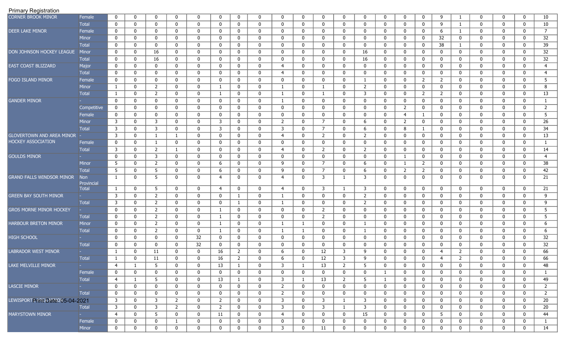| CORNER BROOK MINOR               | Female                     | $\mathbf 0$    | $\mathbf 0$  | $\mathbf 0$    | $\mathbf{0}$ | $\mathbf{0}$ | $\mathbf{0}$   | $\mathbf 0$    | $\mathbf 0$ | $\mathbf 0$    | $\mathbf 0$  | $\mathbf{0}$   | $\mathbf{0}$   | $\mathbf{0}$     | $\mathbf 0$  | $\mathbf 0$    | $\mathbf 0$      | 9              |                | $\mathbf{0}$ | 0            | $\mathbf 0$  | 10              |
|----------------------------------|----------------------------|----------------|--------------|----------------|--------------|--------------|----------------|----------------|-------------|----------------|--------------|----------------|----------------|------------------|--------------|----------------|------------------|----------------|----------------|--------------|--------------|--------------|-----------------|
|                                  | Total                      | $\mathbf 0$    | $\mathbf 0$  | $\mathbf 0$    | $\mathbf 0$  | $\mathbf{0}$ | $\mathbf 0$    | $\mathbf 0$    | $\mathbf 0$ | $\mathbf 0$    | $\mathbf 0$  | $\mathbf{0}$   | $\mathbf{0}$   | $\mathbf 0$      | $\mathbf 0$  | $\mathbf 0$    | $\mathbf 0$      | 9              | 1              | $\mathbf{0}$ | 0            | $\mathbf 0$  | 10              |
| <b>DEER LAKE MINOR</b>           | Female                     | $\mathbf 0$    | 0            | $\mathbf 0$    | 0            | $\mathbf{0}$ | $\mathbf 0$    | $\mathbf 0$    | $\mathbf 0$ | 0              | $\mathbf 0$  | $\mathbf{0}$   | 0              | 0                | 0            | $\mathbf 0$    | $\mathbf 0$      | 6              | 1              | 0            | 0            | $\mathbf 0$  | $\overline{7}$  |
|                                  | Minor                      | $\mathbf 0$    | $\mathbf 0$  | $\mathbf 0$    | 0            | $\mathbf{0}$ | $\mathbf 0$    | $\mathbf 0$    | $\mathbf 0$ | 0              | $\mathbf 0$  | $\mathbf 0$    | 0              | 0                | $\mathbf 0$  | $\mathbf 0$    | 0                | 32             | 0              | 0            | $\mathbf{0}$ | $\mathbf 0$  | 32              |
|                                  | <b>Total</b>               | 0              | $\mathbf 0$  | 0              | 0            | 0            | $\mathbf 0$    | $\mathbf 0$    | $\mathbf 0$ | $\mathbf 0$    | $\mathbf 0$  | $\mathbf{0}$   | 0              | $\mathbf 0$      | $\mathbf 0$  | 0              | 0                | 38             | -1             | 0            | 0            | 0            | 39              |
| DON JOHNSON HOCKEY LEAGUE        | Minor                      | 0              | $\mathbf 0$  | 16             | $\mathbf 0$  | 0            | $\mathbf 0$    | $\mathbf 0$    | $\mathbf 0$ | $\mathbf 0$    | $\mathbf 0$  | $\mathbf{0}$   | 0              | 16               | $\mathbf 0$  | $\mathbf 0$    | $\mathbf 0$      | 0              | 0              | 0            | 0            | $\mathbf 0$  | $\overline{32}$ |
|                                  | <b>Total</b>               | $\mathbf 0$    | $\mathbf 0$  | 16             | $\mathbf 0$  | $\mathbf{0}$ | $\mathbf 0$    | $\mathbf 0$    | $\mathbf 0$ | $\mathbf 0$    | $\mathbf 0$  | $\mathbf{0}$   | 0              | 16               | $\mathbf 0$  | 0              | $\mathbf 0$      | $\mathbf 0$    | 0              | 0            | 0            | $\mathbf 0$  | 32              |
| EAST COAST BLIZZARD              | Major                      | $\mathbf 0$    | $\mathbf 0$  | $\mathbf 0$    | $\mathbf{0}$ | $\mathbf{0}$ | $\mathbf 0$    | $\mathbf 0$    | $\mathbf 0$ | $\overline{4}$ | $\mathbf 0$  | $\mathbf{0}$   | $\mathbf 0$    | $\mathbf 0$      | $\mathbf 0$  | $\mathbf 0$    | $\mathbf 0$      | $\mathbf 0$    | $\mathbf 0$    | $\mathbf{0}$ | 0            | $\mathbf{0}$ | $\overline{4}$  |
|                                  | <b>Total</b>               | 0              | $\mathbf 0$  | $\mathbf 0$    | $\mathbf 0$  | $\mathbf 0$  | $\mathbf 0$    | $\mathbf 0$    | $\mathbf 0$ | $\overline{4}$ | $\mathbf{0}$ | $\mathbf 0$    | $\mathbf{0}$   | $\mathbf 0$      | $\mathbf 0$  | $\mathbf 0$    | $\mathbf 0$      | $\mathbf 0$    | $\mathbf 0$    | $\mathbf 0$  | $\mathbf 0$  | $\mathbf 0$  | $\overline{4}$  |
| FOGO ISLAND MINOR                | Female                     | 0              | $\mathbf 0$  | $\mathbf 0$    | $\mathbf 0$  | $\mathbf{0}$ | $\mathbf 0$    | $\mathbf 0$    | 0           | $\mathbf 0$    | $\mathbf 0$  | $\mathbf{0}$   | $\mathbf 0$    | 1                | $\mathbf 0$  | $\mathbf 0$    | 2                | $\overline{2}$ | $\mathbf 0$    | $\mathbf 0$  | 0            | $\mathbf 0$  | 5               |
|                                  | <b>Minor</b>               | $\mathbf{1}$   | $\mathbf 0$  | $\overline{2}$ | $\mathbf 0$  | $\mathbf{0}$ | 1              | $\mathbf 0$    | 0           | 1              | $\mathbf 0$  | 1              | 0              | 2                | $\mathbf 0$  | $\mathbf 0$    | $\mathbf 0$      | $\mathbf 0$    | $\mathbf 0$    | $\mathbf 0$  | 0            | $\mathbf 0$  | 8               |
|                                  | <b>Total</b>               | 1              | $\mathbf 0$  | $\overline{2}$ | $\mathbf 0$  | 0            | 1              | $\mathbf 0$    | $\mathbf 0$ | $\mathbf{1}$   | 0            | -1             | 0              | 3                | $\mathbf 0$  | $\mathbf 0$    | 2                | 2              | 0              | $\mathbf{0}$ | $\mathbf{0}$ | $\mathbf 0$  | 13              |
| <b>GANDER MINOR</b>              |                            | 0              | 0            | 0              | $\mathbf 0$  | 0            | $\mathbf 0$    | $\mathbf 0$    | 0           | $\mathbf{1}$   | $\mathbf 0$  | $\mathbf{0}$   | $\mathbf{0}$   | $\mathbf 0$      | $\mathbf 0$  | $\mathbf 0$    | $\mathbf 0$      | $\mathbf 0$    | 0              | $\mathbf 0$  | 0            | 0            | $\mathbf{1}$    |
|                                  | Competitive                | 0              | $\mathbf 0$  | 0              | $\mathbf 0$  | 0            | $\mathbf 0$    | $\mathbf 0$    | 0           | $\mathbf 0$    | $\mathbf 0$  | $\mathbf{0}$   | 0              | 0                | $\mathbf 0$  | $\overline{2}$ | $\mathbf 0$      | 0              | 0              | $\mathbf{0}$ | 0            | $\mathbf 0$  | $\overline{2}$  |
|                                  | Female                     | 0              | $\mathbf 0$  | 0              | $\mathbf 0$  | $\mathbf{0}$ | $\mathbf 0$    | $\mathbf 0$    | $\mathbf 0$ | $\mathbf 0$    | $\mathbf 0$  | $\mathbf 0$    | $\overline{0}$ | $\mathbf 0$      | $\mathbf 0$  | 4              | -1               | 0              | 0              | $\mathbf{0}$ | 0            | $\mathbf 0$  | 5               |
|                                  | Minor                      | 3              | $\mathbf 0$  | 3              | $\mathbf{0}$ | $\mathbf{0}$ | 3              | $\mathbf 0$    | $\mathbf 0$ | $\overline{2}$ | $\mathbf 0$  | 7              | 0              | 6                | $\mathbf 0$  | $\overline{2}$ | $\mathbf 0$      | 0              | 0              | $\mathbf{0}$ | 0            | $\mathbf 0$  | 26              |
|                                  | <b>Total</b>               | $\overline{3}$ | $\mathbf 0$  | $\mathbf{3}$   | $\mathbf 0$  | $\mathbf 0$  | 3              | $\mathbf 0$    | $\mathbf 0$ | 3              | $\mathbf 0$  | $7^{\circ}$    | $\mathbf 0$    | 6                | 0            | 8              | 1                | 0              | 0              | $\mathbf{0}$ | 0            | $\mathbf 0$  | 34              |
| <b>GLOVERTOWN AND AREA MINOR</b> |                            | 3              | $\mathbf 0$  | $\mathbf{1}$   | -1           | $\mathbf{0}$ | $\mathbf 0$    | $\mathbf 0$    | $\mathbf 0$ | $\overline{4}$ | $\mathbf 0$  | $\overline{2}$ | 0              | 2                | 0            | 0              | $\mathbf 0$      | 0              | 0              | $\mathbf{0}$ | 0            | $\mathbf 0$  | 13              |
| HOCKEY ASSOCIATION               | Female                     | $\mathbf 0$    | $\mathbf 0$  | 1              | $\mathbf 0$  | $\mathbf{0}$ | $\mathbf 0$    | $\mathbf 0$    | $\mathbf 0$ | $\mathbf 0$    | $\mathbf 0$  | $\mathbf 0$    | 0              | 0                | $\mathbf 0$  | $\mathbf 0$    | $\mathbf 0$      | 0              | 0              | $\mathbf{0}$ | 0            | $\mathbf 0$  | $\mathbf{1}$    |
|                                  | <b>Total</b>               | 3              | $\mathbf 0$  | $\overline{2}$ | $\mathbf{1}$ | $\mathbf{0}$ | $\mathbf 0$    | $\mathbf 0$    | $\mathbf 0$ | 4              | $\mathbf 0$  | $\overline{2}$ | 0              | 2                | $\mathbf 0$  | $\mathbf 0$    | $\mathbf 0$      | $\mathbf 0$    | 0              | 0            | $\mathbf{0}$ | $\mathbf 0$  | 14              |
| <b>GOULDS MINOR</b>              |                            | $\mathbf 0$    | $\mathbf 0$  | 3              | $\mathbf 0$  | $\mathbf{0}$ | $\mathbf 0$    | $\mathbf 0$    | $\mathbf 0$ | $\mathbf 0$    | $\mathbf 0$  | $\mathbf 0$    | 0              | 0                | $\mathbf 0$  | $\mathbf{1}$   | $\mathbf 0$      | $\mathbf 0$    | 0              | $\mathbf{0}$ | $\mathbf{0}$ | $\mathbf 0$  | 4               |
|                                  | Minor                      | 5              | $\mathbf 0$  | $\overline{2}$ | $\mathbf 0$  | $\mathbf{0}$ | 6              | $\mathbf 0$    | $\mathbf 0$ | 9              | $\mathbf 0$  | $7^{\circ}$    | 0              | 6                | $\mathbf 0$  | $\mathbf{1}$   | 2                | 0              | 0              | $\mathbf{0}$ | 0            | 0            | 38              |
|                                  | <b>Total</b>               | 5              | $\mathbf 0$  | 5              | $\mathbf 0$  | $\mathbf{0}$ | 6              | $\mathbf 0$    | $\mathbf 0$ | 9              | $\mathbf 0$  | $\overline{7}$ | $\mathbf 0$    | 6                | $\mathbf 0$  | $\overline{2}$ | $\overline{2}$   | 0              | 0              | $\mathbf 0$  | $\mathbf 0$  | $\mathbf 0$  | 42              |
| <b>GRAND FALLS WINDSOR MINOR</b> | <b>Non</b>                 | $\mathbf{1}$   | $\mathbf 0$  | 5              | $\mathbf 0$  | $\mathbf 0$  | 4              | $\mathbf 0$    | $\mathbf 0$ | 4              | $\mathbf 0$  | 3              | -1             | 3                | $\mathbf 0$  | 0              | $\mathbf 0$      | $\mathbf 0$    | 0              | $\mathbf{0}$ | 0            | $\mathbf 0$  | 21              |
|                                  | Provincial<br><b>Total</b> | 1              | $\mathbf 0$  | 5              | $\mathbf 0$  | $\mathbf 0$  | $\overline{4}$ | $\mathbf 0$    | $\mathbf 0$ | $\overline{4}$ | $\mathbf 0$  | 3              | -1             | 3                | $\mathbf 0$  | $\mathbf 0$    | $\mathbf 0$      | $\mathbf 0$    | 0              | $\mathbf 0$  | $\mathbf 0$  | $\mathbf 0$  | 21              |
| <b>GREEN BAY SOUTH MINOR</b>     |                            | 3              | $\mathbf 0$  | $\overline{2}$ | $\mathbf 0$  | $\mathbf{0}$ | $\mathbf 0$    | $\mathbf{1}$   | $\mathbf 0$ | $\mathbf{1}$   | $\mathbf 0$  | $\mathbf{0}$   | $\mathbf 0$    | $\overline{2}$   | $\mathbf 0$  | 0              | $\mathbf 0$      | 0              | 0              | $\mathbf{0}$ | 0            | $\mathbf 0$  | 9               |
|                                  | <b>Total</b>               | 3              | $\mathbf 0$  | $\overline{2}$ | $\mathbf 0$  | $\mathbf 0$  | $\mathbf 0$    | $\mathbf{1}$   | $\mathbf 0$ | -1             | $\mathbf 0$  | $\mathbf 0$    | 0              | 2                | 0            | 0              | $\mathbf 0$      | 0              | 0              | $\mathbf{0}$ | 0            | $\mathbf 0$  | 9               |
| <b>GROS MORNE MINOR HOCKEY</b>   |                            | $\mathbf 0$    | $\mathbf 0$  | $\overline{2}$ | $\mathbf 0$  | $\mathbf 0$  | 1              | $\mathbf 0$    | $\mathbf 0$ | $\mathbf 0$    | $\mathbf 0$  | $\overline{2}$ | 0              | $\mathbf 0$      | 0            | 0              | $\mathbf 0$      | 0              | 0              | $\mathbf{0}$ | 0            | $\mathbf 0$  | $\overline{5}$  |
|                                  | <b>Total</b>               | $\mathbf 0$    | $\mathbf 0$  | $\overline{2}$ | $\mathbf{0}$ | $\mathbf 0$  | 1              | $\mathbf 0$    | $\mathbf 0$ | $\mathbf 0$    | $\mathbf 0$  | $\overline{2}$ | $\mathbf{0}$   | $\mathbf{0}$     | $\mathbf 0$  | $\mathbf 0$    | $\mathbf 0$      | 0              | 0              | $\mathbf{0}$ | 0            | $\mathbf 0$  | 5               |
| HARBOUR BRETON MINOR             | Minor                      | $\mathbf 0$    | $\mathbf 0$  | $\overline{2}$ | $\mathbf 0$  | $\mathbf 0$  | $\mathbf{1}$   | $\mathbf 0$    | $\mathbf 0$ | -1             | $\mathbf{1}$ | $\mathbf 0$    | 0              | 1                | $\mathbf 0$  | 0              | $\mathbf 0$      | 0              | 0              | $\mathbf{0}$ | 0            | $\mathbf 0$  | 6               |
|                                  | <b>Total</b>               | $\mathbf 0$    | $\mathbf 0$  | 2              | 0            | $\mathbf{0}$ | 1              | $\mathbf 0$    | $\mathbf 0$ | -1             | $\mathbf{1}$ | $\mathbf{0}$   | 0              | -1               | 0            | $\mathbf 0$    | $\mathbf 0$      | $\mathbf 0$    | 0              | 0            | 0            | $\mathbf 0$  | 6               |
| <b>HIGH SCHOOL</b>               |                            | $\mathbf 0$    | $\mathbf 0$  | $\mathbf 0$    | $\mathbf{0}$ | 32           | $\mathbf 0$    | $\mathbf 0$    | $\mathbf 0$ | $\mathbf 0$    | $\mathbf 0$  | $\mathbf{0}$   | 0              | $\mathbf 0$      | $\mathbf 0$  | $\mathbf 0$    | $\mathbf 0$      | $\mathbf 0$    | 0              | $\mathbf{0}$ | $\mathbf{0}$ | $\mathbf 0$  | $\overline{32}$ |
|                                  | <b>Total</b>               | $\mathbf 0$    | $\mathbf 0$  | $\mathbf 0$    | $\mathbf{0}$ | 32           | $\mathbf 0$    | $\mathbf 0$    | $\mathbf 0$ | $\mathbf 0$    | $\mathbf{0}$ | $\mathbf{0}$   | 0              | 0                | $\mathbf 0$  | 0              | $\mathbf 0$      | $\mathbf 0$    | 0              | 0            | 0            | 0            | 32              |
| LABRADOR WEST MINOR              |                            | 1              | $\mathbf 0$  | 11             | $\mathbf 0$  | $\mathbf{0}$ | 16             | $\overline{2}$ | $\mathbf 0$ | 6              | $\mathbf{0}$ | 12             | 3              | 9                | $\mathbf 0$  | 0              | $\mathbf 0$      | $\overline{4}$ | $\overline{2}$ | 0            | $\mathbf{0}$ | $\mathbf 0$  | 66              |
|                                  | <b>Total</b>               | $\mathbf{1}$   | 0            | 11             | 0            | $\mathbf{0}$ | 16             | $\overline{2}$ | $\mathbf 0$ | 6              | $\mathbf 0$  | 12             | 3              | 9                | 0            | 0              | $\mathbf 0$      | 4              | $\overline{2}$ | 0            | $\mathbf{0}$ | 0            | 66              |
| LAKE MELVILLE MINOR              |                            | $\overline{4}$ | $\mathbf{1}$ | $\overline{5}$ | $\mathbf 0$  | $\mathbf 0$  | 13             | $\mathbf{1}$   | $\pmb{0}$   | 3              | $\mathbf{1}$ | 13             | $\overline{2}$ | 5                | $\mathbf 0$  | $\pmb{0}$      | 0                | 0              | $\mathbf 0$    | 0            | 0            | $\mathbf 0$  | 48              |
|                                  | Female                     | $\mathbf 0$    | 0            | 0              | $\mathbf 0$  | $\mathbf 0$  | $\mathbf 0$    | $\mathbf 0$    | $\mathbf 0$ | 0              | $\mathbf 0$  | $\mathbf 0$    | $\mathbf 0$    | 0                | -1           | 0              | $\mathbf 0$      | 0              | $\mathbf 0$    | $\mathbf{0}$ | 0            | $\mathbf 0$  | -1              |
|                                  | Total                      | $\overline{4}$ | $\mathbf{1}$ | 5              | $\mathbf 0$  | $\mathbf 0$  | 13             | $\mathbf{1}$   | $\bf{0}$    | 3              | $\mathbf{1}$ | 13             | $\overline{2}$ | 5                | $\mathbf{1}$ | 0              | 0                | $\mathbf 0$    | $\mathbf 0$    | $\mathbf 0$  | 0            | $\mathbf 0$  | 49              |
| <b>LASCIE MINOR</b>              |                            | $\mathbf 0$    | $\mathbf 0$  | 0              | $\mathbf 0$  | $\mathbf 0$  | 0              | $\mathbf 0$    | 0           | $\overline{2}$ | $\mathbf 0$  | $\mathbf{0}$   | $\mathbf 0$    | 0                | 0            | 0              | 0                | 0              | 0              | 0            | 0            | 0            | $\overline{2}$  |
|                                  | Total                      | $\bf{0}$       | $\mathbf 0$  | 0              | $\mathbf 0$  | $\mathbf 0$  | 0              | $\mathbf 0$    | $\mathbf 0$ | $\overline{2}$ | $\mathbf 0$  | $\mathbf 0$    | $\mathbf 0$    | $\boldsymbol{0}$ | $\mathbf 0$  | 0              | 0                | 0              | 0              | $\mathbf 0$  | 0            | $\mathbf 0$  | $\overline{2}$  |
| LEWISPORTP ARE DATE 085-04-2021  |                            | $\mathbf{3}$   | $\mathbf 0$  | 3              | $2^{\circ}$  | $\mathbf 0$  | $\overline{2}$ | $\mathbf{0}$   | $\mathbf 0$ | 3              | $\mathbf 0$  | $\mathbf{3}$   | $\mathbf{1}$   | 3                | $\mathbf 0$  | 0              | 0                | $\mathbf 0$    | 0              | 0            | 0            | 0            | 20              |
|                                  | <b>Total</b>               | 3              | $\mathbf{0}$ | $\mathbf{3}$   | 2            | $\mathbf{0}$ | $\overline{2}$ | $\mathbf{0}$   | $\bf{0}$    | 3              | $\bf{0}$     | $\mathbf{3}$   | $\mathbf{1}$   | 3                | $\mathbf 0$  | $\mathbf{0}$   | 0                | $\mathbf 0$    | 0              | 0            | 0            | 0            | 20              |
| <b>MARYSTOWN MINOR</b>           |                            | $\overline{4}$ | $\mathbf{0}$ | 5              | $\mathbf{0}$ | $\mathbf{0}$ | 11             | $\mathbf{0}$   | $\bf{0}$    | $\overline{4}$ | $\bf{0}$     | $\mathbf{0}$   | $\mathbf 0$    | 15               | $\mathbf{0}$ | 0              | $\bf{0}$         | 5              | 0              | 0            | 0            | 0            | 44              |
|                                  | Female                     | 0              | 0            | 0              | $\mathbf{1}$ | $\mathbf 0$  | $\bf{0}$       | $\mathbf 0$    | $\mathbf 0$ | 0              | $\bf{0}$     | $\mathbf{0}$   | $\mathbf{0}$   | 0                | 0            | 0              | 0                | $\mathbf 0$    | 0              | 0            | 0            | $\mathbf 0$  | -1              |
|                                  | Minor                      | $\bf{0}$       | $\bf{0}$     | $\mathbf 0$    | $\mathbf{0}$ | $\mathbf 0$  | $\mathbf 0$    | $\mathbf 0$    | $\pmb{0}$   | $\mathbf{3}$   | $\mathbf 0$  | 11             | $\mathbf 0$    | $\boldsymbol{0}$ | $\mathbf 0$  | $\mathbf 0$    | $\boldsymbol{0}$ | $\mathbf 0$    | $\bf{0}$       | 0            | $\mathbf 0$  | $\mathbf 0$  | 14              |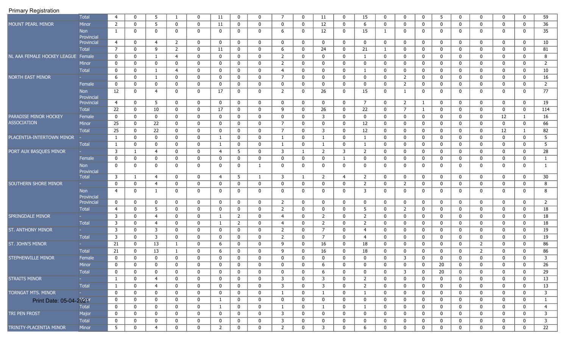|                             | Total                    | $\overline{4}$   | $\mathbf{0}$ | 5              |                | $\mathbf{0}$ | 11             | $\mathbf 0$    | $\mathbf 0$  | $\overline{7}$ | $\mathbf 0$  | 11             | $\mathbf{0}$ | 15             | $\mathbf 0$      | $\mathbf 0$    | 0            | 5           | $\mathbf 0$      | $\mathbf 0$    | $\mathbf{0}$ | $\mathbf 0$      | 59              |
|-----------------------------|--------------------------|------------------|--------------|----------------|----------------|--------------|----------------|----------------|--------------|----------------|--------------|----------------|--------------|----------------|------------------|----------------|--------------|-------------|------------------|----------------|--------------|------------------|-----------------|
| MOUNT PEARL MINOR           | Minor                    | $\overline{2}$   | 0            | 5              | $\mathbf 0$    | $\mathbf{0}$ | 11             | $\mathbf 0$    | $\mathbf 0$  | $\mathbf 0$    | $\mathbf 0$  | 12             | $\mathbf{0}$ | 6              | $\mathbf 0$      | $\mathbf 0$    | 0            | $\mathbf 0$ | 0                | $\mathbf 0$    | $\mathbf 0$  | $\mathbf 0$      | 36              |
|                             | <b>Non</b>               | 1                | $\mathbf{0}$ | $\mathbf{0}$   | $\mathbf 0$    | $\mathbf 0$  | $\mathbf 0$    | $\mathbf 0$    | $\mathbf{0}$ | 6              | $\mathbf 0$  | 12             | $\mathbf{0}$ | 15             | -1               | 0              | 0            | $\mathbf 0$ | $\mathbf 0$      | 0              | $\mathbf{0}$ | $\mathbf 0$      | 35              |
|                             | Provincial<br>Provincial | $\overline{4}$   | $\mathbf{0}$ | $\overline{4}$ | $\overline{2}$ | $\mathbf 0$  | $\mathbf 0$    | $\mathbf 0$    | $\mathbf 0$  | $\mathbf 0$    | $\mathbf 0$  | $\mathbf 0$    | $\mathbf{0}$ | $\mathbf 0$    | $\mathbf 0$      | $\mathbf 0$    | 0            | $\mathbf 0$ | $\mathbf 0$      | $\mathbf 0$    | $\mathbf 0$  | $\mathbf 0$      | 10              |
|                             | <b>Total</b>             | $\overline{7}$   | $\mathbf{0}$ | 9              | $\overline{2}$ | $\mathbf 0$  | 11             | $\mathbf 0$    | $\mathbf{0}$ | 6              | $\mathbf 0$  | 24             | $\mathbf{0}$ | 21             | 1                | $\mathbf 0$    | 0            | $\mathbf 0$ | 0                | $\mathbf 0$    | $\mathbf 0$  | $\mathbf 0$      | 81              |
| NL AAA FEMALE HOCKEY LEAGUE | Female                   | 0                | $\mathbf 0$  | $\mathbf{1}$   | 4              | $\mathbf 0$  | $\mathbf 0$    | $\mathbf 0$    | 0            | 2              | $\mathbf 0$  | $\mathbf 0$    | $\mathbf{0}$ | 1              | 0                | 0              | 0            | 0           | 0                | $\mathbf 0$    | $\mathbf 0$  | $\mathbf 0$      | 8               |
|                             | Minor                    | $\mathbf 0$      | $\mathbf 0$  | $\mathbf 0$    | $\mathbf{0}$   | $\mathbf 0$  | $\mathbf 0$    | $\mathbf 0$    | $\mathbf 0$  | 2              | 0            | $\mathbf 0$    | $\mathbf 0$  | $\mathbf 0$    | 0                | $\mathbf 0$    | 0            | $\mathbf 0$ | $\mathbf 0$      | $\mathbf 0$    | $\mathbf{0}$ | $\mathbf 0$      | $\overline{2}$  |
|                             | Total                    | 0                | $\mathbf{0}$ | -1             | $\overline{4}$ | $\mathbf{0}$ | 0              | $\mathbf 0$    | $\mathbf 0$  | $\overline{4}$ | $\mathbf 0$  | $\mathbf 0$    | $\mathbf{0}$ | 1              | $\mathbf 0$      | $\mathbf 0$    | 0            | $\mathbf 0$ | 0                | $\mathbf 0$    | $\mathbf{0}$ | $\mathbf 0$      | 10              |
| <b>NORTH EAST MINOR</b>     |                          | 6                | $\mathbf{0}$ | $\mathbf{1}$   | $\mathbf 0$    | $\mathbf 0$  | $\mathbf{0}$   | $\mathbf 0$    | $\mathbf{0}$ | $\overline{7}$ | $\mathbf 0$  | $\mathbf 0$    | $\mathbf{0}$ | $\mathbf 0$    | $\mathbf 0$      | $\overline{2}$ | 0            | $\mathbf 0$ | 0                | $\mathbf 0$    | $\mathbf 0$  | $\mathbf 0$      | 16              |
|                             | Female                   | 0                | $\mathbf{0}$ | $\mathbf 0$    | $\mathbf 0$    | $\mathbf 0$  | $\mathbf{0}$   | $\mathbf 0$    | $\mathbf{0}$ | $\mathbf 0$    | $\mathbf 0$  | $\bf{0}$       | $\mathbf{0}$ | $\mathbf 0$    | 0                | $\overline{2}$ | 0            | $\mathbf 0$ | 0                | 0              | 0            | $\bf{0}$         | $\overline{2}$  |
|                             | <b>Non</b><br>Provincial | 12               | $\bf{0}$     | $\overline{4}$ | $\mathbf{0}$   | $\mathbf{0}$ | 17             | $\mathbf 0$    | $\mathbf{0}$ | $\overline{2}$ | $\mathbf 0$  | 26             | $\mathbf{0}$ | 15             | $\mathbf 0$      | 1              | $\mathbf{0}$ | $\mathbf 0$ | $\mathbf 0$      | $\mathbf{0}$   | $\mathbf{0}$ | 0                | $\overline{77}$ |
|                             | Provincial               | $\overline{4}$   | $\mathbf{0}$ | 5              | $\mathbf 0$    | $\mathbf{0}$ | $\mathbf 0$    | $\mathbf 0$    | 0            | $\mathbf 0$    | $\mathbf 0$  | $\mathbf 0$    | $\mathbf{0}$ | $\overline{7}$ | $\mathbf 0$      | $\overline{2}$ | 1            | $\mathbf 0$ | $\mathbf 0$      | $\mathbf 0$    | $\mathbf{0}$ | $\mathbf 0$      | 19              |
|                             | Total                    | $\overline{22}$  | $\mathbf{0}$ | 10             | $\mathbf 0$    | $\mathbf 0$  | 17             | $\mathbf 0$    | $\mathbf 0$  | 9              | $\mathbf 0$  | 26             | $\mathbf{0}$ | 22             | $\mathbf 0$      | $\overline{7}$ | 1            | $\mathbf 0$ | $\bf{0}$         | $\mathbf{0}$   | $\mathbf 0$  | $\bf{0}$         | 114             |
| PARADISE MINOR HOCKEY       | Female                   | $\boldsymbol{0}$ | $\mathbf{0}$ | $\mathbf 0$    | $\mathbf{0}$   | $\mathbf{0}$ | $\mathbf{0}$   | $\mathbf 0$    | $\mathbf{0}$ | $\mathbf 0$    | $\mathbf 0$  | $\overline{3}$ | $\mathbf{0}$ | $\mathbf 0$    | $\mathbf 0$      | $\mathbf 0$    | 0            | $\mathbf 0$ | $\bf{0}$         | $\mathbf 0$    | 12           | 1                | 16              |
| <b>ASSOCIATION</b>          | <b>Minor</b>             | $\overline{25}$  | $\mathbf{0}$ | 22             | $\mathbf 0$    | $\mathbf 0$  | $\mathbf{0}$   | $\mathbf 0$    | $\mathbf{0}$ | $\overline{7}$ | $\mathbf 0$  | $\bf{0}$       | $\mathbf{0}$ | 12             | 0                | $\mathbf 0$    | 0            | $\mathbf 0$ | 0                | $\mathbf 0$    | $\mathbf 0$  | $\mathbf 0$      | 66              |
|                             | <b>Total</b>             | $\overline{25}$  | $\mathbf 0$  | 22             | $\mathbf 0$    | $\mathbf 0$  | $\mathbf 0$    | $\mathbf 0$    | $\mathbf 0$  | $\overline{7}$ | $\mathbf 0$  | $\overline{3}$ | $\mathbf{0}$ | 12             | $\mathbf 0$      | $\mathbf 0$    | 0            | $\mathbf 0$ | $\mathbf 0$      | $\mathbf 0$    | 12           | 1                | 82              |
| PLACENTIA-INTERTOWN MINOR   |                          | 1                | $\mathbf 0$  | $\mathbf 0$    | $\mathbf 0$    | $\mathbf 0$  | $\mathbf{1}$   | $\mathbf 0$    | $\mathbf 0$  | 1              | $\mathbf 0$  | $\mathbf{1}$   | $\mathbf{0}$ | 1              | $\mathbf 0$      | $\mathbf 0$    | 0            | $\mathbf 0$ | 0                | $\mathbf 0$    | $\mathbf 0$  | 0                | 5               |
|                             | Total                    | $\mathbf{1}$     | $\mathbf 0$  | $\mathbf 0$    | $\mathbf{0}$   | $\mathbf 0$  |                | 0              | 0            | $\mathbf{1}$   | $\mathbf 0$  | 1              | 0            | -1             | 0                | $\mathbf 0$    | 0            | 0           | 0                | 0              | $\mathbf{0}$ | $\mathbf 0$      | 5               |
| PORT AUX BASQUES MINOR      |                          | $\mathbf{3}$     | 1            | $\overline{4}$ | 0              | $\mathbf 0$  | $\overline{4}$ | 5              | $\mathbf{0}$ | 3              | $\mathbf{1}$ | 2              | 3            | $\overline{2}$ | $\mathbf 0$      | $\mathbf 0$    | 0            | $\mathbf 0$ | $\mathbf 0$      | 0              | $\Omega$     | $\mathbf 0$      | 28              |
|                             | Female                   | 0                | $\mathbf{0}$ | $\mathbf 0$    | 0              | $\mathbf{0}$ | 0              | $\mathbf 0$    | $\mathbf 0$  | 0              | $\mathbf 0$  | $\mathbf 0$    | $\mathbf{1}$ | $\mathbf 0$    | $\mathbf 0$      | $\mathbf 0$    | 0            | $\mathbf 0$ | $\mathbf 0$      | $\mathbf 0$    | $\Omega$     | $\mathbf 0$      | 1               |
|                             | Non                      | $\mathbf 0$      | $\mathbf{0}$ | $\mathbf{0}$   | $\mathbf{0}$   | $\mathbf 0$  | $\mathbf{0}$   | $\mathbf 0$    | $\mathbf{1}$ | 0              | $\mathbf 0$  | $\mathbf{0}$   | $\mathbf{0}$ | $\mathbf{0}$   | $\mathbf 0$      | $\mathbf 0$    | $\mathbf{0}$ | $\mathbf 0$ | $\mathbf 0$      | 0              | $\mathbf{0}$ | $\overline{0}$   | 1               |
|                             | Provincial<br>Total      | $\overline{3}$   | 1            | $\overline{4}$ | $\mathbf 0$    | $\mathbf{0}$ | $\overline{4}$ | -5             | $\mathbf{1}$ | 3              | $\mathbf{1}$ | 2              | 4            | $\overline{2}$ | $\mathbf 0$      | $\mathbf 0$    | 0            | $\mathbf 0$ | $\mathbf 0$      | $\mathbf 0$    | $\mathbf{0}$ | $\mathbf 0$      | 30              |
| SOUTHERN SHORE MINOR        |                          | $\mathbf 0$      | $\mathbf{0}$ | $\overline{4}$ | $\mathbf 0$    | $\mathbf{0}$ | $\mathbf 0$    | $\mathbf 0$    | $\mathbf 0$  | 0              | $\mathbf 0$  | $\bf{0}$       | $\mathbf{0}$ | $\overline{2}$ | 0                | $\overline{2}$ | $\mathbf 0$  | 0           | 0                | 0              | $\mathbf 0$  | $\boldsymbol{0}$ | 8               |
|                             | Non                      | $\overline{4}$   | $\mathbf{0}$ | $\mathbf{1}$   | $\mathbf 0$    | $\mathbf 0$  | $\mathbf{0}$   | $\mathbf 0$    | $\mathbf{0}$ | 0              | $\mathbf 0$  | $\mathbf 0$    | $\mathbf{0}$ | 3              | $\mathbf 0$      | $\mathbf{0}$   | 0            | $\mathbf 0$ | $\mathbf 0$      | 0              | 0            | $\mathbf 0$      | 8               |
|                             | Provincial               |                  |              |                |                |              |                |                |              |                |              |                |              |                |                  |                |              |             |                  |                |              |                  |                 |
|                             | Provincial               | $\mathbf 0$      | $\mathbf{0}$ | 0              | 0              | $\mathbf 0$  | $\mathbf 0$    | $\mathbf 0$    | 0            | $\overline{2}$ | $\mathbf 0$  | $\mathbf 0$    | 0            | $\mathbf 0$    | 0                | $\mathbf 0$    | 0            | $\mathbf 0$ | $\mathbf 0$      | $\mathbf 0$    | $\mathbf 0$  | $\mathbf 0$      | $\overline{2}$  |
|                             | Total                    | $\overline{4}$   | $\mathbf{0}$ | 5              | 0              | $\mathbf{0}$ | $\mathbf 0$    | $\mathbf 0$    | $\mathbf 0$  | 2              | $\mathbf 0$  | $\mathbf 0$    | $\mathbf{0}$ | 5              | $\mathbf 0$      | $2^{\circ}$    | 0            | $\mathbf 0$ | $\mathbf 0$      | $\mathbf 0$    | $\Omega$     | 0                | 18              |
| SPRINGDALE MINOR            |                          | $\overline{3}$   | $\mathbf{0}$ | $\overline{4}$ | $\mathbf 0$    | $\mathbf 0$  | -1             | $\overline{2}$ | $\mathbf 0$  | $\overline{4}$ | $\mathbf 0$  | $\overline{2}$ | $\mathbf{0}$ | $\overline{2}$ | $\mathbf 0$      | 0              | 0            | $\mathbf 0$ | 0                | 0              | $\mathbf 0$  | $\mathbf 0$      | 18              |
|                             | <b>Total</b>             | $\overline{3}$   | $\mathbf{0}$ | $\overline{4}$ | $\mathbf 0$    | $\mathbf 0$  |                | $\overline{2}$ | $\mathbf{0}$ | $\overline{4}$ | $\mathbf 0$  | $\overline{2}$ | $\mathbf{0}$ | 2              | $\mathbf 0$      | 0              | 0            | $\mathbf 0$ | 0                | 0              | $\mathbf 0$  | $\mathbf 0$      | 18              |
| <b>ST. ANTHONY MINOR</b>    |                          | $\mathbf{3}$     | $\mathbf 0$  | 3              | $\mathbf{0}$   | $\mathbf 0$  | $\mathbf 0$    | $\mathbf 0$    | $\mathbf 0$  | $\overline{2}$ | $\mathbf 0$  | $\overline{7}$ | $\mathbf{0}$ | $\overline{4}$ | 0                | $\mathbf 0$    | 0            | $\mathbf 0$ | $\mathbf 0$      | $\mathbf 0$    | $\mathbf 0$  | $\mathbf 0$      | 19              |
|                             | <b>Total</b>             | $\mathbf{3}$     | $\mathbf 0$  | 3              | $\mathbf 0$    | $\mathbf 0$  | $\mathbf{0}$   | 0              | $\mathbf{0}$ | $\overline{2}$ | $\bf{0}$     | $7^{\circ}$    | $\mathbf{0}$ | $\overline{4}$ | $\mathbf 0$      | $\mathbf 0$    | 0            | $\mathbf 0$ | 0                | $\mathbf 0$    | $\mathbf 0$  | $\bf{0}$         | 19              |
| ST. JOHN'S MINOR            |                          | 21               | $\mathbf{0}$ | 13             | $\mathbf{1}$   | $\mathbf{0}$ | 6              | $\mathbf 0$    | $\mathbf 0$  | 9              | $\mathbf 0$  | 16             | $\mathbf{0}$ | 18             | 0                | 0              | 0            | 0           | 0                | $\overline{2}$ | $\mathbf{0}$ | $\mathbf 0$      | 86              |
|                             | Total                    | 21               | $\mathbf 0$  | 13             | $\mathbf{1}$   | $\mathbf{0}$ | 6              | 0              | 0            | 9              | $\bf{0}$     | 16             | $\mathbf{0}$ | 18             | $\mathbf{0}$     | 0              | 0            | 0           | $\mathbf{0}$     | 2              | $\Omega$     | $\mathbf 0$      | 86              |
| STEPHENVILLE MINOR          | Female                   | $\mathbf 0$      | 0            | 0              | 0              | 0            | 0              | 0              | 0            | 0              | $\mathbf 0$  | $\mathbf{0}$   | 0            | 0              | $\mathbf{0}$     | 3              | 0            | 0           | $\mathbf{0}$     | 0              | $\Omega$     | 0                | 3               |
|                             | Minor                    | $\mathbf 0$      | $\Omega$     | $\Omega$       | $\Omega$       | 0            | $\Omega$       | 0              | $\Omega$     | $\Omega$       | $\Omega$     | 6              | $\Omega$     | $\Omega$       | $\mathbf{0}$     | $\Omega$       | $\Omega$     | $20\,$      | $\Omega$         | $\mathbf 0$    | $\Omega$     | $\Omega$         | 26              |
|                             | Total                    | $\mathbf 0$      | $\mathbf{0}$ | $\mathbf 0$    | $\mathbf 0$    | $\mathbf{0}$ | 0              | $\mathbf 0$    | 0            | 0              | $\mathbf 0$  | 6              | 0            | $\mathbf 0$    | 0                | 3              | 0            | 20          | $\mathbf 0$      | 0              | 0            | $\mathbf 0$      | 29              |
| <b>STRAITS MINOR</b>        |                          | 1                | $\mathbf{0}$ | 4              | $\mathbf 0$    | $\mathbf 0$  | $\mathbf 0$    | $\mathbf 0$    | 0            | 3              | $\mathbf 0$  | 3              | $\mathbf{0}$ | $\overline{2}$ | $\mathbf 0$      | $\mathbf{0}$   | 0            | $\mathbf 0$ | $\bf{0}$         | 0              | 0            | $\mathbf 0$      | 13              |
|                             | Total                    | $\mathbf{1}$     | $\mathbf{0}$ | 4              | $\mathbf{0}$   | $\mathbf 0$  | $\mathbf{0}$   | $\mathbf 0$    | $\mathbf{0}$ | $\mathbf{3}$   | $\mathbf 0$  | $\overline{3}$ | 0            | $\overline{2}$ | $\mathbf 0$      | $\mathbf{0}$   | 0            | $\mathbf 0$ | $\mathbf 0$      | $\mathbf 0$    | 0            | $\mathbf 0$      | 13              |
| TORNGAT MTS. MINOR          |                          | $\boldsymbol{0}$ | $\mathbf{0}$ | $\mathbf 0$    | $\mathbf 0$    | $\mathbf 0$  | $\mathbf{0}$   | $\mathbf 0$    | $\mathbf 0$  | $\mathbf{1}$   | $\mathbf 0$  | $\mathbf{1}$   | 0            | $\mathbf{1}$   | $\mathbf 0$      | $\mathbf 0$    | 0            | $\mathbf 0$ | 0                | $\bm{0}$       | 0            | $\bf{0}$         | 3               |
| Print Date: 05-04-2021      |                          | $\boldsymbol{0}$ | $\mathbf 0$  | $\mathbf 0$    | $\mathbf 0$    | $\mathbf 0$  | $\mathbf{1}$   | $\mathbf 0$    | $\mathbf 0$  | 0              | $\mathbf 0$  | $\bf{0}$       | 0            | 0              | 0                | $\mathbf 0$    | 0            | $\mathbf 0$ | 0                | $\bm{0}$       | $\mathbf 0$  | $\boldsymbol{0}$ | $\mathbf{1}$    |
|                             | Total                    | $\mathbf 0$      | $\mathbf{0}$ | $\mathbf 0$    | 0              | $\mathbf 0$  | $\mathbf{1}$   | 0              | $\mathbf{0}$ | -1             | $\mathbf 0$  | $\mathbf{1}$   | $\mathbf{0}$ | $\mathbf{1}$   | 0                | 0              | 0            | $\mathbf 0$ | 0                | 0              | 0            | $\bf{0}$         | $\overline{4}$  |
| TRI PEN FROST               | Major                    | 0                | $\mathbf{0}$ | $\mathbf 0$    | 0              | $\mathbf 0$  | 0              | $\mathbf 0$    | $\mathbf 0$  | 3              | $\bf{0}$     | $\bm{0}$       | 0            | 0              | 0                | 0              | 0            | $\mathbf 0$ | 0                | $\mathbf 0$    | 0            | $\mathbf 0$      | 3               |
|                             | Total                    | $\bf{0}$         | $\mathbf{0}$ | 0              | $\mathbf 0$    | $\mathbf 0$  | $\mathbf{0}$   | $\bf{0}$       | $\mathbf{0}$ | 3              | $\mathbf{0}$ | $\mathbf 0$    | 0            | $\bf{0}$       | $\boldsymbol{0}$ | 0              | 0            | $\mathbf 0$ | $\boldsymbol{0}$ | $\bm{0}$       | 0            | $\mathbf 0$      | 3               |
| TRINITY-PLACENTIA MINOR     | Minor                    | 5                | $\mathbf 0$  | 4              | $\mathbf 0$    | $\mathbf 0$  | $\overline{2}$ | $\mathbf 0$    | $\mathbf 0$  | $\overline{2}$ | $\bf{0}$     | 3              | 0            | 6              | $\mathbf 0$      | $\mathbf 0$    | 0            | $\mathbf 0$ | $\mathbf 0$      | $\mathbf 0$    | 0            | $\mathbf 0$      | $\overline{22}$ |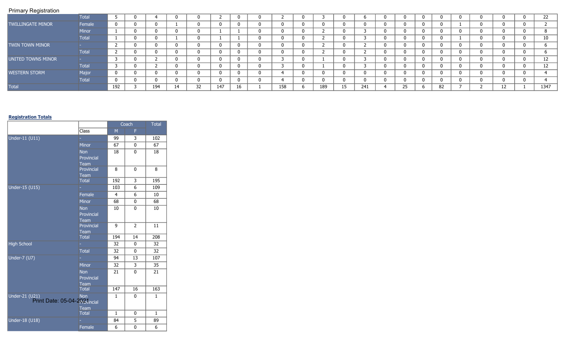|                      | Total        |     |     |    |    |          |          |     |     |    |     |          |     |    |  |   | 22   |
|----------------------|--------------|-----|-----|----|----|----------|----------|-----|-----|----|-----|----------|-----|----|--|---|------|
| TWILLINGATE MINOR    | Female       | 0   |     |    |    | $\Omega$ | -0       |     |     |    |     |          | - 0 |    |  |   |      |
|                      | <b>Minor</b> |     |     |    |    |          |          |     |     |    |     | 0        | -0  |    |  |   | 8    |
|                      | <b>Total</b> |     |     |    |    |          |          |     |     |    |     |          | - 0 |    |  |   | 10   |
| TWIN TOWN MINOR      |              |     |     |    |    |          | -C       |     |     |    |     |          |     |    |  |   |      |
|                      | <b>Total</b> |     |     |    |    |          | - 0      |     |     |    |     |          | - 0 |    |  |   |      |
| UNITED TOWNS MINOR   |              |     |     | n  | n  | - 0      | $\Omega$ |     |     |    |     | $\Omega$ | - 0 |    |  |   | 12   |
|                      | <b>Total</b> |     |     |    |    |          | - 0      |     |     |    |     | 0        | - 0 |    |  |   | 12   |
| <b>WESTERN STORM</b> | Major        | 0   |     |    |    | - 0      | -0       |     |     |    |     | 0        | - 0 |    |  |   |      |
|                      | Total        | 0   |     |    |    | $\Omega$ | -0       |     |     |    |     |          | ി   |    |  |   |      |
| Total                |              | 192 | 194 | 14 | 32 | 147      | 16       | 158 | 189 | 15 | 241 | 25       |     | 82 |  | ᅭ | 1347 |

## **Registration Totals**

|                                                                     |                      |                | Coach          | <b>Total</b>     |
|---------------------------------------------------------------------|----------------------|----------------|----------------|------------------|
|                                                                     | Class                | M              | F              |                  |
| Under-11 (U11)                                                      |                      | 99             | 3              | 102              |
|                                                                     | <b>Minor</b>         | 67             | 0              | 67               |
|                                                                     | <b>Non</b>           | 18             | $\mathbf{0}$   | 18               |
|                                                                     | Provincial           |                |                |                  |
|                                                                     | Team                 |                |                |                  |
|                                                                     | Provincial           | 8              | $\mathbf{0}$   | 8                |
|                                                                     | Team                 | 192            | 3              | 195              |
|                                                                     | <b>Total</b>         |                |                |                  |
| Under-15 (U15)                                                      |                      | 103            | 6              | 109              |
|                                                                     | Female               | $\overline{4}$ | 6              | 10               |
|                                                                     | Minor                | 68             | 0              | 68               |
|                                                                     | <b>Non</b>           | 10             | 0              | 10               |
|                                                                     | Provincial           |                |                |                  |
|                                                                     | Team                 |                |                |                  |
|                                                                     | Provincial           | 9              | $\overline{2}$ | 11               |
|                                                                     | Team<br><b>Total</b> | 194            | 14             | 208              |
|                                                                     |                      |                |                | $\overline{32}$  |
| <b>High School</b>                                                  |                      | 32             | $\mathbf{0}$   |                  |
|                                                                     | <b>Total</b>         | 32             | $\mathbf{0}$   | 32               |
| Under-7 (U7)                                                        |                      | 94             | 13             | 107              |
|                                                                     | Minor                | 32             | 3              | 35               |
|                                                                     | <b>Non</b>           | 21             | 0              | 21               |
|                                                                     | Provincial           |                |                |                  |
|                                                                     | Team                 |                |                |                  |
|                                                                     | <b>Total</b>         | 147            | 16             | $\overline{163}$ |
| Under-21 $\overline{(U21)}$<br>J21)<br>Print Date: 05-04-293vincial |                      | $\mathbf{1}$   | 0              | $\mathbf{1}$     |
|                                                                     | Team                 |                |                |                  |
|                                                                     | <b>Total</b>         | $\mathbf{1}$   | 0              | $\mathbf{1}$     |
| Under-18 (U18)                                                      |                      | 84             | 5              | 89               |
|                                                                     | Female               | 6              | 0              | 6                |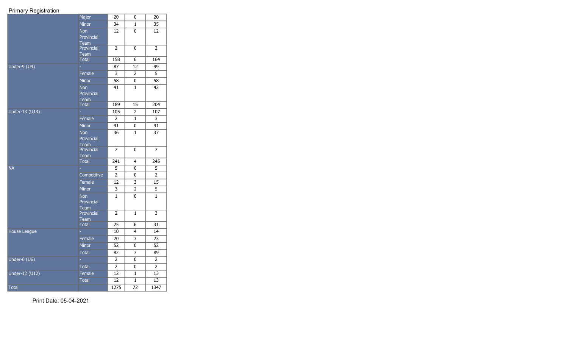|                | Major                       | 20                 | 0               | 20                                   |
|----------------|-----------------------------|--------------------|-----------------|--------------------------------------|
|                | <b>Minor</b>                | 34                 | $\mathbf{1}$    | $\overline{35}$                      |
|                | Non                         | 12                 | 0               | 12                                   |
|                | Provincial                  |                    |                 |                                      |
|                | Team                        |                    |                 |                                      |
|                | Provincial                  | $\overline{2}$     | 0               | $\overline{2}$                       |
|                | <b>Team</b><br><b>Total</b> | 158                | 6               | 164                                  |
|                |                             |                    |                 |                                      |
| Under-9 (U9)   |                             | 87                 | 12              | 99                                   |
|                | Female                      | 3                  | $\overline{2}$  | 5                                    |
|                | <b>Minor</b>                | $\overline{58}$    | 0               | $\overline{58}$                      |
|                | Non                         | 41                 | $\mathbf{1}$    | 42                                   |
|                | Provincial                  |                    |                 |                                      |
|                | <b>Team</b>                 | 189                | $\overline{15}$ | 204                                  |
|                | <b>Total</b>                |                    |                 |                                      |
| Under-13 (U13) |                             | 105                | $\overline{2}$  | 107                                  |
|                | Female                      | $\overline{2}$     | $\mathbf{1}$    | 3                                    |
|                | <b>Minor</b>                | $\overline{91}$    | 0               | $\overline{91}$                      |
|                | Non                         | 36                 | $\mathbf{1}$    | 37                                   |
|                | Provincial                  |                    |                 |                                      |
|                | <b>Team</b>                 |                    |                 |                                      |
|                | Provincial<br><b>Team</b>   | $\overline{7}$     | 0               | $\overline{7}$                       |
|                | <b>Total</b>                | 241                | 4               | $\overline{245}$                     |
| <b>NA</b>      |                             | 5                  | 0               | 5                                    |
|                | Competitive                 | $\overline{2}$     | 0               | $\overline{2}$                       |
|                | Female                      | 12                 | 3               | 15                                   |
|                |                             |                    |                 |                                      |
|                | Minor                       | 3                  | $\overline{2}$  | $\overline{5}$                       |
|                | Non                         | $\mathbf{1}$       | 0               | $\mathbf{1}$                         |
|                | Provincial<br><b>Team</b>   |                    |                 |                                      |
|                | Provincial                  | $\overline{2}$     | $\mathbf{1}$    | $\overline{\overline{\overline{3}}}$ |
|                | <b>Team</b>                 |                    |                 |                                      |
|                | <b>Total</b>                | 25                 | 6               | 31                                   |
| House League   |                             | 10                 | 4               | 14                                   |
|                | Female                      | 20                 | 3               | 23                                   |
|                | Minor                       | $\overline{52}$    | 0               | 52                                   |
|                | <b>Total</b>                | 82                 | 7               | 89                                   |
| Under-6 (U6)   | ÷,                          | 2                  | 0               | $\overline{2}$                       |
|                | <b>Total</b>                | $\overline{2}$     | 0               | 2                                    |
|                |                             |                    |                 |                                      |
| Under-12 (U12) | Female                      | 12                 | 1               | 13                                   |
|                | <b>Total</b>                | 12                 | $\mathbf{1}$    | 13                                   |
| Total          |                             | $\overline{1}$ 275 | $\overline{72}$ | 1347                                 |

Print Date: 05-04-2021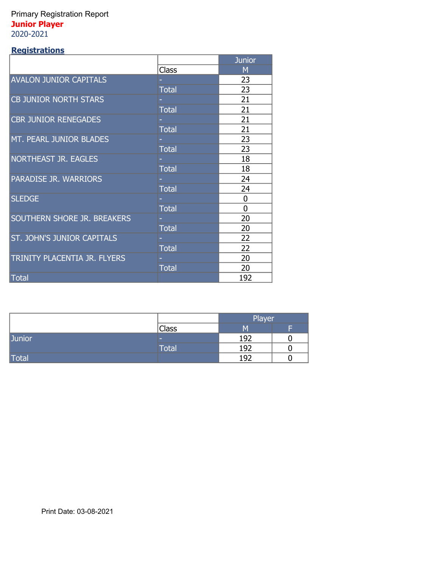## Primary Registration Report **Junior Player** 2020-2021

## **Registrations**

|                                   |              | <b>Junior</b>  |
|-----------------------------------|--------------|----------------|
|                                   | <b>Class</b> | M              |
| <b>AVALON JUNIOR CAPITALS</b>     |              | 23             |
|                                   | <b>Total</b> | 23             |
| <b>CB JUNIOR NORTH STARS</b>      |              | 21             |
|                                   | <b>Total</b> | 21             |
| <b>CBR JUNIOR RENEGADES</b>       |              | 21             |
|                                   | <b>Total</b> | 21             |
| MT. PEARL JUNIOR BLADES           |              | 23             |
|                                   | <b>Total</b> | 23             |
| <b>NORTHEAST JR. EAGLES</b>       |              | 18             |
|                                   | <b>Total</b> | 18             |
| <b>PARADISE JR. WARRIORS</b>      |              | 24             |
|                                   | <b>Total</b> | 24             |
| <b>SLEDGE</b>                     |              | $\overline{0}$ |
|                                   | <b>Total</b> | $\Omega$       |
| SOUTHERN SHORE JR. BREAKERS       |              | 20             |
|                                   | <b>Total</b> | 20             |
| <b>ST. JOHN'S JUNIOR CAPITALS</b> |              | 22             |
|                                   | <b>Total</b> | 22             |
| TRINITY PLACENTIA JR. FLYERS      |              | 20             |
|                                   | <b>Total</b> | 20             |
| Total                             |              | 192            |

<u> 1980 - Johann Barbara, martxa alemaniar a</u>

|               |       | <b>Player</b> |   |
|---------------|-------|---------------|---|
|               | Class | M             | E |
| <b>Junior</b> | -     | 192           |   |
|               | Total | 192           |   |
| Total         |       | 192           |   |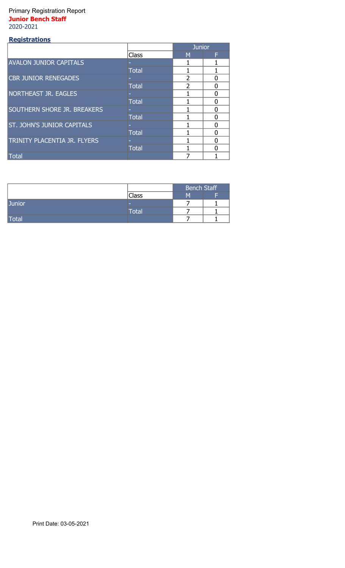## Primary Registration Report **Junior Bench Staff** 2020-2021

#### **Registrations** Class M M F - 1 1 Total 1 1 1 - 2 0 Total 2 0<br>- 1 0 - 1 0 Total 1 0<br>- 1 0 - 1 0 Total 1 0 - 1 0 Total 1 0 - 1 0 Total 1 0 Total 7 1 **Junior** AVALON JUNIOR CAPITALS CBR JUNIOR RENEGADES NORTHEAST JR. EAGLES SOUTHERN SHORE JR. BREAKERS ST. JOHN'S JUNIOR CAPITALS TRINITY PLACENTIA JR. FLYERS

|               |              | <b>Bench Staff</b> |   |
|---------------|--------------|--------------------|---|
|               | Class        | м                  | Е |
| <b>Junior</b> | -            |                    |   |
|               | <b>Total</b> |                    |   |
| Total         |              |                    |   |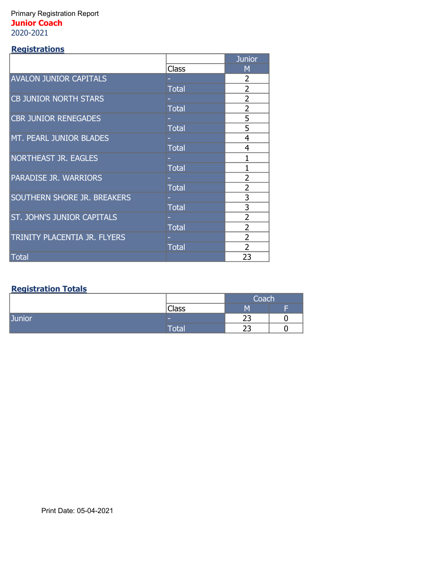## Primary Registration Report **Junior Coach** 2020-2021

## **Registrations**

|                               |              | <b>Junior</b>  |
|-------------------------------|--------------|----------------|
|                               | Class        | М              |
| <b>AVALON JUNIOR CAPITALS</b> |              | 2              |
|                               | <b>Total</b> | $\overline{2}$ |
| <b>CB JUNIOR NORTH STARS</b>  |              | $\overline{2}$ |
|                               | <b>Total</b> | $\overline{2}$ |
| <b>CBR JUNIOR RENEGADES</b>   |              | 5              |
|                               | <b>Total</b> | 5              |
| MT. PEARL JUNIOR BLADES       |              | $\overline{4}$ |
|                               | <b>Total</b> | 4              |
| <b>NORTHEAST JR. EAGLES</b>   |              | 1              |
|                               | <b>Total</b> | 1              |
| <b>PARADISE JR. WARRIORS</b>  |              | 2              |
|                               | <b>Total</b> | $\overline{2}$ |
| SOUTHERN SHORE JR. BREAKERS   |              | 3              |
|                               | <b>Total</b> | 3              |
| ST. JOHN'S JUNIOR CAPITALS    |              | 2              |
|                               | <b>Total</b> | 2              |
| TRINITY PLACENTIA JR. FLYERS  |              | $\overline{2}$ |
|                               | <b>Total</b> | $\overline{2}$ |
| Total                         |              | 23             |

## **Registration Totals**

|               |              | Coach    |  |
|---------------|--------------|----------|--|
|               | <b>Class</b> | M        |  |
| <b>Junior</b> | -            | רר<br>تے |  |
|               | $\sf Total$  | --<br>ت  |  |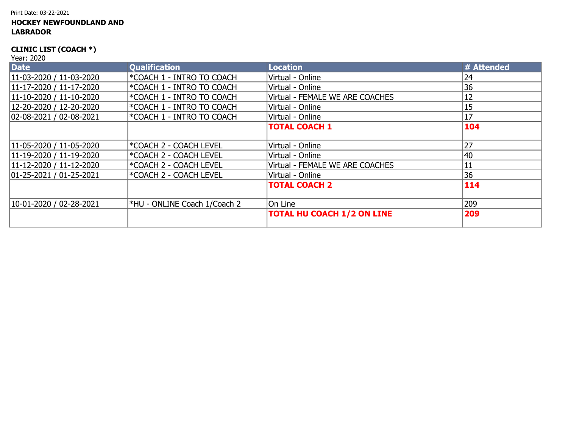#### Print Date: 03-22-2021

## **HOCKEY NEWFOUNDLAND AND LABRADOR**

## **CLINIC LIST (COACH \*)**

| <b>Date</b>                 | <b>Qualification</b>             | <b>Location</b>                   | # Attended |
|-----------------------------|----------------------------------|-----------------------------------|------------|
| $11-03-2020 / 11-03-2020$   | *COACH 1 - INTRO TO COACH        | Virtual - Online                  | 24         |
| $ 11-17-2020 /11-17-2020 $  | FCOACH 1 - INTRO TO COACH        | Virtual - Online                  | 36         |
| $11-10-2020 / 11-10-2020$   | <b>EXECTA 1 - INTRO TO COACH</b> | Virtual - FEMALE WE ARE COACHES   | 12         |
| 12-20-2020 / 12-20-2020     | <b>EXECTA 1 - INTRO TO COACH</b> | Virtual - Online                  | 15         |
| $ 02-08-2021/02-08-2021$    | *COACH 1 - INTRO TO COACH        | Virtual - Online                  | 17         |
|                             |                                  | <b>TOTAL COACH 1</b>              | 104        |
|                             |                                  |                                   |            |
| $11-05-2020 / 11-05-2020$   | *COACH 2 - COACH LEVEL           | Virtual - Online                  | 27         |
| $11-19-2020 / 11-19-2020$   | *COACH 2 - COACH LEVEL           | Virtual - Online                  | 40         |
| $11-12-2020 / 11-12-2020$   | *COACH 2 - COACH LEVEL           | Virtual - FEMALE WE ARE COACHES   | 11         |
| $ 01-25-2021 $ / 01-25-2021 | *COACH 2 - COACH LEVEL           | Virtual - Online                  | 36         |
|                             |                                  | <b>TOTAL COACH 2</b>              | 114        |
|                             |                                  |                                   |            |
| $10-01-2020 / 02-28-2021$   | *HU - ONLINE Coach 1/Coach 2     | On Line                           | 209        |
|                             |                                  | <b>TOTAL HU COACH 1/2 ON LINE</b> | 209        |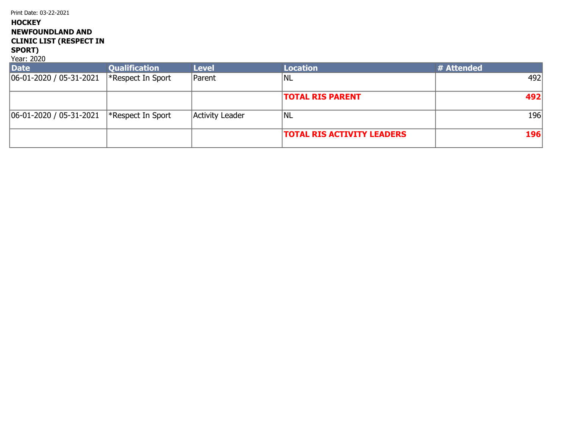Print Date: 03-22-2021

## **HOCKEY NEWFOUNDLAND AND CLINIC LIST (RESPECT IN**

#### **SPORT)** Year: 2020

| <b>Date</b>                 | <b>Qualification</b>     | <b>Level</b>    | <b>Location</b>                   | # Attended |
|-----------------------------|--------------------------|-----------------|-----------------------------------|------------|
| $ 06-01-2020/05-31-2021 $   | $\ast$ Respect In Sport  | Parent          | NL                                | 492        |
|                             |                          |                 | <b>TOTAL RIS PARENT</b>           | 492        |
| $ 06-01-2020 $ / 05-31-2021 | $\mid$ *Respect In Sport | Activity Leader | INL                               | 196        |
|                             |                          |                 | <b>TOTAL RIS ACTIVITY LEADERS</b> | 196        |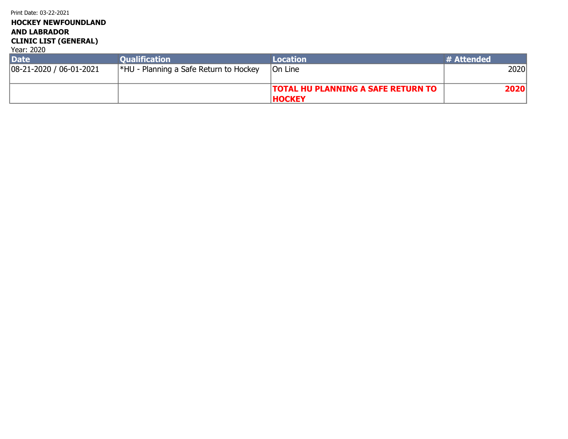## **HOCKEY NEWFOUNDLAND AND LABRADOR CLINIC LIST (GENERAL)**

| <b>Date</b>               | <b>Oualification</b>                          | Location                                  | # Attended |
|---------------------------|-----------------------------------------------|-------------------------------------------|------------|
| $ 08-21-2020/06-01-2021 $ | $\mid$ *HU - Planning a Safe Return to Hockey | <b>On Line</b>                            | 2020       |
|                           |                                               |                                           |            |
|                           |                                               | <b>TOTAL HU PLANNING A SAFE RETURN TO</b> | 2020       |
|                           |                                               | <b>HOCKEY</b>                             |            |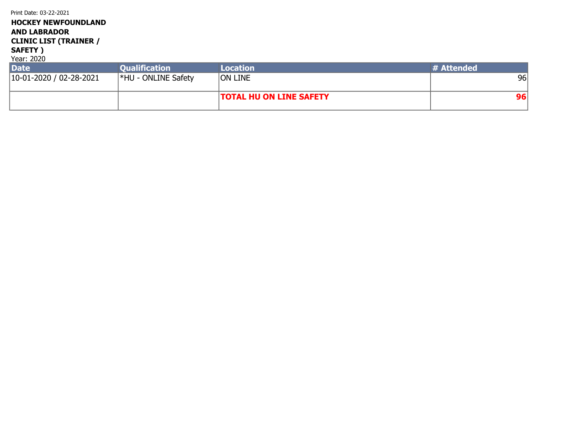| <b>HOCKEY NEWFOUNDLAND</b><br><b>AND LABRADOR</b><br><b>CLINIC LIST (TRAINER /</b><br>SAFETY)<br>Year: 2020 |                            |                 |            |
|-------------------------------------------------------------------------------------------------------------|----------------------------|-----------------|------------|
| <b>Date</b>                                                                                                 | <b>Qualification</b>       | <b>Location</b> | # Attended |
|                                                                                                             |                            |                 |            |
| $10-01-2020 / 02-28-2021$                                                                                   | <b>*HU - ONLINE Safety</b> | <b>ON LINE</b>  | 96         |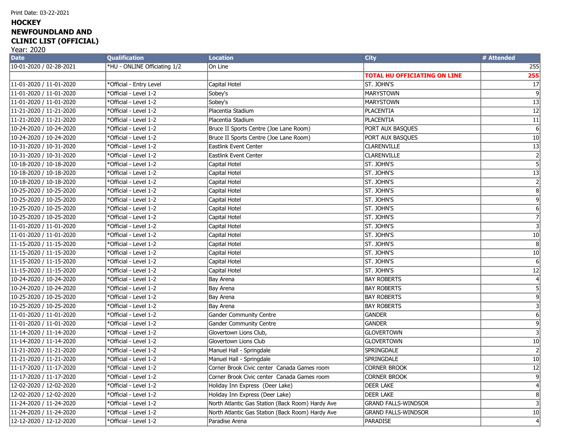## **HOCKEY NEWFOUNDLAND AND CLINIC LIST (OFFICIAL)**

| <b>Date</b>             | <b>Qualification</b>         | <b>Location</b>                                  | <b>City</b>                         | # Attended       |
|-------------------------|------------------------------|--------------------------------------------------|-------------------------------------|------------------|
| 10-01-2020 / 02-28-2021 | *HU - ONLINE Officiating 1/2 | On Line                                          |                                     | 255              |
|                         |                              |                                                  | <b>TOTAL HU OFFICIATING ON LINE</b> | 255              |
| 11-01-2020 / 11-01-2020 | *Official - Entry Level      | Capital Hotel                                    | St. John's                          | $\overline{17}$  |
| 11-01-2020 / 11-01-2020 | *Official - Level 1-2        | Sobey's                                          | <b>MARYSTOWN</b>                    | ब                |
| 11-01-2020 / 11-01-2020 | *Official - Level 1-2        | Sobey's                                          | <b>MARYSTOWN</b>                    | 13               |
| 11-21-2020 / 11-21-2020 | *Official - Level 1-2        | Placentia Stadium                                | PLACENTIA                           | $\overline{12}$  |
| 11-21-2020 / 11-21-2020 | *Official - Level 1-2        | Placentia Stadium                                | PLACENTIA                           | $\overline{11}$  |
| 10-24-2020 / 10-24-2020 | *Official - Level 1-2        | Bruce II Sports Centre (Joe Lane Room)           | PORT AUX BASQUES                    | $\overline{6}$   |
| 10-24-2020 / 10-24-2020 | *Official - Level 1-2        | Bruce II Sports Centre (Joe Lane Room)           | PORT AUX BASQUES                    | 10               |
| 10-31-2020 / 10-31-2020 | *Official - Level 1-2        | <b>Eastlink Event Center</b>                     | <b>CLARENVILLE</b>                  | 13               |
| 10-31-2020 / 10-31-2020 | *Official - Level 1-2        | Eastlink Event Center                            | <b>CLARENVILLE</b>                  | $\overline{2}$   |
| 10-18-2020 / 10-18-2020 | *Official - Level 1-2        | Capital Hotel                                    | st. John's                          | $\overline{5}$   |
| 10-18-2020 / 10-18-2020 | *Official - Level 1-2        | Capital Hotel                                    | St. John's                          | $\overline{13}$  |
| 10-18-2020 / 10-18-2020 | *Official - Level 1-2        | Capital Hotel                                    | St. John's                          | 2                |
| 10-25-2020 / 10-25-2020 | *Official - Level 1-2        | Capital Hotel                                    | St. John's                          | $\overline{8}$   |
| 10-25-2020 / 10-25-2020 | *Official - Level 1-2        | Capital Hotel                                    | St. John's                          | $\overline{9}$   |
| 10-25-2020 / 10-25-2020 | *Official - Level 1-2        | Capital Hotel                                    | St. John's                          | $\overline{6}$   |
| 10-25-2020 / 10-25-2020 | *Official - Level 1-2        | Capital Hotel                                    | St. John's                          | $\overline{7}$   |
| 11-01-2020 / 11-01-2020 | *Official - Level 1-2        | Capital Hotel                                    | ST. JOHN'S                          | $\overline{3}$   |
| 11-01-2020 / 11-01-2020 | *Official - Level 1-2        | Capital Hotel                                    | ST. JOHN'S                          | 10               |
| 11-15-2020 / 11-15-2020 | *Official - Level 1-2        | Capital Hotel                                    | st. John's                          | 8                |
| 11-15-2020 / 11-15-2020 | *Official - Level 1-2        | Capital Hotel                                    | St. John's                          | 10               |
| 11-15-2020 / 11-15-2020 | *Official - Level 1-2        | Capital Hotel                                    | St. John's                          | $\overline{6}$   |
| 11-15-2020 / 11-15-2020 | *Official - Level 1-2        | Capital Hotel                                    | ST. JOHN'S                          | $\overline{12}$  |
| 10-24-2020 / 10-24-2020 | *Official - Level 1-2        | Bay Arena                                        | <b>BAY ROBERTS</b>                  | $\left 4\right $ |
| 10-24-2020 / 10-24-2020 | *Official - Level 1-2        | Bay Arena                                        | <b>BAY ROBERTS</b>                  | 5 <sup>1</sup>   |
| 10-25-2020 / 10-25-2020 | *Official - Level 1-2        | Bay Arena                                        | <b>BAY ROBERTS</b>                  | 9                |
| 10-25-2020 / 10-25-2020 | *Official - Level 1-2        | Bay Arena                                        | <b>BAY ROBERTS</b>                  | $\overline{3}$   |
| 11-01-2020 / 11-01-2020 | *Official - Level 1-2        | <b>Gander Community Centre</b>                   | <b>GANDER</b>                       | $6\vert$         |
| 11-01-2020 / 11-01-2020 | *Official - Level 1-2        | <b>Gander Community Centre</b>                   | GANDER                              | 9 <sup>1</sup>   |
| 11-14-2020 / 11-14-2020 | *Official - Level 1-2        | Glovertown Lions Club,                           | <b>GLOVERTOWN</b>                   | $\overline{3}$   |
| 11-14-2020 / 11-14-2020 | *Official - Level 1-2        | Glovertown Lions Club                            | <b>GLOVERTOWN</b>                   | 10               |
| 11-21-2020 / 11-21-2020 | *Official - Level 1-2        | Manuel Hall - Springdale                         | <b>SPRINGDALE</b>                   | $\overline{2}$   |
| 11-21-2020 / 11-21-2020 | *Official - Level 1-2        | Manuel Hall - Springdale                         | <b>SPRINGDALE</b>                   | $\overline{10}$  |
| 11-17-2020 / 11-17-2020 | *Official - Level 1-2        | Corner Brook Civic center Canada Games room      | <b>CORNER BROOK</b>                 | $\overline{12}$  |
| 11-17-2020 / 11-17-2020 | *Official - Level 1-2        | Corner Brook Civic center Canada Games room      | <b>CORNER BROOK</b>                 | $\overline{9}$   |
| 12-02-2020 / 12-02-2020 | *Official - Level 1-2        | Holiday Inn Express (Deer Lake)                  | <b>DEER LAKE</b>                    | $\vert$          |
| 12-02-2020 / 12-02-2020 | *Official - Level 1-2        | Holiday Inn Express (Deer Lake)                  | <b>DEER LAKE</b>                    | 8 <sup>2</sup>   |
| 11-24-2020 / 11-24-2020 | *Official - Level 1-2        | North Atlantic Gas Station (Back Room) Hardy Ave | <b>GRAND FALLS-WINDSOR</b>          | $\overline{3}$   |
| 11-24-2020 / 11-24-2020 | *Official - Level 1-2        | North Atlantic Gas Station (Back Room) Hardy Ave | <b>GRAND FALLS-WINDSOR</b>          | 10               |
| 12-12-2020 / 12-12-2020 | *Official - Level 1-2        | Paradise Arena                                   | PARADISE                            | $\vert 4 \vert$  |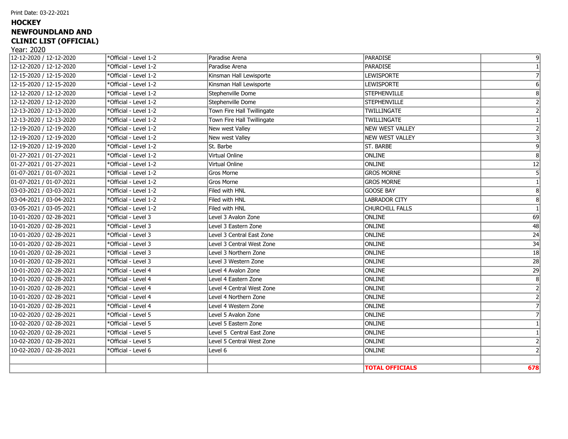#### Print Date: 03-22-2021

## **HOCKEY NEWFOUNDLAND AND CLINIC LIST (OFFICIAL)**

| 12-12-2020 / 12-12-2020 | *Official - Level 1-2 | Paradise Arena             | PARADISE               | 9 <sup>1</sup>  |
|-------------------------|-----------------------|----------------------------|------------------------|-----------------|
| 12-12-2020 / 12-12-2020 | *Official - Level 1-2 | Paradise Arena             | PARADISE               |                 |
| 12-15-2020 / 12-15-2020 | *Official - Level 1-2 | Kinsman Hall Lewisporte    | <b>LEWISPORTE</b>      | 7               |
| 12-15-2020 / 12-15-2020 | *Official - Level 1-2 | Kinsman Hall Lewisporte    | <b>LEWISPORTE</b>      | 6 <sup>1</sup>  |
| 12-12-2020 / 12-12-2020 | *Official - Level 1-2 | Stephenville Dome          | <b>STEPHENVILLE</b>    | 8 <sup>1</sup>  |
| 12-12-2020 / 12-12-2020 | *Official - Level 1-2 | Stephenville Dome          | <b>STEPHENVILLE</b>    | 2 <sup>1</sup>  |
| 12-13-2020 / 12-13-2020 | *Official - Level 1-2 | Town Fire Hall Twillingate | <b>TWILLINGATE</b>     | 2 <sup>1</sup>  |
| 12-13-2020 / 12-13-2020 | *Official - Level 1-2 | Town Fire Hall Twillingate | <b>TWILLINGATE</b>     |                 |
| 12-19-2020 / 12-19-2020 | *Official - Level 1-2 | New west Valley            | NEW WEST VALLEY        |                 |
| 12-19-2020 / 12-19-2020 | *Official - Level 1-2 | New west Valley            | NEW WEST VALLEY        |                 |
| 12-19-2020 / 12-19-2020 | *Official - Level 1-2 | St. Barbe                  | <b>ST. BARBE</b>       | $\vert 9 \vert$ |
| 01-27-2021 / 01-27-2021 | *Official - Level 1-2 | Virtual Online             | <b>ONLINE</b>          | 8 <sup>1</sup>  |
| 01-27-2021 / 01-27-2021 | *Official - Level 1-2 | Virtual Online             | <b>ONLINE</b>          | 12              |
| 01-07-2021 / 01-07-2021 | *Official - Level 1-2 | Gros Morne                 | <b>GROS MORNE</b>      | 5 <sup>1</sup>  |
| 01-07-2021 / 01-07-2021 | *Official - Level 1-2 | Gros Morne                 | <b>GROS MORNE</b>      |                 |
| 03-03-2021 / 03-03-2021 | *Official - Level 1-2 | Filed with HNL             | <b>GOOSE BAY</b>       | 8 <sup>1</sup>  |
| 03-04-2021 / 03-04-2021 | *Official - Level 1-2 | Filed with HNL             | <b>LABRADOR CITY</b>   | 8 <sup>1</sup>  |
| 03-05-2021 / 03-05-2021 | *Official - Level 1-2 | Filed with HNL             | <b>CHURCHILL FALLS</b> | $\overline{1}$  |
| 10-01-2020 / 02-28-2021 | *Official - Level 3   | Level 3 Avalon Zone        | <b>ONLINE</b>          | 69              |
| 10-01-2020 / 02-28-2021 | *Official - Level 3   | Level 3 Eastern Zone       | <b>ONLINE</b>          | 48              |
| 10-01-2020 / 02-28-2021 | *Official - Level 3   | Level 3 Central East Zone  | <b>ONLINE</b>          | $\overline{24}$ |
| 10-01-2020 / 02-28-2021 | *Official - Level 3   | Level 3 Central West Zone  | <b>ONLINE</b>          | $\overline{34}$ |
| 10-01-2020 / 02-28-2021 | *Official - Level 3   | Level 3 Northern Zone      | ONLINE                 | 18              |
| 10-01-2020 / 02-28-2021 | *Official - Level 3   | Level 3 Western Zone       | ONLINE                 | $\overline{28}$ |
| 10-01-2020 / 02-28-2021 | *Official - Level 4   | Level 4 Avalon Zone        | ONLINE                 | $\overline{29}$ |
| 10-01-2020 / 02-28-2021 | *Official - Level 4   | Level 4 Eastern Zone       | ONLINE                 | 8 <sup>1</sup>  |
| 10-01-2020 / 02-28-2021 | *Official - Level 4   | Level 4 Central West Zone  | <b>ONLINE</b>          | 2               |
| 10-01-2020 / 02-28-2021 | *Official - Level 4   | Level 4 Northern Zone      | ONLINE                 | $\overline{2}$  |
| 10-01-2020 / 02-28-2021 | *Official - Level 4   | Level 4 Western Zone       | ONLINE                 |                 |
| 10-02-2020 / 02-28-2021 | *Official - Level 5   | Level 5 Avalon Zone        | ONLINE                 |                 |
| 10-02-2020 / 02-28-2021 | *Official - Level 5   | Level 5 Eastern Zone       | ONLINE                 |                 |
| 10-02-2020 / 02-28-2021 | *Official - Level 5   | Level 5 Central East Zone  | ONLINE                 |                 |
| 10-02-2020 / 02-28-2021 | *Official - Level 5   | Level 5 Central West Zone  | ONLINE                 | 2 <sup>1</sup>  |
| 10-02-2020 / 02-28-2021 | *Official - Level 6   | Level 6                    | <b>ONLINE</b>          |                 |
|                         |                       |                            |                        |                 |
|                         |                       |                            | <b>TOTAL OFFICIALS</b> | 678             |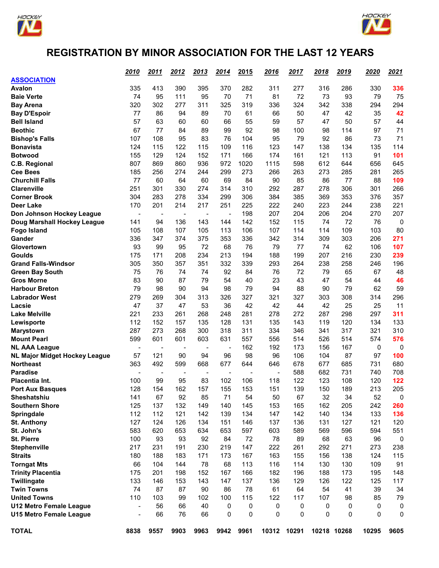



## **REGISTRATION BY MINOR ASSOCIATION FOR THE LAST 12 YEARS**

|                                                          | 2010                           | <u>2011</u>                     | 2012                           | 2013                           | <u> 2014 </u>                  | 2015         | <u>2016</u>              | <u> 2017</u> | <u> 2018 </u> | 2019     | 2020     | 2021 |
|----------------------------------------------------------|--------------------------------|---------------------------------|--------------------------------|--------------------------------|--------------------------------|--------------|--------------------------|--------------|---------------|----------|----------|------|
| <b>ASSOCIATION</b>                                       |                                |                                 |                                |                                |                                |              |                          |              |               |          |          |      |
| <b>Avalon</b>                                            | 335                            | 413                             | 390                            | 395                            | 370                            | 282          | 311                      | 277          | 316           | 286      | 330      | 336  |
| <b>Baie Verte</b>                                        | 74                             | 95                              | 111                            | 95                             | 70                             | 71           | 81                       | 72           | 73            | 93       | 79       | 75   |
| <b>Bay Arena</b>                                         | 320                            | 302                             | 277                            | 311                            | 325                            | 319          | 336                      | 324          | 342           | 338      | 294      | 294  |
| <b>Bay D'Espoir</b>                                      | 77                             | 86                              | 94                             | 89                             | 70                             | 61           | 66                       | 50           | 47            | 42       | 35       | 42   |
| <b>Bell Island</b>                                       | 57                             | 63                              | 60                             | 60                             | 66                             | 55           | 59                       | 57           | 47            | 50       | 57       | 44   |
| <b>Beothic</b>                                           | 67                             | 77                              | 84                             | 89                             | 99                             | 92           | 98                       | 100          | 98            | 114      | 97       | 71   |
| <b>Bishop's Falls</b>                                    | 107                            | 108                             | 95                             | 83                             | 76                             | 104          | 95                       | 79           | 92            | 86       | 73       | 71   |
| <b>Bonavista</b>                                         | 124                            | 115                             | 122                            | 115                            | 109                            | 116          | 123                      | 147          | 138           | 134      | 135      | 114  |
| <b>Botwood</b>                                           | 155                            | 129                             | 124                            | 152                            | 171                            | 166          | 174                      | 161          | 121           | 113      | 91       | 101  |
| C.B. Regional                                            | 807                            | 869                             | 860                            | 936                            | 972                            | 1020         | 1115                     | 598          | 612           | 644      | 656      | 645  |
| <b>Cee Bees</b>                                          | 185                            | 256                             | 274                            | 244                            | 299                            | 273          | 266                      | 263          | 273           | 285      | 281      | 265  |
| <b>Churchill Falls</b>                                   | 77                             | 60                              | 64                             | 60                             | 69                             | 84           | 90                       | 85           | 86            | 77       | 88       | 109  |
| <b>Clarenville</b>                                       | 251                            | 301                             | 330                            | 274                            | 314                            | 310          | 292                      | 287          | 278           | 306      | 301      | 266  |
| <b>Corner Brook</b>                                      | 304                            | 283                             | 278                            | 334                            | 299                            | 306          | 384                      | 385          | 369           | 353      | 376      | 357  |
| <b>Deer Lake</b>                                         | 170                            | 201                             | 214                            | 217                            | 251                            | 225          | 222                      | 240          | 223           | 244      | 238      | 221  |
| Don Johnson Hockey League                                | $\overline{\phantom{a}}$       | $\overline{\phantom{0}}$        | $\overline{\phantom{a}}$       | $\blacksquare$                 | $\overline{\phantom{a}}$       | 198          | 207                      | 204          | 206           | 204      | 270      | 207  |
| Doug Marshall Hockey League                              | 141                            | 94                              | 136                            | 143                            | 144                            | 142          | 152                      | 115          | 74            | 72       | 76       | 0    |
| <b>Fogo Island</b>                                       | 105                            | 108                             | 107                            | 105                            | 113                            | 106          | 107                      | 114          | 114           | 109      | 103      | 80   |
| Gander                                                   | 336                            | 347                             | 374                            | 375                            | 353                            | 336          | 342                      | 314          | 309           | 303      | 206      | 271  |
| Glovertown                                               | 93                             | 99                              | 95                             | 72                             | 68                             | 76           | 79                       | 77           | 74            | 62       | 106      | 107  |
| <b>Goulds</b>                                            | 175                            | 171                             | 208                            | 234                            | 213                            | 194          | 188                      | 199          | 207           | 216      | 230      | 239  |
| <b>Grand Falls-Windsor</b>                               | 305                            | 350                             | 357                            | 351                            | 332                            | 339          | 293                      | 264          | 238           | 258      | 246      | 196  |
| <b>Green Bay South</b>                                   | 75                             | 76                              | 74                             | 74                             | 92                             | 84           | 76                       | 72           | 79            | 65       | 67       | 48   |
| <b>Gros Morne</b>                                        | 83                             | 90                              | 87                             | 79                             | 54                             | 40           | 23                       | 43           | 47            | 54       | 44       | 46   |
| <b>Harbour Breton</b>                                    | 79                             | 98                              | 90                             | 94                             | 98                             | 79           | 94                       | 88           | 90            | 79       | 62       | 59   |
| <b>Labrador West</b>                                     | 279                            | 269                             | 304                            | 313                            | 326                            | 327          | 321                      | 327          | 303           | 308      | 314      | 296  |
| Lacsie                                                   | 47                             | 37                              | 47                             | 53                             | 36                             | 42           | 42                       | 44           | 42            | 25       | 25       | 11   |
| <b>Lake Melville</b>                                     | 221                            | 233                             | 261                            | 268                            | 248                            | 281          | 278                      | 272          | 287           | 298      | 297      | 311  |
|                                                          | 112                            | 152                             | 157                            | 135                            | 128                            | 131          | 135                      | 143          | 119           | 120      | 134      | 133  |
| Lewisporte                                               | 287                            | 273                             | 268                            | 300                            | 318                            | 311          | 334                      | 346          | 341           | 317      | 321      | 310  |
| <b>Marystown</b><br><b>Mount Pearl</b>                   | 599                            | 601                             | 601                            | 603                            | 631                            | 557          | 556                      | 514          | 526           | 514      | 574      | 576  |
| <b>NL AAA League</b>                                     |                                |                                 |                                |                                |                                | 162          | 192                      | 173          | 156           | 167      | 0        | 0    |
|                                                          | $\overline{\phantom{a}}$<br>57 | $\overline{\phantom{0}}$<br>121 | $\overline{\phantom{a}}$<br>90 | $\overline{\phantom{a}}$<br>94 | $\overline{\phantom{a}}$<br>96 | 98           | 96                       | 106          | 104           | 87       | 97       | 100  |
| <b>NL Major Midget Hockey League</b><br><b>Northeast</b> | 363                            | 492                             | 599                            | 668                            | 677                            | 644          | 646                      | 678          | 677           | 685      | 731      | 680  |
| <b>Paradise</b>                                          |                                |                                 |                                |                                |                                |              | $\overline{\phantom{a}}$ | 588          | 682           | 731      | 740      | 708  |
| Placentia Int.                                           | 100                            | 99                              | 95                             | 83                             | 102                            | 106          | 118                      | 122          | 123           | 108      | 120      | 122  |
|                                                          | 128                            | 154                             | 162                            |                                | 155                            | 153          | 151                      | 139          | 150           | 189      | 213      | 205  |
| Port Aux Basques<br>Sheshatshiu                          | 141                            | 67                              | 92                             | 157<br>85                      | 71                             | 54           | 50                       | 67           | 32            | 34       | 52       | 0    |
| <b>Southern Shore</b>                                    | 125                            | 137                             | 132                            | 149                            | 140                            | 145          | 153                      | 165          | 162           | 205      | 242      | 260  |
|                                                          | 112                            | 112                             | 121                            | 142                            |                                | 134          | 147                      | 142          | 140           | 134      | 133      | 136  |
| Springdale                                               | 127                            | 124                             | 126                            | 134                            | 139                            | 146          | 137                      |              |               | 127      | 121      | 120  |
| <b>St. Anthony</b>                                       |                                |                                 |                                |                                | 151                            |              |                          | 136          | 131           |          |          |      |
| St. John's                                               | 583                            | 620                             | 653                            | 634                            | 653                            | 597          | 603                      | 589          | 569           | 596      | 594      | 551  |
| <b>St. Pierre</b>                                        | 100                            | 93                              | 93                             | 92                             | 84                             | 72           | 78                       | 89           | 68            | 63       | 96       | 0    |
| Stephenville                                             | 217                            | 231                             | 191                            | 230                            | 219                            | 147          | 222                      | 261          | 292           | 271      | 273      | 238  |
| <b>Straits</b>                                           | 180                            | 188                             | 183                            | 171                            | 173                            | 167          | 163                      | 155          | 156           | 138      | 124      | 115  |
| <b>Torngat Mts</b>                                       | 66                             | 104                             | 144                            | 78                             | 68                             | 113          | 116                      | 114          | 130           | 130      | 109      | 91   |
| <b>Trinity Placentia</b>                                 | 175                            | 201                             | 198                            | 152                            | 167                            | 166          | 182                      | 196          | 188           | 173      | 195      | 148  |
| Twillingate                                              | 133                            | 146                             | 153                            | 143                            | 147                            | 137          | 136                      | 129          | 126           | 122      | 125      | 117  |
| <b>Twin Towns</b>                                        | 74                             | 87                              | 87                             | 90                             | 86                             | 78           | 61                       | 64           | 54            | 41       | 39       | 34   |
| <b>United Towns</b>                                      | 110                            | 103                             | 99                             | 102                            | 100                            | 115          | 122                      | 117          | 107           | 98       | 85       | 79   |
| <b>U12 Metro Female League</b>                           | $\blacksquare$                 | 56                              | 66                             | 40                             | 0                              | 0            | 0                        | 0            | 0             | 0        | 0        | 0    |
| U15 Metro Female League                                  | $\qquad \qquad \blacksquare$   | 66                              | 76                             | 66                             | $\mathbf{0}$                   | $\mathbf{0}$ | 0                        | 0            | 0             | $\Omega$ | $\Omega$ | 0    |
| <b>TOTAL</b>                                             | 8838                           | 9557                            | 9903                           | 9963                           | 9942                           | 9961         | 10312                    | 10291        | 10218 10268   |          | 10295    | 9605 |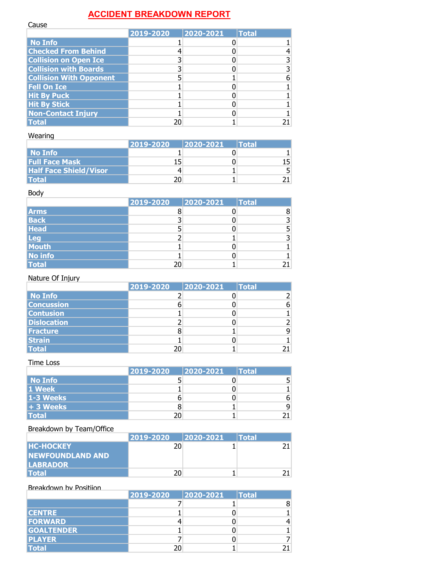## **ACCIDENT BREAKDOWN REPORT**

| Cause                          |           |           |              |
|--------------------------------|-----------|-----------|--------------|
|                                | 2019-2020 | 2020-2021 | <b>Total</b> |
| <b>No Info</b>                 |           |           |              |
| <b>Checked From Behind</b>     |           |           |              |
| <b>Collision on Open Ice</b>   |           |           |              |
| <b>Collision with Boards</b>   |           |           |              |
| <b>Collision With Opponent</b> |           |           |              |
| <b>Fell On Ice</b>             |           |           |              |
| <b>Hit By Puck</b>             |           |           |              |
| <b>Hit By Stick</b>            |           |           |              |
| <b>Non-Contact Injury</b>      |           |           |              |
| <b>Total</b>                   | 20        |           |              |

## Wearing

|                               | 2019-2020 | $ 2020 - 2021 $ | Total |
|-------------------------------|-----------|-----------------|-------|
| No Info                       |           |                 |       |
| <b>Full Face Mask</b>         |           |                 | 15.   |
| <b>Half Face Shield/Visor</b> |           |                 | 5.    |
| <b>Total</b>                  |           |                 |       |

#### Body

|                | 2019-2020 | 2020-2021 | <b>Total</b> |
|----------------|-----------|-----------|--------------|
| <b>Arms</b>    |           |           |              |
| <b>Back</b>    |           |           |              |
| <b>Head</b>    |           |           |              |
| <b>Leg</b>     |           |           |              |
| Mouth          |           |           |              |
| <b>No info</b> |           |           |              |
| <b>Total</b>   | 20        |           |              |

## Nature Of Injury

|                    | 2019-2020 | 2020-2021 | <b>Total</b> |
|--------------------|-----------|-----------|--------------|
| <b>No Info</b>     |           |           |              |
| <b>Concussion</b>  |           |           | 6            |
| <b>Contusion</b>   |           |           |              |
| <b>Dislocation</b> |           |           |              |
| <b>Fracture</b>    |           |           | q            |
| <b>Strain</b>      |           |           |              |
| <b>Total</b>       | 20        |           |              |

## Time Loss

|              | 2019-2020 | 2020-2021 | <b>Total</b> |
|--------------|-----------|-----------|--------------|
| No Info      |           |           |              |
| 1 Week       |           |           |              |
| 1-3 Weeks    |           |           | 6.           |
| + 3 Weeks    |           |           |              |
| <b>Total</b> | 20        |           |              |

## Breakdown by Team/Office

|                          | 2019-2020 | $ 2020 - 2021 $ | <b><i><u><b>Total</b></u></i></b> |
|--------------------------|-----------|-----------------|-----------------------------------|
| <b>HC-HOCKEY</b>         | 20        |                 |                                   |
| <b>INEWFOUNDLAND AND</b> |           |                 |                                   |
| <b>LABRADOR</b>          |           |                 |                                   |
| <b>Total</b>             | 20        |                 |                                   |

| Breakdown by Positijon |           |           |              |
|------------------------|-----------|-----------|--------------|
|                        | 2019-2020 | 2020-2021 | <b>Total</b> |
|                        |           |           |              |
| <b>CENTRE</b>          |           |           |              |
| <b>FORWARD</b>         |           |           |              |
| <b>GOALTENDER</b>      |           |           |              |
| <b>PLAYER</b>          |           |           |              |
| <b>Total</b>           |           |           |              |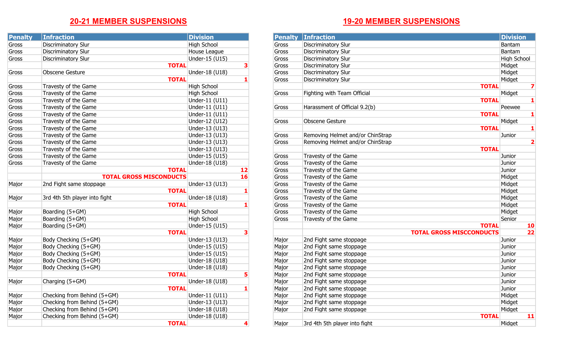# **20-21 MEMBER SUSPENSIONS**

| <b>Penalty</b> | <b>Infraction</b>              | <b>Division</b>    |    | <b>Penalty</b> | <b>Infraction</b>                | <b>Divis</b>                    |
|----------------|--------------------------------|--------------------|----|----------------|----------------------------------|---------------------------------|
| Gross          | <b>Discriminatory Slur</b>     | <b>High School</b> |    | Gross          | <b>Discriminatory Slur</b>       | Banta                           |
| Gross          | <b>Discriminatory Slur</b>     | House League       |    | Gross          | Discriminatory Slur              | Banta                           |
| Gross          | <b>Discriminatory Slur</b>     | Under-15 (U15)     |    | Gross          | Discriminatory Slur              | High 9                          |
|                | <b>TOTAL</b>                   |                    |    | Gross          | <b>Discriminatory Slur</b>       | Midge                           |
| Gross          | Obscene Gesture                | Under-18 (U18)     |    | Gross          | <b>Discriminatory Slur</b>       | Midge                           |
|                | <b>TOTAL</b>                   |                    |    | Gross          | <b>Discriminatory Slur</b>       | Midge                           |
| Gross          | Travesty of the Game           | <b>High School</b> |    |                |                                  | <b>TOTAL</b>                    |
| Gross          | Travesty of the Game           | <b>High School</b> |    | Gross          | Fighting with Team Official      | Midge                           |
| Gross          | Travesty of the Game           | Under-11 (U11)     |    |                |                                  | <b>TOTAL</b>                    |
| Gross          | Travesty of the Game           | Under-11 (U11)     |    | Gross          | Harassment of Official 9.2(b)    | Peew                            |
| Gross          | Travesty of the Game           | Under-11 (U11)     |    |                |                                  | <b>TOTAL</b>                    |
| Gross          | Travesty of the Game           | Under-12 (U12)     |    | Gross          | Obscene Gesture                  | Midge                           |
| Gross          | Travesty of the Game           | Under-13 (U13)     |    |                |                                  | <b>TOTAL</b>                    |
| Gross          | Travesty of the Game           | Under-13 (U13)     |    | Gross          | Removing Helmet and/or ChinStrap | Junior                          |
| Gross          | Travesty of the Game           | Under-13 (U13)     |    | Gross          | Removing Helmet and/or ChinStrap |                                 |
| Gross          | Travesty of the Game           | Under-13 (U13)     |    |                |                                  | <b>TOTAL</b>                    |
| Gross          | Travesty of the Game           | Under-15 (U15)     |    | Gross          | Travesty of the Game             | Junior                          |
| Gross          | Travesty of the Game           | Under-18 (U18)     |    | Gross          | Travesty of the Game             | Junior                          |
|                | <b>TOTAL</b>                   |                    | 12 | Gross          | Travesty of the Game             | Junior                          |
|                | <b>TOTAL GROSS MISCONDUCTS</b> |                    | 16 | Gross          | Travesty of the Game             | Midge                           |
| Major          | 2nd Fight same stoppage        | Under-13 (U13)     |    | Gross          | Travesty of the Game             | Midge                           |
|                | <b>TOTAL</b>                   |                    |    | Gross          | Travesty of the Game             | Midge                           |
| Major          | 3rd 4th 5th player into fight  | Under-18 (U18)     |    | Gross          | Travesty of the Game             | Midge                           |
|                | <b>TOTAL</b>                   |                    |    | Gross          | Travesty of the Game             | Midge                           |
| Major          | Boarding (5+GM)                | <b>High School</b> |    | Gross          | Travesty of the Game             | Midge                           |
| Major          | Boarding (5+GM)                | High School        |    | Gross          | Travesty of the Game             | Senior                          |
| Major          | Boarding (5+GM)                | Under-15 (U15)     |    |                |                                  | <b>TOTAL</b>                    |
|                | <b>TOTAL</b>                   |                    |    |                |                                  | <b>TOTAL GROSS MISCCONDUCTS</b> |
| Major          | Body Checking (5+GM)           | Under-13 (U13)     |    | Major          | 2nd Fight same stoppage          | Junior                          |
| Major          | Body Checking (5+GM)           | Under-15 (U15)     |    | Major          | 2nd Fight same stoppage          | Junior                          |
| Major          | Body Checking (5+GM)           | Under-15 (U15)     |    | Major          | 2nd Fight same stoppage          | Junior                          |
| Major          | Body Checking (5+GM)           | Under-18 (U18)     |    | Major          | 2nd Fight same stoppage          | Junior                          |
| Major          | Body Checking (5+GM)           | Under-18 (U18)     |    | Major          | 2nd Fight same stoppage          | Junior                          |
|                | <b>TOTAL</b>                   |                    | 5  | Major          | 2nd Fight same stoppage          | Junior                          |
| Major          | Charging (5+GM)                | Under-18 (U18)     |    | Major          | 2nd Fight same stoppage          | Junior                          |
|                | <b>TOTAL</b>                   |                    |    | Major          | 2nd Fight same stoppage          | Junior                          |
| Major          | Checking from Behind (5+GM)    | Under-11 (U11)     |    | Major          | 2nd Fight same stoppage          | Midge                           |
| Major          | Checking from Behind (5+GM)    | Under-13 (U13)     |    | Major          | 2nd Fight same stoppage          | Midge                           |
| Major          | Checking from Behind (5+GM)    | Under-18 (U18)     |    | Major          | 2nd Fight same stoppage          | Midge                           |
| Major          | Checking from Behind (5+GM)    | Under-18 (U18)     |    |                |                                  | <b>TOTAL</b>                    |
|                | <b>TOTAL</b>                   |                    | 4  | Major          | 3rd 4th 5th player into fight    | Midge                           |

# **19-20 MEMBER SUSPENSIONS**

| <b>Penalty</b> | <b>Infraction</b>              | <b>Division</b>    |           | <b>Penalty</b> | <b>Infraction</b>                | <b>Division</b> |
|----------------|--------------------------------|--------------------|-----------|----------------|----------------------------------|-----------------|
| Gross          | Discriminatory Slur            | <b>High School</b> |           | Gross          | Discriminatory Slur              | Bantam          |
| Gross          | Discriminatory Slur            | House League       |           | Gross          | <b>Discriminatory Slur</b>       | Bantam          |
| Gross          | <b>Discriminatory Slur</b>     | Under-15 (U15)     |           | Gross          | Discriminatory Slur              | High School     |
|                | <b>TOTAL</b>                   |                    |           | Gross          | <b>Discriminatory Slur</b>       | Midget          |
| Gross          | Obscene Gesture                | Under-18 (U18)     |           | Gross          | <b>Discriminatory Slur</b>       | Midget          |
|                | <b>TOTAL</b>                   |                    |           | Gross          | <b>Discriminatory Slur</b>       | Midget          |
| Gross          | Travesty of the Game           | <b>High School</b> |           |                | <b>TOTAL</b>                     |                 |
| Gross          | Travesty of the Game           | High School        |           | Gross          | Fighting with Team Official      | Midget          |
| Gross          | Travesty of the Game           | Under-11 (U11)     |           |                | <b>TOTAL</b>                     |                 |
| Gross          | Travesty of the Game           | Under-11 (U11)     |           | Gross          | Harassment of Official 9.2(b)    | Peewee          |
| Gross          | Travesty of the Game           | Under-11 (U11)     |           |                | <b>TOTAL</b>                     |                 |
| Gross          | Travesty of the Game           | Under-12 (U12)     |           | Gross          | Obscene Gesture                  | Midget          |
| Gross          | Travesty of the Game           | Under-13 (U13)     |           |                | <b>TOTAL</b>                     |                 |
| Gross          | Travesty of the Game           | Under-13 (U13)     |           | Gross          | Removing Helmet and/or ChinStrap | Junior          |
| Gross          | Travesty of the Game           | Under-13 (U13)     |           | Gross          | Removing Helmet and/or ChinStrap | 2               |
| Gross          | Travesty of the Game           | Under-13 (U13)     |           |                | <b>TOTAL</b>                     |                 |
| Gross          | Travesty of the Game           | Under-15 (U15)     |           | Gross          | Travesty of the Game             | Junior          |
| Gross          | Travesty of the Game           | Under-18 (U18)     |           | Gross          | Travesty of the Game             | Junior          |
|                | <b>TOTAL</b>                   |                    | 12        | Gross          | Travesty of the Game             | Junior          |
|                | <b>TOTAL GROSS MISCONDUCTS</b> |                    | <b>16</b> | Gross          | Travesty of the Game             | Midget          |
| Major          | 2nd Fight same stoppage        | Under-13 (U13)     |           | Gross          | Travesty of the Game             | Midget          |
|                | <b>TOTAL</b>                   |                    |           | Gross          | Travesty of the Game             | Midget          |
| Major          | 3rd 4th 5th player into fight  | Under-18 (U18)     |           | Gross          | Travesty of the Game             | Midget          |
|                | <b>TOTAL</b>                   |                    |           | Gross          | Travesty of the Game             | Midget          |
| Major          | Boarding (5+GM)                | <b>High School</b> |           | Gross          | Travesty of the Game             | Midget          |
| Major          | Boarding (5+GM)                | <b>High School</b> |           | Gross          | Travesty of the Game             | Senior          |
| Major          | Boarding (5+GM)                | Under-15 (U15)     |           |                | <b>TOTAL</b>                     | <b>10</b>       |
|                | <b>TOTAL</b>                   |                    | 3         |                | <b>TOTAL GROSS MISCCONDUCTS</b>  | 22              |
| Major          | Body Checking (5+GM)           | Under-13 (U13)     |           | Major          | 2nd Fight same stoppage          | Junior          |
| Major          | Body Checking (5+GM)           | Under-15 (U15)     |           | Major          | 2nd Fight same stoppage          | Junior          |
| Major          | Body Checking (5+GM)           | Under-15 (U15)     |           | Major          | 2nd Fight same stoppage          | Junior          |
| Major          | Body Checking (5+GM)           | Under-18 (U18)     |           | Major          | 2nd Fight same stoppage          | Junior          |
| Major          | Body Checking (5+GM)           | Under-18 (U18)     |           | Major          | 2nd Fight same stoppage          | Junior          |
|                | <b>TOTAL</b>                   |                    |           | Major          | 2nd Fight same stoppage          | Junior          |
| Major          | Charging (5+GM)                | Under-18 (U18)     |           | Major          | 2nd Fight same stoppage          | Junior          |
|                | <b>TOTAL</b>                   |                    | 1         | Major          | 2nd Fight same stoppage          | Junior          |
| Major          | Checking from Behind (5+GM)    | Under-11 (U11)     |           | Major          | 2nd Fight same stoppage          | Midget          |
| Major          | Checking from Behind (5+GM)    | Under-13 (U13)     |           | Major          | 2nd Fight same stoppage          | Midget          |
| Major          | Checking from Behind (5+GM)    | Under-18 (U18)     |           | Major          | 2nd Fight same stoppage          | Midget          |
| Major          | Checking from Behind (5+GM)    | Under-18 (U18)     |           |                | <b>TOTAL</b>                     | 11              |
|                | <b>TOTAL</b>                   |                    |           | Major          | 3rd 4th 5th player into fight    | Midget          |
|                |                                |                    |           |                |                                  |                 |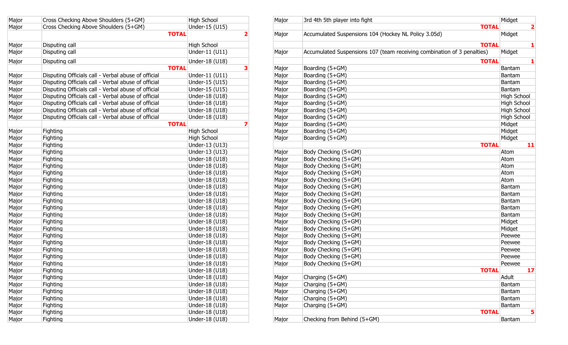| Major | Cross Checking Above Shoulders (5+GM)               | <b>High School</b> | Major | 3rd 4th 5th player into fight                                           | Midge       |
|-------|-----------------------------------------------------|--------------------|-------|-------------------------------------------------------------------------|-------------|
| Major | Cross Checking Above Shoulders (5+GM)               | Under-15 (U15)     |       | <b>TOTAL</b>                                                            |             |
|       | <b>TOTAL</b>                                        |                    | Major | Accumulated Suspensions 104 (Hockey NL Policy 3.05d)                    | Midg        |
| Major | Disputing call                                      | <b>High School</b> |       | <b>TOTAL</b>                                                            |             |
| Major | Disputing call                                      | Under-11 (U11)     | Major | Accumulated Suspensions 107 (team receiving combination of 3 penalties) | Midg        |
| Major | Disputing call                                      | Under-18 (U18)     |       | <b>TOTAL</b>                                                            |             |
|       | <b>TOTAL</b>                                        |                    | Major | Boarding (5+GM)                                                         | Banta       |
| Major | Disputing Officials call - Verbal abuse of official | Under-11 (U11)     | Major | Boarding (5+GM)                                                         | Banta       |
| Major | Disputing Officials call - Verbal abuse of official | Under-15 (U15)     | Major | Boarding (5+GM)                                                         | Banta       |
| Major | Disputing Officials call - Verbal abuse of official | Under-15 (U15)     | Major | Boarding (5+GM)                                                         | Banta       |
| Major | Disputing Officials call - Verbal abuse of official | Under-18 (U18)     | Major | Boarding (5+GM)                                                         | <b>High</b> |
| Major | Disputing Officials call - Verbal abuse of official | Under-18 (U18)     | Major | Boarding (5+GM)                                                         | <b>High</b> |
| Major | Disputing Officials call - Verbal abuse of official | Under-18 (U18)     | Major | Boarding (5+GM)                                                         | <b>High</b> |
| Major | Disputing Officials call - Verbal abuse of official | Under-18 (U18)     | Major | Boarding (5+GM)                                                         | High        |
|       | <b>TOTAL</b>                                        |                    | Major | Boarding (5+GM)                                                         | Midg        |
| Major | Fighting                                            | <b>High School</b> | Major | Boarding (5+GM)                                                         | Midge       |
| Major | Fighting                                            | <b>High School</b> | Major | Boarding (5+GM)                                                         | Midge       |
| Major | Fighting                                            | Under-13 (U13)     |       | <b>TOTAL</b>                                                            |             |
| Major | <b>Fighting</b>                                     | Under-13 (U13)     | Major | Body Checking (5+GM)                                                    | Atom        |
| Major | Fighting                                            | Under-18 (U18)     | Major | Body Checking (5+GM)                                                    | Atom        |
| Major | Fighting                                            | Under-18 (U18)     | Major | Body Checking (5+GM)                                                    | Atom        |
| Major | Fighting                                            | Under-18 (U18)     | Major | Body Checking (5+GM)                                                    | Atom        |
| Major | <b>Fighting</b>                                     | Under-18 (U18)     | Major | Body Checking (5+GM)                                                    | Atom        |
| Major | <b>Fighting</b>                                     | Under-18 (U18)     | Major | Body Checking (5+GM)                                                    | Banta       |
| Major | Fighting                                            | Under-18 (U18)     | Major | Body Checking (5+GM)                                                    | Banta       |
| Major | Fighting                                            | Under-18 (U18)     | Major | Body Checking (5+GM)                                                    | Banta       |
| Major | Fighting                                            | Under-18 (U18)     | Major | Body Checking (5+GM)                                                    | Banta       |
| Major | Fighting                                            | Under-18 (U18)     | Major | Body Checking (5+GM)                                                    | Banta       |
| Major | Fighting                                            | Under-18 (U18)     | Major | Body Checking (5+GM)                                                    | Midg        |
| Major | Fighting                                            | Under-18 (U18)     | Major | Body Checking (5+GM)                                                    | Midg        |
| Major | Fighting                                            | Under-18 (U18)     | Major | Body Checking (5+GM)                                                    | Peew        |
| Major | Fighting                                            | Under-18 (U18)     | Major | Body Checking (5+GM)                                                    | Peew        |
| Major | Fighting                                            | Under-18 (U18)     | Major | Body Checking (5+GM)                                                    | Peew        |
| Major | Fighting                                            | Under-18 (U18)     | Major | Body Checking (5+GM)                                                    | Peew        |
| Major | Fighting                                            | Under-18 (U18)     | Major | Body Checking (5+GM)                                                    | Peew        |
| Major | Fighting                                            | Under-18 (U18)     |       | <b>TOTAL</b>                                                            |             |
| Major | Fighting                                            | Under-18 (U18)     | Major | Charging (5+GM)                                                         | Adult       |
| Major | Fighting                                            | Under-18 (U18)     | Major | Charging (5+GM)                                                         | Banta       |
| Major | <b>Fighting</b>                                     | Under-18 (U18)     | Major | Charging (5+GM)                                                         | Banta       |
| Major | <b>Fighting</b>                                     | Under-18 (U18)     | Major | Charging (5+GM)                                                         | Banta       |
| Major | Fighting                                            | Under-18 (U18)     | Major | Charging (5+GM)                                                         | Banta       |
| Major | Fighting                                            | Under-18 (U18)     |       | <b>TOTAL</b>                                                            |             |
| Major | Fighting                                            | Under-18 (U18)     | Major | Checking from Behind (5+GM)                                             | Banta       |
|       |                                                     |                    |       |                                                                         |             |

| <b>TOTAL</b><br>Major<br>Under-15 (U15)<br>Cross Checking Above Shoulders (5+GM)<br>Accumulated Suspensions 104 (Hockey NL Policy 3.05d)<br><b>TOTAL</b><br>Midget<br>Major<br><b>TOTAL</b><br>Major<br>Disputing call<br>High School<br>Accumulated Suspensions 107 (team receiving combination of 3 penalties)<br>Under-11 (U11)<br>Midget<br>Major<br>Disputing call<br>Major<br>Under-18 (U18)<br>Major<br>Disputing call<br><b>TOTAL</b><br><b>TOTAL</b><br>Boarding (5+GM)<br>Bantam<br>Major<br>Under-11 (U11)<br>Major<br>Disputing Officials call - Verbal abuse of official<br>Boarding (5+GM)<br>Major<br>Bantam<br>Disputing Officials call - Verbal abuse of official<br>Boarding (5+GM)<br>Major<br>Under-15 (U15)<br>Major<br>Bantam<br>Disputing Officials call - Verbal abuse of official<br>Major<br>Under-15 (U15)<br>Boarding (5+GM)<br>Bantam<br>Major<br>Disputing Officials call - Verbal abuse of official<br>Boarding (5+GM)<br>High School<br>Major<br>Under-18 (U18)<br>Major<br>Disputing Officials call - Verbal abuse of official<br>High School<br>Major<br>Under-18 (U18)<br>Boarding (5+GM)<br>Major<br>Disputing Officials call - Verbal abuse of official<br>High School<br>Major<br>Under-18 (U18)<br>Boarding (5+GM)<br>Major<br><b>High School</b><br>Disputing Officials call - Verbal abuse of official<br>Major<br>Under-18 (U18)<br>Boarding (5+GM)<br>Major<br><b>TOTAL</b><br>Midget<br>Boarding (5+GM)<br>Major<br><b>High School</b><br>Major<br>Fighting<br>Boarding (5+GM)<br>Midget<br>Major<br>Midget<br>Major<br>Fighting<br><b>High School</b><br>Boarding (5+GM)<br>Major<br><b>TOTAL</b><br>Under-13 (U13)<br>11<br>Major<br>Fighting<br>Under-13 (U13)<br>Major<br>Fighting<br>Body Checking (5+GM)<br>Atom<br>Major<br>Under-18 (U18)<br>Major<br>Body Checking (5+GM)<br>Atom<br>Fighting<br>Major<br>Major<br>Under-18 (U18)<br>Body Checking (5+GM)<br>Atom<br>Fighting<br>Major<br>Major<br>Fighting<br>Under-18 (U18)<br>Body Checking (5+GM)<br>Atom<br>Major<br>Major<br>Under-18 (U18)<br>Body Checking (5+GM)<br>Atom<br>Fighting<br>Major<br>Under-18 (U18)<br>Body Checking (5+GM)<br>Bantam<br>Major<br>Fighting<br>Major<br>Body Checking (5+GM)<br>Under-18 (U18)<br>Bantam<br>Major<br>Fighting<br>Major<br>Body Checking (5+GM)<br>Major<br>Under-18 (U18)<br>Bantam<br>Fighting<br>Major<br>Body Checking (5+GM)<br>Major<br>Fighting<br>Under-18 (U18)<br>Bantam<br>Major<br>Major<br>Under-18 (U18)<br>Body Checking (5+GM)<br>Bantam<br>Fighting<br>Major<br>Major<br>Fighting<br>Under-18 (U18)<br>Body Checking (5+GM)<br>Midget<br>Major<br>Body Checking (5+GM)<br>Major<br>Fighting<br>Under-18 (U18)<br>Midget<br>Major<br>Body Checking (5+GM)<br>Peewee<br>Major<br>Fighting<br>Under-18 (U18)<br>Major<br>Major<br>Body Checking (5+GM)<br>Peewee<br>Fighting<br>Under-18 (U18)<br>Major<br>Body Checking (5+GM)<br>Peewee<br>Major<br>Fighting<br>Under-18 (U18)<br>Major<br>Body Checking (5+GM)<br>Major<br>Fighting<br>Under-18 (U18)<br>Peewee<br>Major<br>Major<br>Under-18 (U18)<br>Body Checking (5+GM)<br>Peewee<br>Fighting<br>Major<br>Fighting<br>Under-18 (U18)<br><b>TOTAL</b><br>Major<br>$\mathbf{L}$<br>Major<br>Under-18 (U18)<br>Charging (5+GM)<br>Adult<br>Major<br>Fighting<br>Charging (5+GM)<br>Major<br>Under-18 (U18)<br>Fighting<br>Major<br>Bantam<br>Major<br>Under-18 (U18)<br>Charging (5+GM)<br>Fighting<br>Major<br>Bantam<br>Major<br>Under-18 (U18)<br>Charging (5+GM)<br>Fighting<br>Major<br>Bantam<br>Charging (5+GM)<br>Major<br>Fighting<br>Under-18 (U18)<br>Major<br>Bantam<br><b>TOTAL</b><br>Major<br>Fighting<br>Under-18 (U18)<br>Checking from Behind (5+GM)<br>Under-18 (U18)<br>Major<br>Fighting<br>Major<br>Bantam | Major | Cross Checking Above Shoulders (5+GM) | High School | Major | 3rd 4th 5th player into fight | Midget |  |
|------------------------------------------------------------------------------------------------------------------------------------------------------------------------------------------------------------------------------------------------------------------------------------------------------------------------------------------------------------------------------------------------------------------------------------------------------------------------------------------------------------------------------------------------------------------------------------------------------------------------------------------------------------------------------------------------------------------------------------------------------------------------------------------------------------------------------------------------------------------------------------------------------------------------------------------------------------------------------------------------------------------------------------------------------------------------------------------------------------------------------------------------------------------------------------------------------------------------------------------------------------------------------------------------------------------------------------------------------------------------------------------------------------------------------------------------------------------------------------------------------------------------------------------------------------------------------------------------------------------------------------------------------------------------------------------------------------------------------------------------------------------------------------------------------------------------------------------------------------------------------------------------------------------------------------------------------------------------------------------------------------------------------------------------------------------------------------------------------------------------------------------------------------------------------------------------------------------------------------------------------------------------------------------------------------------------------------------------------------------------------------------------------------------------------------------------------------------------------------------------------------------------------------------------------------------------------------------------------------------------------------------------------------------------------------------------------------------------------------------------------------------------------------------------------------------------------------------------------------------------------------------------------------------------------------------------------------------------------------------------------------------------------------------------------------------------------------------------------------------------------------------------------------------------------------------------------------------------------------------------------------------------------------------------------------------------------------------------------------------------------------------------------------------------------------------------------------------------------------------------------------------------------------------------------------------------------------------------------------------------------------------------------------------------------------------------------------------------------------------------------------|-------|---------------------------------------|-------------|-------|-------------------------------|--------|--|
|                                                                                                                                                                                                                                                                                                                                                                                                                                                                                                                                                                                                                                                                                                                                                                                                                                                                                                                                                                                                                                                                                                                                                                                                                                                                                                                                                                                                                                                                                                                                                                                                                                                                                                                                                                                                                                                                                                                                                                                                                                                                                                                                                                                                                                                                                                                                                                                                                                                                                                                                                                                                                                                                                                                                                                                                                                                                                                                                                                                                                                                                                                                                                                                                                                                                                                                                                                                                                                                                                                                                                                                                                                                                                                                                                            |       |                                       |             |       |                               |        |  |
|                                                                                                                                                                                                                                                                                                                                                                                                                                                                                                                                                                                                                                                                                                                                                                                                                                                                                                                                                                                                                                                                                                                                                                                                                                                                                                                                                                                                                                                                                                                                                                                                                                                                                                                                                                                                                                                                                                                                                                                                                                                                                                                                                                                                                                                                                                                                                                                                                                                                                                                                                                                                                                                                                                                                                                                                                                                                                                                                                                                                                                                                                                                                                                                                                                                                                                                                                                                                                                                                                                                                                                                                                                                                                                                                                            |       |                                       |             |       |                               |        |  |
|                                                                                                                                                                                                                                                                                                                                                                                                                                                                                                                                                                                                                                                                                                                                                                                                                                                                                                                                                                                                                                                                                                                                                                                                                                                                                                                                                                                                                                                                                                                                                                                                                                                                                                                                                                                                                                                                                                                                                                                                                                                                                                                                                                                                                                                                                                                                                                                                                                                                                                                                                                                                                                                                                                                                                                                                                                                                                                                                                                                                                                                                                                                                                                                                                                                                                                                                                                                                                                                                                                                                                                                                                                                                                                                                                            |       |                                       |             |       |                               |        |  |
|                                                                                                                                                                                                                                                                                                                                                                                                                                                                                                                                                                                                                                                                                                                                                                                                                                                                                                                                                                                                                                                                                                                                                                                                                                                                                                                                                                                                                                                                                                                                                                                                                                                                                                                                                                                                                                                                                                                                                                                                                                                                                                                                                                                                                                                                                                                                                                                                                                                                                                                                                                                                                                                                                                                                                                                                                                                                                                                                                                                                                                                                                                                                                                                                                                                                                                                                                                                                                                                                                                                                                                                                                                                                                                                                                            |       |                                       |             |       |                               |        |  |
|                                                                                                                                                                                                                                                                                                                                                                                                                                                                                                                                                                                                                                                                                                                                                                                                                                                                                                                                                                                                                                                                                                                                                                                                                                                                                                                                                                                                                                                                                                                                                                                                                                                                                                                                                                                                                                                                                                                                                                                                                                                                                                                                                                                                                                                                                                                                                                                                                                                                                                                                                                                                                                                                                                                                                                                                                                                                                                                                                                                                                                                                                                                                                                                                                                                                                                                                                                                                                                                                                                                                                                                                                                                                                                                                                            |       |                                       |             |       |                               |        |  |
|                                                                                                                                                                                                                                                                                                                                                                                                                                                                                                                                                                                                                                                                                                                                                                                                                                                                                                                                                                                                                                                                                                                                                                                                                                                                                                                                                                                                                                                                                                                                                                                                                                                                                                                                                                                                                                                                                                                                                                                                                                                                                                                                                                                                                                                                                                                                                                                                                                                                                                                                                                                                                                                                                                                                                                                                                                                                                                                                                                                                                                                                                                                                                                                                                                                                                                                                                                                                                                                                                                                                                                                                                                                                                                                                                            |       |                                       |             |       |                               |        |  |
|                                                                                                                                                                                                                                                                                                                                                                                                                                                                                                                                                                                                                                                                                                                                                                                                                                                                                                                                                                                                                                                                                                                                                                                                                                                                                                                                                                                                                                                                                                                                                                                                                                                                                                                                                                                                                                                                                                                                                                                                                                                                                                                                                                                                                                                                                                                                                                                                                                                                                                                                                                                                                                                                                                                                                                                                                                                                                                                                                                                                                                                                                                                                                                                                                                                                                                                                                                                                                                                                                                                                                                                                                                                                                                                                                            |       |                                       |             |       |                               |        |  |
|                                                                                                                                                                                                                                                                                                                                                                                                                                                                                                                                                                                                                                                                                                                                                                                                                                                                                                                                                                                                                                                                                                                                                                                                                                                                                                                                                                                                                                                                                                                                                                                                                                                                                                                                                                                                                                                                                                                                                                                                                                                                                                                                                                                                                                                                                                                                                                                                                                                                                                                                                                                                                                                                                                                                                                                                                                                                                                                                                                                                                                                                                                                                                                                                                                                                                                                                                                                                                                                                                                                                                                                                                                                                                                                                                            |       |                                       |             |       |                               |        |  |
|                                                                                                                                                                                                                                                                                                                                                                                                                                                                                                                                                                                                                                                                                                                                                                                                                                                                                                                                                                                                                                                                                                                                                                                                                                                                                                                                                                                                                                                                                                                                                                                                                                                                                                                                                                                                                                                                                                                                                                                                                                                                                                                                                                                                                                                                                                                                                                                                                                                                                                                                                                                                                                                                                                                                                                                                                                                                                                                                                                                                                                                                                                                                                                                                                                                                                                                                                                                                                                                                                                                                                                                                                                                                                                                                                            |       |                                       |             |       |                               |        |  |
|                                                                                                                                                                                                                                                                                                                                                                                                                                                                                                                                                                                                                                                                                                                                                                                                                                                                                                                                                                                                                                                                                                                                                                                                                                                                                                                                                                                                                                                                                                                                                                                                                                                                                                                                                                                                                                                                                                                                                                                                                                                                                                                                                                                                                                                                                                                                                                                                                                                                                                                                                                                                                                                                                                                                                                                                                                                                                                                                                                                                                                                                                                                                                                                                                                                                                                                                                                                                                                                                                                                                                                                                                                                                                                                                                            |       |                                       |             |       |                               |        |  |
|                                                                                                                                                                                                                                                                                                                                                                                                                                                                                                                                                                                                                                                                                                                                                                                                                                                                                                                                                                                                                                                                                                                                                                                                                                                                                                                                                                                                                                                                                                                                                                                                                                                                                                                                                                                                                                                                                                                                                                                                                                                                                                                                                                                                                                                                                                                                                                                                                                                                                                                                                                                                                                                                                                                                                                                                                                                                                                                                                                                                                                                                                                                                                                                                                                                                                                                                                                                                                                                                                                                                                                                                                                                                                                                                                            |       |                                       |             |       |                               |        |  |
|                                                                                                                                                                                                                                                                                                                                                                                                                                                                                                                                                                                                                                                                                                                                                                                                                                                                                                                                                                                                                                                                                                                                                                                                                                                                                                                                                                                                                                                                                                                                                                                                                                                                                                                                                                                                                                                                                                                                                                                                                                                                                                                                                                                                                                                                                                                                                                                                                                                                                                                                                                                                                                                                                                                                                                                                                                                                                                                                                                                                                                                                                                                                                                                                                                                                                                                                                                                                                                                                                                                                                                                                                                                                                                                                                            |       |                                       |             |       |                               |        |  |
|                                                                                                                                                                                                                                                                                                                                                                                                                                                                                                                                                                                                                                                                                                                                                                                                                                                                                                                                                                                                                                                                                                                                                                                                                                                                                                                                                                                                                                                                                                                                                                                                                                                                                                                                                                                                                                                                                                                                                                                                                                                                                                                                                                                                                                                                                                                                                                                                                                                                                                                                                                                                                                                                                                                                                                                                                                                                                                                                                                                                                                                                                                                                                                                                                                                                                                                                                                                                                                                                                                                                                                                                                                                                                                                                                            |       |                                       |             |       |                               |        |  |
|                                                                                                                                                                                                                                                                                                                                                                                                                                                                                                                                                                                                                                                                                                                                                                                                                                                                                                                                                                                                                                                                                                                                                                                                                                                                                                                                                                                                                                                                                                                                                                                                                                                                                                                                                                                                                                                                                                                                                                                                                                                                                                                                                                                                                                                                                                                                                                                                                                                                                                                                                                                                                                                                                                                                                                                                                                                                                                                                                                                                                                                                                                                                                                                                                                                                                                                                                                                                                                                                                                                                                                                                                                                                                                                                                            |       |                                       |             |       |                               |        |  |
|                                                                                                                                                                                                                                                                                                                                                                                                                                                                                                                                                                                                                                                                                                                                                                                                                                                                                                                                                                                                                                                                                                                                                                                                                                                                                                                                                                                                                                                                                                                                                                                                                                                                                                                                                                                                                                                                                                                                                                                                                                                                                                                                                                                                                                                                                                                                                                                                                                                                                                                                                                                                                                                                                                                                                                                                                                                                                                                                                                                                                                                                                                                                                                                                                                                                                                                                                                                                                                                                                                                                                                                                                                                                                                                                                            |       |                                       |             |       |                               |        |  |
|                                                                                                                                                                                                                                                                                                                                                                                                                                                                                                                                                                                                                                                                                                                                                                                                                                                                                                                                                                                                                                                                                                                                                                                                                                                                                                                                                                                                                                                                                                                                                                                                                                                                                                                                                                                                                                                                                                                                                                                                                                                                                                                                                                                                                                                                                                                                                                                                                                                                                                                                                                                                                                                                                                                                                                                                                                                                                                                                                                                                                                                                                                                                                                                                                                                                                                                                                                                                                                                                                                                                                                                                                                                                                                                                                            |       |                                       |             |       |                               |        |  |
|                                                                                                                                                                                                                                                                                                                                                                                                                                                                                                                                                                                                                                                                                                                                                                                                                                                                                                                                                                                                                                                                                                                                                                                                                                                                                                                                                                                                                                                                                                                                                                                                                                                                                                                                                                                                                                                                                                                                                                                                                                                                                                                                                                                                                                                                                                                                                                                                                                                                                                                                                                                                                                                                                                                                                                                                                                                                                                                                                                                                                                                                                                                                                                                                                                                                                                                                                                                                                                                                                                                                                                                                                                                                                                                                                            |       |                                       |             |       |                               |        |  |
|                                                                                                                                                                                                                                                                                                                                                                                                                                                                                                                                                                                                                                                                                                                                                                                                                                                                                                                                                                                                                                                                                                                                                                                                                                                                                                                                                                                                                                                                                                                                                                                                                                                                                                                                                                                                                                                                                                                                                                                                                                                                                                                                                                                                                                                                                                                                                                                                                                                                                                                                                                                                                                                                                                                                                                                                                                                                                                                                                                                                                                                                                                                                                                                                                                                                                                                                                                                                                                                                                                                                                                                                                                                                                                                                                            |       |                                       |             |       |                               |        |  |
|                                                                                                                                                                                                                                                                                                                                                                                                                                                                                                                                                                                                                                                                                                                                                                                                                                                                                                                                                                                                                                                                                                                                                                                                                                                                                                                                                                                                                                                                                                                                                                                                                                                                                                                                                                                                                                                                                                                                                                                                                                                                                                                                                                                                                                                                                                                                                                                                                                                                                                                                                                                                                                                                                                                                                                                                                                                                                                                                                                                                                                                                                                                                                                                                                                                                                                                                                                                                                                                                                                                                                                                                                                                                                                                                                            |       |                                       |             |       |                               |        |  |
|                                                                                                                                                                                                                                                                                                                                                                                                                                                                                                                                                                                                                                                                                                                                                                                                                                                                                                                                                                                                                                                                                                                                                                                                                                                                                                                                                                                                                                                                                                                                                                                                                                                                                                                                                                                                                                                                                                                                                                                                                                                                                                                                                                                                                                                                                                                                                                                                                                                                                                                                                                                                                                                                                                                                                                                                                                                                                                                                                                                                                                                                                                                                                                                                                                                                                                                                                                                                                                                                                                                                                                                                                                                                                                                                                            |       |                                       |             |       |                               |        |  |
|                                                                                                                                                                                                                                                                                                                                                                                                                                                                                                                                                                                                                                                                                                                                                                                                                                                                                                                                                                                                                                                                                                                                                                                                                                                                                                                                                                                                                                                                                                                                                                                                                                                                                                                                                                                                                                                                                                                                                                                                                                                                                                                                                                                                                                                                                                                                                                                                                                                                                                                                                                                                                                                                                                                                                                                                                                                                                                                                                                                                                                                                                                                                                                                                                                                                                                                                                                                                                                                                                                                                                                                                                                                                                                                                                            |       |                                       |             |       |                               |        |  |
|                                                                                                                                                                                                                                                                                                                                                                                                                                                                                                                                                                                                                                                                                                                                                                                                                                                                                                                                                                                                                                                                                                                                                                                                                                                                                                                                                                                                                                                                                                                                                                                                                                                                                                                                                                                                                                                                                                                                                                                                                                                                                                                                                                                                                                                                                                                                                                                                                                                                                                                                                                                                                                                                                                                                                                                                                                                                                                                                                                                                                                                                                                                                                                                                                                                                                                                                                                                                                                                                                                                                                                                                                                                                                                                                                            |       |                                       |             |       |                               |        |  |
|                                                                                                                                                                                                                                                                                                                                                                                                                                                                                                                                                                                                                                                                                                                                                                                                                                                                                                                                                                                                                                                                                                                                                                                                                                                                                                                                                                                                                                                                                                                                                                                                                                                                                                                                                                                                                                                                                                                                                                                                                                                                                                                                                                                                                                                                                                                                                                                                                                                                                                                                                                                                                                                                                                                                                                                                                                                                                                                                                                                                                                                                                                                                                                                                                                                                                                                                                                                                                                                                                                                                                                                                                                                                                                                                                            |       |                                       |             |       |                               |        |  |
|                                                                                                                                                                                                                                                                                                                                                                                                                                                                                                                                                                                                                                                                                                                                                                                                                                                                                                                                                                                                                                                                                                                                                                                                                                                                                                                                                                                                                                                                                                                                                                                                                                                                                                                                                                                                                                                                                                                                                                                                                                                                                                                                                                                                                                                                                                                                                                                                                                                                                                                                                                                                                                                                                                                                                                                                                                                                                                                                                                                                                                                                                                                                                                                                                                                                                                                                                                                                                                                                                                                                                                                                                                                                                                                                                            |       |                                       |             |       |                               |        |  |
|                                                                                                                                                                                                                                                                                                                                                                                                                                                                                                                                                                                                                                                                                                                                                                                                                                                                                                                                                                                                                                                                                                                                                                                                                                                                                                                                                                                                                                                                                                                                                                                                                                                                                                                                                                                                                                                                                                                                                                                                                                                                                                                                                                                                                                                                                                                                                                                                                                                                                                                                                                                                                                                                                                                                                                                                                                                                                                                                                                                                                                                                                                                                                                                                                                                                                                                                                                                                                                                                                                                                                                                                                                                                                                                                                            |       |                                       |             |       |                               |        |  |
|                                                                                                                                                                                                                                                                                                                                                                                                                                                                                                                                                                                                                                                                                                                                                                                                                                                                                                                                                                                                                                                                                                                                                                                                                                                                                                                                                                                                                                                                                                                                                                                                                                                                                                                                                                                                                                                                                                                                                                                                                                                                                                                                                                                                                                                                                                                                                                                                                                                                                                                                                                                                                                                                                                                                                                                                                                                                                                                                                                                                                                                                                                                                                                                                                                                                                                                                                                                                                                                                                                                                                                                                                                                                                                                                                            |       |                                       |             |       |                               |        |  |
|                                                                                                                                                                                                                                                                                                                                                                                                                                                                                                                                                                                                                                                                                                                                                                                                                                                                                                                                                                                                                                                                                                                                                                                                                                                                                                                                                                                                                                                                                                                                                                                                                                                                                                                                                                                                                                                                                                                                                                                                                                                                                                                                                                                                                                                                                                                                                                                                                                                                                                                                                                                                                                                                                                                                                                                                                                                                                                                                                                                                                                                                                                                                                                                                                                                                                                                                                                                                                                                                                                                                                                                                                                                                                                                                                            |       |                                       |             |       |                               |        |  |
|                                                                                                                                                                                                                                                                                                                                                                                                                                                                                                                                                                                                                                                                                                                                                                                                                                                                                                                                                                                                                                                                                                                                                                                                                                                                                                                                                                                                                                                                                                                                                                                                                                                                                                                                                                                                                                                                                                                                                                                                                                                                                                                                                                                                                                                                                                                                                                                                                                                                                                                                                                                                                                                                                                                                                                                                                                                                                                                                                                                                                                                                                                                                                                                                                                                                                                                                                                                                                                                                                                                                                                                                                                                                                                                                                            |       |                                       |             |       |                               |        |  |
|                                                                                                                                                                                                                                                                                                                                                                                                                                                                                                                                                                                                                                                                                                                                                                                                                                                                                                                                                                                                                                                                                                                                                                                                                                                                                                                                                                                                                                                                                                                                                                                                                                                                                                                                                                                                                                                                                                                                                                                                                                                                                                                                                                                                                                                                                                                                                                                                                                                                                                                                                                                                                                                                                                                                                                                                                                                                                                                                                                                                                                                                                                                                                                                                                                                                                                                                                                                                                                                                                                                                                                                                                                                                                                                                                            |       |                                       |             |       |                               |        |  |
|                                                                                                                                                                                                                                                                                                                                                                                                                                                                                                                                                                                                                                                                                                                                                                                                                                                                                                                                                                                                                                                                                                                                                                                                                                                                                                                                                                                                                                                                                                                                                                                                                                                                                                                                                                                                                                                                                                                                                                                                                                                                                                                                                                                                                                                                                                                                                                                                                                                                                                                                                                                                                                                                                                                                                                                                                                                                                                                                                                                                                                                                                                                                                                                                                                                                                                                                                                                                                                                                                                                                                                                                                                                                                                                                                            |       |                                       |             |       |                               |        |  |
|                                                                                                                                                                                                                                                                                                                                                                                                                                                                                                                                                                                                                                                                                                                                                                                                                                                                                                                                                                                                                                                                                                                                                                                                                                                                                                                                                                                                                                                                                                                                                                                                                                                                                                                                                                                                                                                                                                                                                                                                                                                                                                                                                                                                                                                                                                                                                                                                                                                                                                                                                                                                                                                                                                                                                                                                                                                                                                                                                                                                                                                                                                                                                                                                                                                                                                                                                                                                                                                                                                                                                                                                                                                                                                                                                            |       |                                       |             |       |                               |        |  |
|                                                                                                                                                                                                                                                                                                                                                                                                                                                                                                                                                                                                                                                                                                                                                                                                                                                                                                                                                                                                                                                                                                                                                                                                                                                                                                                                                                                                                                                                                                                                                                                                                                                                                                                                                                                                                                                                                                                                                                                                                                                                                                                                                                                                                                                                                                                                                                                                                                                                                                                                                                                                                                                                                                                                                                                                                                                                                                                                                                                                                                                                                                                                                                                                                                                                                                                                                                                                                                                                                                                                                                                                                                                                                                                                                            |       |                                       |             |       |                               |        |  |
|                                                                                                                                                                                                                                                                                                                                                                                                                                                                                                                                                                                                                                                                                                                                                                                                                                                                                                                                                                                                                                                                                                                                                                                                                                                                                                                                                                                                                                                                                                                                                                                                                                                                                                                                                                                                                                                                                                                                                                                                                                                                                                                                                                                                                                                                                                                                                                                                                                                                                                                                                                                                                                                                                                                                                                                                                                                                                                                                                                                                                                                                                                                                                                                                                                                                                                                                                                                                                                                                                                                                                                                                                                                                                                                                                            |       |                                       |             |       |                               |        |  |
|                                                                                                                                                                                                                                                                                                                                                                                                                                                                                                                                                                                                                                                                                                                                                                                                                                                                                                                                                                                                                                                                                                                                                                                                                                                                                                                                                                                                                                                                                                                                                                                                                                                                                                                                                                                                                                                                                                                                                                                                                                                                                                                                                                                                                                                                                                                                                                                                                                                                                                                                                                                                                                                                                                                                                                                                                                                                                                                                                                                                                                                                                                                                                                                                                                                                                                                                                                                                                                                                                                                                                                                                                                                                                                                                                            |       |                                       |             |       |                               |        |  |
|                                                                                                                                                                                                                                                                                                                                                                                                                                                                                                                                                                                                                                                                                                                                                                                                                                                                                                                                                                                                                                                                                                                                                                                                                                                                                                                                                                                                                                                                                                                                                                                                                                                                                                                                                                                                                                                                                                                                                                                                                                                                                                                                                                                                                                                                                                                                                                                                                                                                                                                                                                                                                                                                                                                                                                                                                                                                                                                                                                                                                                                                                                                                                                                                                                                                                                                                                                                                                                                                                                                                                                                                                                                                                                                                                            |       |                                       |             |       |                               |        |  |
|                                                                                                                                                                                                                                                                                                                                                                                                                                                                                                                                                                                                                                                                                                                                                                                                                                                                                                                                                                                                                                                                                                                                                                                                                                                                                                                                                                                                                                                                                                                                                                                                                                                                                                                                                                                                                                                                                                                                                                                                                                                                                                                                                                                                                                                                                                                                                                                                                                                                                                                                                                                                                                                                                                                                                                                                                                                                                                                                                                                                                                                                                                                                                                                                                                                                                                                                                                                                                                                                                                                                                                                                                                                                                                                                                            |       |                                       |             |       |                               |        |  |
|                                                                                                                                                                                                                                                                                                                                                                                                                                                                                                                                                                                                                                                                                                                                                                                                                                                                                                                                                                                                                                                                                                                                                                                                                                                                                                                                                                                                                                                                                                                                                                                                                                                                                                                                                                                                                                                                                                                                                                                                                                                                                                                                                                                                                                                                                                                                                                                                                                                                                                                                                                                                                                                                                                                                                                                                                                                                                                                                                                                                                                                                                                                                                                                                                                                                                                                                                                                                                                                                                                                                                                                                                                                                                                                                                            |       |                                       |             |       |                               |        |  |
|                                                                                                                                                                                                                                                                                                                                                                                                                                                                                                                                                                                                                                                                                                                                                                                                                                                                                                                                                                                                                                                                                                                                                                                                                                                                                                                                                                                                                                                                                                                                                                                                                                                                                                                                                                                                                                                                                                                                                                                                                                                                                                                                                                                                                                                                                                                                                                                                                                                                                                                                                                                                                                                                                                                                                                                                                                                                                                                                                                                                                                                                                                                                                                                                                                                                                                                                                                                                                                                                                                                                                                                                                                                                                                                                                            |       |                                       |             |       |                               |        |  |
|                                                                                                                                                                                                                                                                                                                                                                                                                                                                                                                                                                                                                                                                                                                                                                                                                                                                                                                                                                                                                                                                                                                                                                                                                                                                                                                                                                                                                                                                                                                                                                                                                                                                                                                                                                                                                                                                                                                                                                                                                                                                                                                                                                                                                                                                                                                                                                                                                                                                                                                                                                                                                                                                                                                                                                                                                                                                                                                                                                                                                                                                                                                                                                                                                                                                                                                                                                                                                                                                                                                                                                                                                                                                                                                                                            |       |                                       |             |       |                               |        |  |
|                                                                                                                                                                                                                                                                                                                                                                                                                                                                                                                                                                                                                                                                                                                                                                                                                                                                                                                                                                                                                                                                                                                                                                                                                                                                                                                                                                                                                                                                                                                                                                                                                                                                                                                                                                                                                                                                                                                                                                                                                                                                                                                                                                                                                                                                                                                                                                                                                                                                                                                                                                                                                                                                                                                                                                                                                                                                                                                                                                                                                                                                                                                                                                                                                                                                                                                                                                                                                                                                                                                                                                                                                                                                                                                                                            |       |                                       |             |       |                               |        |  |
|                                                                                                                                                                                                                                                                                                                                                                                                                                                                                                                                                                                                                                                                                                                                                                                                                                                                                                                                                                                                                                                                                                                                                                                                                                                                                                                                                                                                                                                                                                                                                                                                                                                                                                                                                                                                                                                                                                                                                                                                                                                                                                                                                                                                                                                                                                                                                                                                                                                                                                                                                                                                                                                                                                                                                                                                                                                                                                                                                                                                                                                                                                                                                                                                                                                                                                                                                                                                                                                                                                                                                                                                                                                                                                                                                            |       |                                       |             |       |                               |        |  |
|                                                                                                                                                                                                                                                                                                                                                                                                                                                                                                                                                                                                                                                                                                                                                                                                                                                                                                                                                                                                                                                                                                                                                                                                                                                                                                                                                                                                                                                                                                                                                                                                                                                                                                                                                                                                                                                                                                                                                                                                                                                                                                                                                                                                                                                                                                                                                                                                                                                                                                                                                                                                                                                                                                                                                                                                                                                                                                                                                                                                                                                                                                                                                                                                                                                                                                                                                                                                                                                                                                                                                                                                                                                                                                                                                            |       |                                       |             |       |                               |        |  |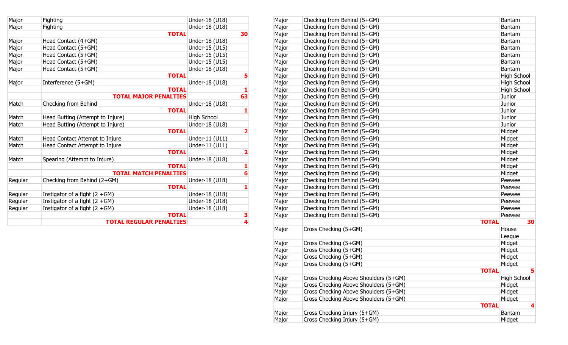| Major   | Fighting                         | Under-18 (U18) |                         |
|---------|----------------------------------|----------------|-------------------------|
| Major   | Fighting                         | Under-18 (U18) |                         |
|         | <b>TOTAL</b>                     |                | 30                      |
| Major   | Head Contact (4+GM)              | Under-18 (U18) |                         |
| Major   | Head Contact (5+GM)              | Under-15 (U15) |                         |
| Major   | Head Contact (5+GM)              | Under-15 (U15) |                         |
| Major   | Head Contact (5+GM)              | Under-15 (U15) |                         |
| Major   | Head Contact (5+GM)              | Under-18 (U18) |                         |
|         | <b>TOTAL</b>                     |                | 5                       |
| Major   | Interference (5+GM)              | Under-18 (U18) |                         |
|         | <b>TOTAL</b>                     |                | 1                       |
|         | <b>TOTAL MAJOR PENALTIES</b>     |                | 63                      |
| Match   | Checking from Behind             | Under-18 (U18) |                         |
|         | <b>TOTAL</b>                     |                | 1                       |
| Match   | Head Butting (Attempt to Injure) | High School    |                         |
| Match   | Head Butting (Attempt to Injure) | Under-18 (U18) |                         |
|         | <b>TOTAL</b>                     |                | $\overline{\mathbf{2}}$ |
| Match   | Head Contact Attempt to Injure   | Under-11 (U11) |                         |
| Match   | Head Contact Attempt to Injure   | Under-11 (U11) |                         |
|         | <b>TOTAL</b>                     |                | $\overline{\mathbf{2}}$ |
| Match   | Spearing (Attempt to Injure)     | Under-18 (U18) |                         |
|         | <b>TOTAL</b>                     |                | 1                       |
|         | <b>TOTAL MATCH PENALTIES</b>     |                | $6\overline{6}$         |
| Regular | Checking from Behind (2+GM)      | Under-18 (U18) |                         |
|         | <b>TOTAL</b>                     |                | 1                       |
| Regular | Instigator of a fight $(2 + GM)$ | Under-18 (U18) |                         |
| Regular | Instigator of a fight $(2 + GM)$ | Under-18 (U18) |                         |
| Regular | Instigator of a fight $(2 + GM)$ | Under-18 (U18) |                         |
|         | <b>TOTAL</b>                     |                | $\frac{3}{4}$           |
|         | <b>TOTAL REGULAR PENALTIES</b>   |                |                         |

| Major   | Fighting                         | Under-18 (U18)     |    | Major | Checking from Behind (5+GM)           |              | Bantam             |
|---------|----------------------------------|--------------------|----|-------|---------------------------------------|--------------|--------------------|
| Major   | Fighting                         | Under-18 (U18)     |    | Major | Checking from Behind (5+GM)           |              | Bantam             |
|         |                                  | <b>TOTAL</b>       | 30 | Major | Checking from Behind (5+GM)           |              | Bantam             |
| Major   | Head Contact (4+GM)              | Under-18 (U18)     |    | Major | Checking from Behind (5+GM)           |              | Bantam             |
| Major   | Head Contact (5+GM)              | Under-15 (U15)     |    | Major | Checking from Behind (5+GM)           |              | Bantam             |
| Major   | Head Contact (5+GM)              | Under-15 (U15)     |    | Major | Checking from Behind (5+GM)           |              | Bantam             |
| Major   | Head Contact (5+GM)              | Under-15 (U15)     |    | Major | Checking from Behind (5+GM)           |              | Bantam             |
| Major   | Head Contact (5+GM)              | Under-18 (U18)     |    | Major | Checking from Behind (5+GM)           |              | Bantam             |
|         |                                  | <b>TOTAL</b>       |    | Major | Checking from Behind (5+GM)           |              | <b>High School</b> |
| Major   | Interference (5+GM)              | Under-18 (U18)     |    | Major | Checking from Behind (5+GM)           |              | High School        |
|         |                                  | <b>TOTAL</b>       |    | Major | Checking from Behind (5+GM)           |              | High School        |
|         | <b>TOTAL MAJOR PENALTIES</b>     |                    | 63 | Major | Checking from Behind (5+GM)           |              | Junior             |
| Match   | Checking from Behind             | Under-18 (U18)     |    | Major | Checking from Behind (5+GM)           |              | Junior             |
|         |                                  | <b>TOTAL</b>       |    | Major | Checking from Behind (5+GM)           |              | Junior             |
| Match   | Head Butting (Attempt to Injure) | <b>High School</b> |    | Major | Checking from Behind (5+GM)           |              | Junior             |
| Match   | Head Butting (Attempt to Injure) | Under-18 (U18)     |    | Major | Checking from Behind (5+GM)           |              | Junior             |
|         |                                  | <b>TOTAL</b>       |    | Major | Checking from Behind (5+GM)           |              | Midget             |
| Match   | Head Contact Attempt to Injure   | Under-11 (U11)     |    | Major | Checking from Behind (5+GM)           |              | Midget             |
| Match   | Head Contact Attempt to Injure   | Under-11 (U11)     |    | Major | Checking from Behind (5+GM)           |              | Midget             |
|         |                                  | <b>TOTAL</b>       | 2  | Major | Checking from Behind (5+GM)           |              | Midget             |
| Match   | Spearing (Attempt to Injure)     | Under-18 (U18)     |    | Major | Checking from Behind (5+GM)           |              | Midget             |
|         |                                  | <b>TOTAL</b>       |    | Major | Checking from Behind (5+GM)           |              | Midget             |
|         | <b>TOTAL MATCH PENALTIES</b>     |                    |    | Major | Checking from Behind (5+GM)           |              | Midget             |
| Regular | Checking from Behind (2+GM)      | Under-18 (U18)     |    | Major | Checking from Behind (5+GM)           |              | Peewee             |
|         |                                  | <b>TOTAL</b>       |    | Major | Checking from Behind (5+GM)           |              | Peewee             |
| Regular | Instigator of a fight $(2 + GM)$ | Under-18 (U18)     |    | Major | Checking from Behind (5+GM)           |              | Peewee             |
| Regular | Instigator of a fight $(2 + GM)$ | Under-18 (U18)     |    | Major | Checking from Behind (5+GM)           |              | Peewee             |
| Regular | Instigator of a fight $(2 + GM)$ | Under-18 (U18)     |    | Major | Checking from Behind (5+GM)           |              | Peewee             |
|         |                                  | <b>TOTAL</b>       | 3  | Major | Checking from Behind (5+GM)           |              | Peewee             |
|         | <b>TOTAL REGULAR PENALTIES</b>   |                    |    |       |                                       | <b>TOTAL</b> | 30                 |
|         |                                  |                    |    | Major | Cross Checking (5+GM)                 |              | House              |
|         |                                  |                    |    |       |                                       |              | League             |
|         |                                  |                    |    | Major | Cross Checking (5+GM)                 |              | Midget             |
|         |                                  |                    |    | Major | Cross Checking (5+GM)                 |              | Midget             |
|         |                                  |                    |    | Major | Cross Checking (5+GM)                 |              | Midget             |
|         |                                  |                    |    | Major | Cross Checking (5+GM)                 |              | Midget             |
|         |                                  |                    |    |       |                                       | <b>TOTAL</b> |                    |
|         |                                  |                    |    | Major | Cross Checking Above Shoulders (5+GM) |              | <b>High School</b> |
|         |                                  |                    |    | Major | Cross Checking Above Shoulders (5+GM) |              | Midget             |
|         |                                  |                    |    | Major | Cross Checking Above Shoulders (5+GM) |              | Midget             |
|         |                                  |                    |    | Major | Cross Checking Above Shoulders (5+GM) |              | Midget             |
|         |                                  |                    |    |       |                                       | <b>TOTAL</b> |                    |
|         |                                  |                    |    | Major | Cross Checking Injury (5+GM)          |              | Bantam             |
|         |                                  |                    |    | Major | Cross Checking Injury (5+GM)          |              | Midget             |
|         |                                  |                    |    |       |                                       |              |                    |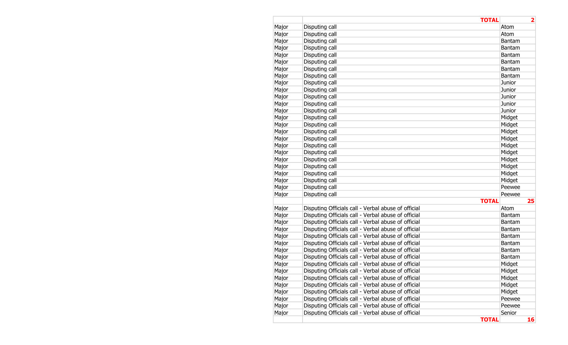|       | <b>TOTAL</b>                                        |               | $\overline{\mathbf{2}}$ |
|-------|-----------------------------------------------------|---------------|-------------------------|
| Major | Disputing call                                      | Atom          |                         |
| Major | Disputing call                                      | Atom          |                         |
| Major | Disputing call                                      | Bantam        |                         |
| Major | Disputing call                                      | <b>Bantam</b> |                         |
| Major | Disputing call                                      | <b>Bantam</b> |                         |
| Major | Disputing call                                      | <b>Bantam</b> |                         |
| Major | Disputing call                                      | <b>Bantam</b> |                         |
| Major | Disputing call                                      | <b>Bantam</b> |                         |
| Major | Disputing call                                      | Junior        |                         |
| Major | Disputing call                                      | Junior        |                         |
| Major | Disputing call                                      | Junior        |                         |
| Major | Disputing call                                      | Junior        |                         |
| Major | Disputing call                                      | Junior        |                         |
| Major | Disputing call                                      | Midget        |                         |
| Major | Disputing call                                      | Midget        |                         |
| Major | Disputing call                                      | Midget        |                         |
| Major | Disputing call                                      | Midget        |                         |
| Major | Disputing call                                      | Midget        |                         |
| Major | Disputing call                                      | Midget        |                         |
| Major | Disputing call                                      | Midget        |                         |
| Major | Disputing call                                      | Midget        |                         |
| Major | Disputing call                                      | Midget        |                         |
| Major | Disputing call                                      | Midget        |                         |
| Major | Disputing call                                      | Peewee        |                         |
| Major | Disputing call                                      | Peewee        |                         |
|       | <b>TOTAL</b>                                        |               | 25                      |
| Major | Disputing Officials call - Verbal abuse of official | Atom          |                         |
| Major | Disputing Officials call - Verbal abuse of official | <b>Bantam</b> |                         |
| Major | Disputing Officials call - Verbal abuse of official | <b>Bantam</b> |                         |
| Major | Disputing Officials call - Verbal abuse of official | <b>Bantam</b> |                         |
| Major | Disputing Officials call - Verbal abuse of official | <b>Bantam</b> |                         |
| Major | Disputing Officials call - Verbal abuse of official | Bantam        |                         |
| Major | Disputing Officials call - Verbal abuse of official | <b>Bantam</b> |                         |
| Major | Disputing Officials call - Verbal abuse of official | <b>Bantam</b> |                         |
| Major | Disputing Officials call - Verbal abuse of official | Midget        |                         |
| Major | Disputing Officials call - Verbal abuse of official | Midget        |                         |
| Major | Disputing Officials call - Verbal abuse of official | Midget        |                         |
| Major | Disputing Officials call - Verbal abuse of official | Midget        |                         |
| Major | Disputing Officials call - Verbal abuse of official | Midget        |                         |
| Major | Disputing Officials call - Verbal abuse of official | Peewee        |                         |
| Major | Disputing Officials call - Verbal abuse of official | Peewee        |                         |
| Major | Disputing Officials call - Verbal abuse of official | Senior        |                         |
|       | <b>TOTAL</b>                                        |               | 16                      |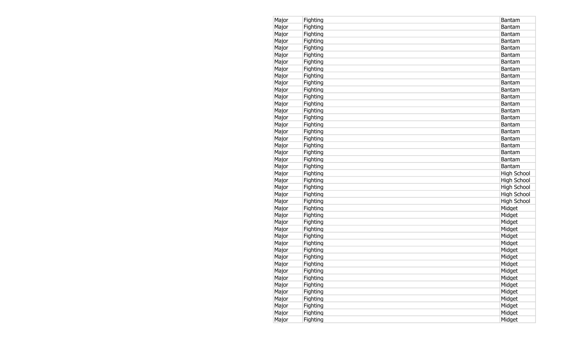| Major | Fighting | Bantam             |
|-------|----------|--------------------|
| Major | Fighting | Bantam             |
| Major | Fighting | Bantam             |
| Major | Fighting | Bantam             |
| Major | Fighting | Bantam             |
| Major | Fighting | Bantam             |
| Major | Fighting | Bantam             |
| Major | Fighting | Bantam             |
| Major | Fighting | Bantam             |
| Major | Fighting | Bantam             |
| Major | Fighting | <b>Bantam</b>      |
| Major | Fighting | Bantam             |
| Major | Fighting | Bantam             |
| Major | Fighting | Bantam             |
| Major | Fighting | Bantam             |
| Major | Fighting | Bantam             |
| Major | Fighting | <b>Bantam</b>      |
| Major | Fighting | <b>Bantam</b>      |
| Major | Fighting | Bantam             |
| Major | Fighting | <b>Bantam</b>      |
| Major | Fighting | <b>Bantam</b>      |
| Major | Fighting | Bantam             |
| Major | Fighting | High School        |
| Major | Fighting | High School        |
| Major | Fighting | <b>High School</b> |
| Major | Fighting | High School        |
| Major | Fighting | <b>High School</b> |
| Major | Fighting | Midget             |
| Major | Fighting | Midget             |
| Major | Fighting | Midget             |
| Major | Fighting | Midget             |
| Major | Fighting | Midget             |
| Major | Fighting | Midget             |
| Major | Fighting | Midget             |
| Major | Fighting | Midget             |
| Major | Fighting | Midget             |
| Major | Fighting | Midget             |
| Major | Fighting | Midget             |
| Major | Fighting | Midget             |
| Major | Fighting | Midget             |
| Major | Fighting | Midget             |
| Major | Fighting | Midget             |
| Major | Fighting | Midget             |
| Major | Fighting | Midget             |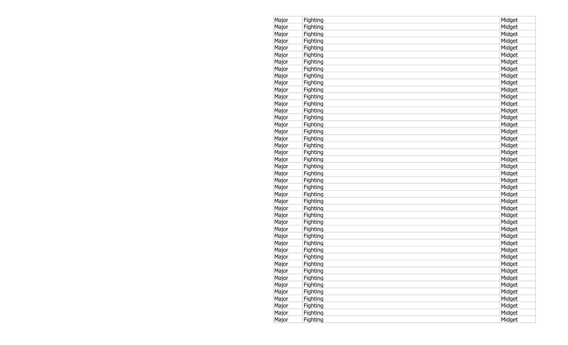| Major | Fighting | Midget |
|-------|----------|--------|
| Major | Fighting | Midget |
| Major | Fighting | Midget |
| Major | Fighting | Midget |
| Major | Fighting | Midget |
| Major | Fighting | Midget |
| Major | Fighting | Midget |
| Major | Fighting | Midget |
| Major | Fighting | Midget |
| Major | Fighting | Midget |
| Major | Fighting | Midget |
| Major | Fighting | Midget |
| Major | Fighting | Midget |
| Major | Fighting | Midget |
| Major | Fighting | Midget |
| Major | Fighting | Midget |
| Major | Fighting | Midget |
| Major | Fighting | Midget |
| Major | Fighting | Midget |
| Major | Fighting | Midget |
| Major | Fighting | Midget |
| Major | Fighting | Midget |
| Major | Fighting | Midget |
| Major | Fighting | Midget |
| Major | Fighting | Midget |
| Major | Fighting | Midget |
| Major | Fighting | Midget |
| Major | Fighting | Midget |
| Major | Fighting | Midget |
| Major | Fighting | Midget |
| Major | Fighting | Midget |
| Major | Fighting | Midget |
| Major | Fighting | Midget |
| Major | Fighting | Midget |
| Major | Fighting | Midget |
| Major | Fighting | Midget |
| Major | Fighting | Midget |
| Major | Fighting | Midget |
| Major | Fighting | Midget |
| Major | Fighting | Midget |
| Major | Fighting | Midget |
| Major | Fighting | Midget |
| Major | Fighting | Midget |
| Major | Fighting | Midget |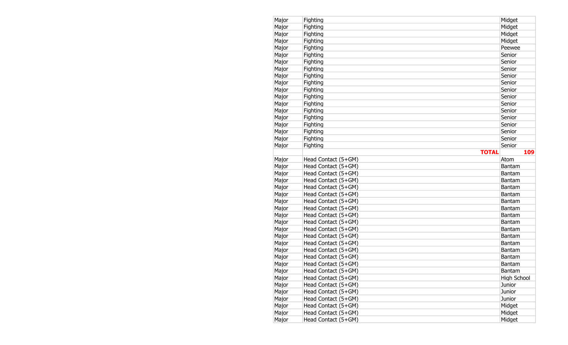| Major | Fighting                                   | Midget             |
|-------|--------------------------------------------|--------------------|
| Major | Fighting                                   | Midget             |
| Major | Fighting                                   | Midget             |
| Major | Fighting                                   | Midget             |
| Major | Fighting                                   | Peewee             |
| Major | Fighting                                   | Senior             |
| Major | Fighting                                   | Senior             |
| Major | Fighting                                   | Senior             |
| Major | Fighting                                   | Senior             |
| Major | Fighting                                   | Senior             |
| Major | Fighting                                   | Senior             |
| Major | Fighting                                   | Senior             |
| Major | Fighting                                   | Senior             |
| Major | Fighting                                   | Senior             |
| Major | Fighting                                   | Senior             |
| Major | Fighting                                   | Senior             |
| Major | Fighting                                   | Senior             |
| Major | Fighting                                   | Senior             |
| Major | Fighting                                   | Senior             |
|       | <b>TOTAL</b>                               | 109                |
| Major | Head Contact (5+GM)                        | Atom               |
| Major | Head Contact (5+GM)                        | <b>Bantam</b>      |
| Major | Head Contact (5+GM)                        | <b>Bantam</b>      |
| Major | Head Contact (5+GM)                        | <b>Bantam</b>      |
| Major | Head Contact (5+GM)                        | <b>Bantam</b>      |
| Major | Head Contact (5+GM)                        | <b>Bantam</b>      |
| Major | Head Contact (5+GM)                        | <b>Bantam</b>      |
| Major | Head Contact (5+GM)                        | <b>Bantam</b>      |
| Major | Head Contact (5+GM)                        | <b>Bantam</b>      |
| Major | Head Contact (5+GM)                        | <b>Bantam</b>      |
| Major | Head Contact (5+GM)                        | <b>Bantam</b>      |
| Major | Head Contact (5+GM)                        | Bantam             |
| Major | Head Contact (5+GM)                        | <b>Bantam</b>      |
| Major | Head Contact (5+GM)                        | <b>Bantam</b>      |
| Major | Head Contact (5+GM)                        | <b>Bantam</b>      |
| Major | Head Contact (5+GM)                        | <b>Bantam</b>      |
| Major | Head Contact (5+GM)                        | Bantam             |
| Major | Head Contact (5+GM)                        | <b>High School</b> |
| Major | Head Contact (5+GM)                        | Junior             |
| Major | Head Contact (5+GM)                        | Junior             |
| Major | Head Contact (5+GM)                        | Junior             |
| Major | Head Contact (5+GM)                        | Midget             |
|       |                                            |                    |
| Major | Head Contact (5+GM)<br>Head Contact (5+GM) | Midget             |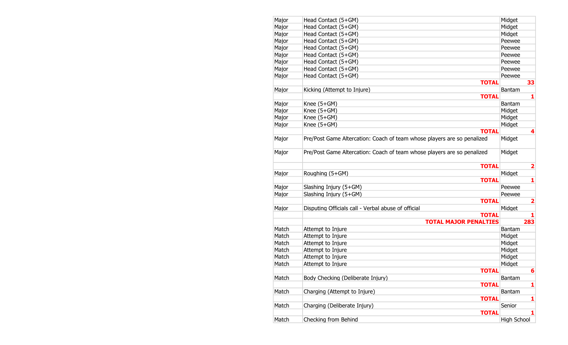| Major | Head Contact (5+GM)                                                     | Midget                  |
|-------|-------------------------------------------------------------------------|-------------------------|
| Major | Head Contact (5+GM)                                                     | Midget                  |
| Major | Head Contact (5+GM)                                                     | Midget                  |
| Major | Head Contact (5+GM)                                                     | Peewee                  |
| Major | Head Contact (5+GM)                                                     | Peewee                  |
| Major | Head Contact (5+GM)                                                     | Peewee                  |
| Major | Head Contact (5+GM)                                                     | Peewee                  |
| Major | Head Contact (5+GM)                                                     | Peewee                  |
| Major | Head Contact (5+GM)                                                     | Peewee                  |
|       | <b>TOTAL</b>                                                            | 33                      |
| Major | Kicking (Attempt to Injure)                                             | <b>Bantam</b>           |
|       | <b>TOTAL</b>                                                            | 1                       |
| Major | Knee $(5+GM)$                                                           | <b>Bantam</b>           |
| Major | Knee (5+GM)                                                             | Midget                  |
| Major | Knee (5+GM)                                                             | Midget                  |
| Major | Knee (5+GM)                                                             | Midget                  |
|       | <b>TOTAL</b>                                                            | 4                       |
| Major | Pre/Post Game Altercation: Coach of team whose players are so penalized | Midget                  |
| Major | Pre/Post Game Altercation: Coach of team whose players are so penalized | Midget                  |
|       | <b>TOTAL</b>                                                            | $\overline{\mathbf{2}}$ |
| Major | Roughing (5+GM)                                                         | Midget                  |
|       | <b>TOTAL</b>                                                            | 1                       |
| Major | Slashing Injury (5+GM)                                                  | Peewee                  |
| Major | Slashing Injury (5+GM)                                                  | Peewee                  |
|       | <b>TOTAL</b>                                                            | $\overline{\mathbf{2}}$ |
| Major | Disputing Officials call - Verbal abuse of official                     | Midget                  |
|       | <b>TOTAL</b>                                                            | 1                       |
|       | <b>TOTAL MAJOR PENALTIES</b>                                            | 283                     |
| Match | Attempt to Injure                                                       | <b>Bantam</b>           |
| Match | Attempt to Injure                                                       | Midget                  |
| Match | Attempt to Injure                                                       | Midget                  |
| Match | Attempt to Injure                                                       | Midget                  |
| Match | Attempt to Injure                                                       | Midget                  |
| Match | Attempt to Injure                                                       | Midget                  |
|       | <b>TOTAL</b>                                                            | $6\phantom{1}6$         |
| Match | Body Checking (Deliberate Injury)                                       | <b>Bantam</b>           |
|       | <b>TOTAL</b>                                                            | 1                       |
| Match | Charging (Attempt to Injure)                                            | Bantam                  |
|       | <b>TOTAL</b>                                                            | 1                       |
| Match | Charging (Deliberate Injury)                                            | Senior                  |
|       | <b>TOTAL</b>                                                            | 1                       |
| Match | Checking from Behind                                                    | <b>High School</b>      |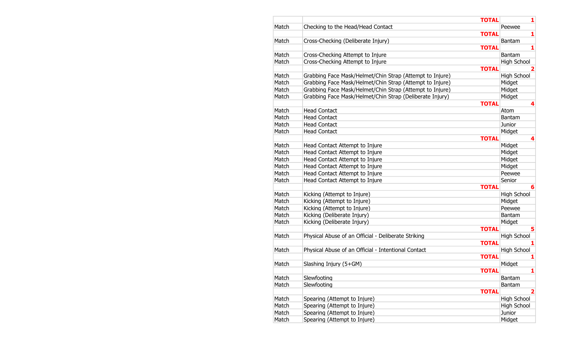|       | <b>TOTAL</b>                                             | 1                       |
|-------|----------------------------------------------------------|-------------------------|
| Match | Checking to the Head/Head Contact                        | Peewee                  |
|       | <b>TOTAL</b>                                             | 1                       |
| Match | Cross-Checking (Deliberate Injury)                       | <b>Bantam</b>           |
|       | <b>TOTAL</b>                                             | 1                       |
| Match | Cross-Checking Attempt to Injure                         | <b>Bantam</b>           |
| Match | Cross-Checking Attempt to Injure                         | High School             |
|       | <b>TOTAL</b>                                             |                         |
| Match | Grabbing Face Mask/Helmet/Chin Strap (Attempt to Injure) | <b>High School</b>      |
| Match | Grabbing Face Mask/Helmet/Chin Strap (Attempt to Injure) | Midget                  |
| Match | Grabbing Face Mask/Helmet/Chin Strap (Attempt to Injure) | Midget                  |
| Match | Grabbing Face Mask/Helmet/Chin Strap (Deliberate Injury) | Midget                  |
|       | <b>TOTAL</b>                                             | 4                       |
| Match | <b>Head Contact</b>                                      | Atom                    |
| Match | <b>Head Contact</b>                                      | <b>Bantam</b>           |
| Match | <b>Head Contact</b>                                      | Junior                  |
| Match | <b>Head Contact</b>                                      | Midget                  |
|       | <b>TOTAL</b>                                             | 4                       |
| Match | Head Contact Attempt to Injure                           | Midget                  |
| Match | Head Contact Attempt to Injure                           | Midget                  |
| Match | Head Contact Attempt to Injure                           | Midget                  |
| Match | Head Contact Attempt to Injure                           | Midget                  |
| Match | Head Contact Attempt to Injure                           | Peewee                  |
| Match | Head Contact Attempt to Injure                           | Senior                  |
|       | <b>TOTAL</b>                                             | 6                       |
| Match | Kicking (Attempt to Injure)                              | High School             |
| Match | Kicking (Attempt to Injure)                              | Midget                  |
| Match | Kicking (Attempt to Injure)                              | Peewee                  |
| Match | Kicking (Deliberate Injury)                              | Bantam                  |
| Match | Kicking (Deliberate Injury)                              | Midget                  |
|       | <b>TOTAL</b>                                             | 5                       |
| Match | Physical Abuse of an Official - Deliberate Striking      | <b>High School</b>      |
|       | <b>TOTAL</b>                                             | 1                       |
| Match | Physical Abuse of an Official - Intentional Contact      | <b>High School</b>      |
|       | <b>TOTAL</b>                                             | 1                       |
| Match | Slashing Injury (5+GM)                                   | Midget                  |
|       | <b>TOTAL</b>                                             | ı                       |
| Match | Slewfooting                                              | <b>Bantam</b>           |
| Match | Slewfooting                                              | Bantam                  |
|       | <b>TOTAL</b>                                             | $\overline{\mathbf{2}}$ |
| Match | Spearing (Attempt to Injure)                             | <b>High School</b>      |
| Match | Spearing (Attempt to Injure)                             | <b>High School</b>      |
| Match | Spearing (Attempt to Injure)                             | Junior                  |
| Match | Spearing (Attempt to Injure)                             | Midget                  |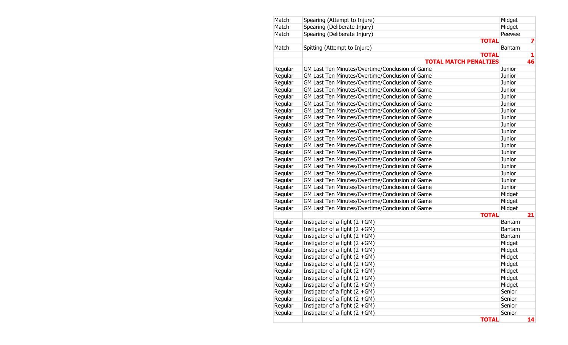| Match   | Spearing (Attempt to Injure)                    | Midget        |    |
|---------|-------------------------------------------------|---------------|----|
| Match   | Spearing (Deliberate Injury)                    | Midget        |    |
| Match   | Spearing (Deliberate Injury)                    | Peewee        |    |
|         | <b>TOTAL</b>                                    |               | 7  |
| Match   | Spitting (Attempt to Injure)                    | <b>Bantam</b> |    |
|         | <b>TOTAL</b>                                    |               | 1  |
|         | <b>TOTAL MATCH PENALTIES</b>                    |               | 46 |
| Regular | GM Last Ten Minutes/Overtime/Conclusion of Game | Junior        |    |
| Regular | GM Last Ten Minutes/Overtime/Conclusion of Game | Junior        |    |
| Regular | GM Last Ten Minutes/Overtime/Conclusion of Game | Junior        |    |
| Regular | GM Last Ten Minutes/Overtime/Conclusion of Game | Junior        |    |
| Regular | GM Last Ten Minutes/Overtime/Conclusion of Game | Junior        |    |
| Regular | GM Last Ten Minutes/Overtime/Conclusion of Game | Junior        |    |
| Regular | GM Last Ten Minutes/Overtime/Conclusion of Game | Junior        |    |
| Regular | GM Last Ten Minutes/Overtime/Conclusion of Game | Junior        |    |
| Regular | GM Last Ten Minutes/Overtime/Conclusion of Game | Junior        |    |
| Regular | GM Last Ten Minutes/Overtime/Conclusion of Game | Junior        |    |
| Regular | GM Last Ten Minutes/Overtime/Conclusion of Game | Junior        |    |
| Regular | GM Last Ten Minutes/Overtime/Conclusion of Game | Junior        |    |
| Regular | GM Last Ten Minutes/Overtime/Conclusion of Game | Junior        |    |
| Regular | GM Last Ten Minutes/Overtime/Conclusion of Game | Junior        |    |
| Regular | GM Last Ten Minutes/Overtime/Conclusion of Game | Junior        |    |
| Regular | GM Last Ten Minutes/Overtime/Conclusion of Game | Junior        |    |
| Regular | GM Last Ten Minutes/Overtime/Conclusion of Game | Junior        |    |
| Regular | GM Last Ten Minutes/Overtime/Conclusion of Game | Junior        |    |
| Regular | GM Last Ten Minutes/Overtime/Conclusion of Game | Midget        |    |
| Regular | GM Last Ten Minutes/Overtime/Conclusion of Game | Midget        |    |
| Regular | GM Last Ten Minutes/Overtime/Conclusion of Game | Midget        |    |
|         | <b>TOTAL</b>                                    |               | 21 |
| Regular | Instigator of a fight $(2 + GM)$                | Bantam        |    |
| Regular | Instigator of a fight $(2 + GM)$                | <b>Bantam</b> |    |
| Regular | Instigator of a fight $(2 + GM)$                | Bantam        |    |
| Regular | Instigator of a fight $(2 + GM)$                | Midget        |    |
| Regular | Instigator of a fight $(2 + GM)$                | Midget        |    |
| Regular | Instigator of a fight $(2 + GM)$                | Midget        |    |
| Regular | Instigator of a fight $(2 + GM)$                | Midget        |    |
| Regular | Instigator of a fight $(2 + GM)$                | Midget        |    |
| Regular | Instigator of a fight $(2 + GM)$                | Midget        |    |
| Regular | Instigator of a fight $(2 + GM)$                | Midget        |    |
| Regular | Instigator of a fight $(2 + GM)$                | Senior        |    |
| Regular | Instigator of a fight $(2 + GM)$                | Senior        |    |
| Regular | Instigator of a fight $(2 + GM)$                | Senior        |    |
| Regular | Instigator of a fight $(2 + GM)$                | Senior        |    |
|         | <b>TOTAL</b>                                    |               | 14 |